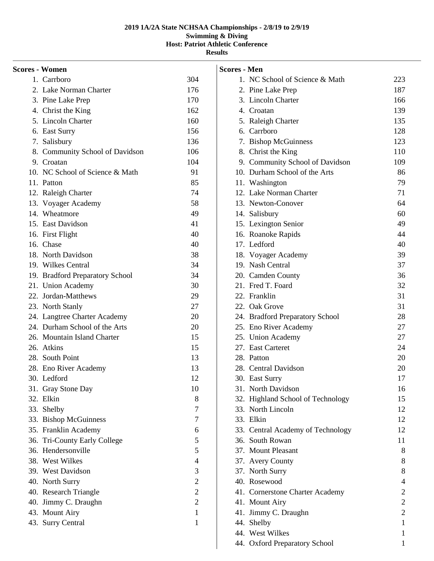| <b>Scores - Women</b> |                                 |                |
|-----------------------|---------------------------------|----------------|
|                       | 1. Carrboro                     | 304            |
|                       | 2. Lake Norman Charter          | 176            |
|                       | 3. Pine Lake Prep               | 170            |
|                       | 4. Christ the King              | 162            |
|                       | 5. Lincoln Charter              | 160            |
|                       | 6. East Surry                   | 156            |
|                       | 7. Salisbury                    | 136            |
|                       | 8. Community School of Davidson | 106            |
|                       | 9. Croatan                      | 104            |
|                       | 10. NC School of Science & Math | 91             |
|                       | 11. Patton                      | 85             |
|                       | 12. Raleigh Charter             | 74             |
|                       | 13. Voyager Academy             | 58             |
|                       | 14. Wheatmore                   | 49             |
|                       | 15. East Davidson               | 41             |
|                       | 16. First Flight                | 40             |
|                       | 16. Chase                       | 40             |
|                       | 18. North Davidson              | 38             |
|                       | 19. Wilkes Central              | 34             |
|                       | 19. Bradford Preparatory School | 34             |
|                       | 21. Union Academy               | 30             |
|                       | 22. Jordan-Matthews             | 29             |
|                       | 23. North Stanly                | $27\,$         |
|                       | 24. Langtree Charter Academy    | 20             |
|                       | 24. Durham School of the Arts   | 20             |
|                       | 26. Mountain Island Charter     | 15             |
|                       | 26. Atkins                      | 15             |
|                       | 28. South Point                 | 13             |
|                       | 28. Eno River Academy           | 13             |
|                       | 30. Ledford                     | 12             |
|                       | 31. Gray Stone Day              | 10             |
|                       | 32. Elkin                       | 8              |
|                       | 33. Shelby                      | 7              |
|                       | 33. Bishop McGuinness           | 7              |
|                       | 35. Franklin Academy            | 6              |
|                       | 36. Tri-County Early College    | 5              |
|                       | 36. Hendersonville              | 5              |
|                       | 38. West Wilkes                 | $\overline{4}$ |
|                       | 39. West Davidson               | 3              |
|                       | 40. North Surry                 | $\mathbf{2}$   |
|                       | 40. Research Triangle           | $\overline{2}$ |
|                       | 40. Jimmy C. Draughn            | 2              |
|                       | 43. Mount Airy                  | $\mathbf{1}$   |
|                       | 43. Surry Central               | 1              |
|                       |                                 |                |
|                       |                                 |                |

| Scores - Men |                                   |                                  |
|--------------|-----------------------------------|----------------------------------|
|              | 1. NC School of Science & Math    | 223                              |
|              | 2. Pine Lake Prep                 | 187                              |
|              | 3. Lincoln Charter                | 166                              |
|              | 4. Croatan                        | 139                              |
|              | 5. Raleigh Charter                | 135                              |
|              | 6. Carrboro                       | 128                              |
|              | 7. Bishop McGuinness              | 123                              |
|              | 8. Christ the King                | 110                              |
|              | 9. Community School of Davidson   | 109                              |
|              | 10. Durham School of the Arts     | 86                               |
|              | 11. Washington                    | 79                               |
|              | 12. Lake Norman Charter           | 71                               |
|              | 13. Newton-Conover                | 64                               |
|              | 14. Salisbury                     | 60                               |
|              | 15. Lexington Senior              | 49                               |
|              | 16. Roanoke Rapids                | 44                               |
|              | 17. Ledford                       | 40                               |
|              | 18. Voyager Academy               | 39                               |
|              | 19. Nash Central                  | 37                               |
|              | 20. Camden County                 | 36                               |
|              | 21. Fred T. Foard                 | 32                               |
|              | 22. Franklin                      | 31                               |
|              | 22. Oak Grove                     | 31                               |
|              | 24. Bradford Preparatory School   | 28                               |
|              | 25. Eno River Academy             | 27                               |
|              | 25. Union Academy                 | 27                               |
|              | 27. East Carteret                 | 24                               |
|              | 28. Patton                        | 20                               |
|              | 28. Central Davidson              | 20                               |
|              | 30. East Surry                    | 17                               |
|              | 31. North Davidson                | 16                               |
|              | 32. Highland School of Technology | 15                               |
|              | 33. North Lincoln                 | 12                               |
|              | 33. Elkin                         | 12                               |
|              | 33. Central Academy of Technology | 12                               |
|              | 36. South Rowan                   | 11                               |
|              | 37. Mount Pleasant                | 8                                |
|              | 37. Avery County                  | 8                                |
|              | 37. North Surry                   | 8                                |
|              | 40. Rosewood                      | 4                                |
|              | 41. Cornerstone Charter Academy   | $\overline{c}$                   |
|              | 41. Mount Airy                    | $\overline{c}$<br>$\overline{2}$ |
|              | 41. Jimmy C. Draughn              | $\mathbf{1}$                     |
|              | 44. Shelby<br>44. West Wilkes     |                                  |
|              |                                   | 1                                |
|              | 44. Oxford Preparatory School     | 1                                |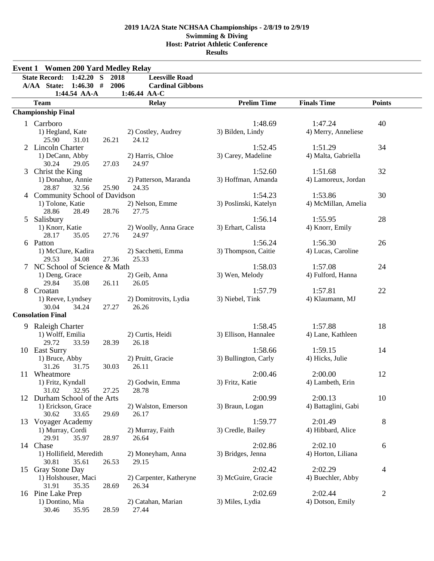|   | <b>Event 1 Women 200 Yard Medley Relay</b> |           |                           |                       |                     |               |
|---|--------------------------------------------|-----------|---------------------------|-----------------------|---------------------|---------------|
|   | <b>State Record:</b><br>1:42.20            | S<br>2018 | <b>Leesville Road</b>     |                       |                     |               |
|   | 1:46.30#<br>A/AA State:                    | 2006      | <b>Cardinal Gibbons</b>   |                       |                     |               |
|   | 1:44.54 AA-A                               |           | 1:46.44 AA-C              |                       |                     |               |
|   | <b>Team</b>                                |           | <b>Relay</b>              | <b>Prelim Time</b>    | <b>Finals Time</b>  | <b>Points</b> |
|   | <b>Championship Final</b>                  |           |                           |                       |                     |               |
|   | 1 Carrboro                                 |           |                           | 1:48.69               | 1:47.24             | 40            |
|   | 1) Hegland, Kate                           |           | 2) Costley, Audrey        | 3) Bilden, Lindy      | 4) Merry, Anneliese |               |
|   | 25.90<br>31.01                             | 26.21     | 24.12                     |                       |                     |               |
|   | <b>Lincoln Charter</b>                     |           |                           | 1:52.45               | 1:51.29             | 34            |
|   | 1) DeCann, Abby                            |           | 2) Harris, Chloe          | 3) Carey, Madeline    | 4) Malta, Gabriella |               |
|   | 30.24<br>29.05                             | 27.03     | 24.97                     |                       |                     |               |
|   | Christ the King                            |           |                           | 1:52.60               | 1:51.68             | 32            |
|   | 1) Donahue, Annie                          |           | 2) Patterson, Maranda     | 3) Hoffman, Amanda    | 4) Lamoreux, Jordan |               |
|   | 28.87<br>32.56                             | 25.90     | 24.35                     |                       |                     |               |
|   | 4 Community School of Davidson             |           |                           | 1:54.23               | 1:53.86             | 30            |
|   | 1) Tolone, Katie                           |           | 2) Nelson, Emme           | 3) Poslinski, Katelyn | 4) McMillan, Amelia |               |
|   | 28.86<br>28.49                             | 28.76     | 27.75                     |                       |                     |               |
| 5 | Salisbury                                  |           |                           | 1:56.14               | 1:55.95             | 28            |
|   | 1) Knorr, Katie                            |           | 2) Woolly, Anna Grace     | 3) Erhart, Calista    | 4) Knorr, Emily     |               |
|   | 28.17<br>35.05                             | 27.76     | 24.97                     |                       |                     |               |
|   | 6 Patton                                   |           |                           | 1:56.24               | 1:56.30             | 26            |
|   | 1) McClure, Kadira                         |           | 2) Sacchetti, Emma        | 3) Thompson, Caitie   | 4) Lucas, Caroline  |               |
|   | 29.53<br>34.08                             | 27.36     | 25.33                     |                       |                     |               |
|   | NC School of Science & Math                |           |                           | 1:58.03               | 1:57.08             | 24            |
|   | 1) Deng, Grace                             |           | 2) Geib, Anna             | 3) Wen, Melody        | 4) Fulford, Hanna   |               |
|   | 29.84<br>35.08                             | 26.11     | 26.05                     |                       |                     |               |
| 8 | Croatan                                    |           |                           | 1:57.79               | 1:57.81             | 22            |
|   | 1) Reeve, Lyndsey                          |           | 2) Domitrovits, Lydia     | 3) Niebel, Tink       | 4) Klaumann, MJ     |               |
|   | 30.04<br>34.24                             | 27.27     | 26.26                     |                       |                     |               |
|   | <b>Consolation Final</b>                   |           |                           |                       |                     |               |
|   | 9 Raleigh Charter                          |           |                           | 1:58.45               | 1:57.88             | 18            |
|   | 1) Wolff, Emilia                           |           | 2) Curtis, Heidi          | 3) Ellison, Hannalee  | 4) Lane, Kathleen   |               |
|   | 33.59<br>29.72                             | 28.39     | 26.18                     |                       |                     |               |
|   | 10 East Surry                              |           |                           | 1:58.66               | 1:59.15             | 14            |
|   | 1) Bruce, Abby                             |           | 2) Pruitt, Gracie         | 3) Bullington, Carly  | 4) Hicks, Julie     |               |
|   | 31.26<br>31.75                             | 30.03     | 26.11                     |                       |                     |               |
|   | 11 Wheatmore                               |           |                           | 2:00.46               | 2:00.00             | 12            |
|   | 1) Fritz, Kyndall                          |           | 2) Godwin, Emma           | 3) Fritz, Katie       | 4) Lambeth, Erin    |               |
|   | 31.02<br>32.95                             | 27.25     | 28.78                     |                       |                     |               |
|   | 12 Durham School of the Arts               |           |                           | 2:00.99               | 2:00.13             | 10            |
|   | 1) Erickson, Grace                         |           | 2) Walston, Emerson       | 3) Braun, Logan       | 4) Battaglini, Gabi |               |
|   | 30.62<br>33.65<br>13 Voyager Academy       | 29.69     | 26.17                     | 1:59.77               | 2:01.49             | 8             |
|   | 1) Murray, Cordi                           |           |                           | 3) Credle, Bailey     |                     |               |
|   | 29.91<br>35.97                             | 28.97     | 2) Murray, Faith<br>26.64 |                       | 4) Hibbard, Alice   |               |
|   | 14 Chase                                   |           |                           | 2:02.86               | 2:02.10             | 6             |
|   | 1) Hollifield, Meredith                    |           | 2) Moneyham, Anna         | 3) Bridges, Jenna     | 4) Horton, Liliana  |               |
|   | 30.81<br>35.61                             | 26.53     | 29.15                     |                       |                     |               |
|   | 15 Gray Stone Day                          |           |                           | 2:02.42               | 2:02.29             | 4             |
|   | 1) Holshouser, Maci                        |           | 2) Carpenter, Katheryne   | 3) McGuire, Gracie    | 4) Buechler, Abby   |               |
|   | 31.91<br>35.35                             | 28.69     | 26.34                     |                       |                     |               |
|   | 16 Pine Lake Prep                          |           |                           | 2:02.69               | 2:02.44             | $\mathbf{2}$  |
|   | 1) Dontino, Mia                            |           | 2) Catahan, Marian        | 3) Miles, Lydia       | 4) Dotson, Emily    |               |
|   | 30.46<br>35.95                             | 28.59     | 27.44                     |                       |                     |               |
|   |                                            |           |                           |                       |                     |               |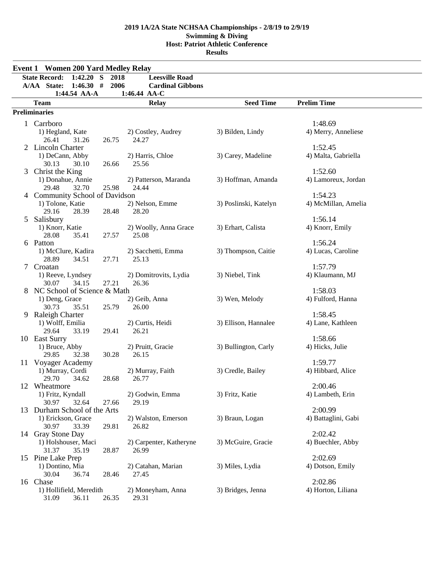$\overline{a}$ 

 $\overline{\phantom{0}}$  $\overline{\phantom{a}}$ 

|    | <b>Event 1 Women 200 Yard Medley Relay</b> |       |                                |                       |                              |
|----|--------------------------------------------|-------|--------------------------------|-----------------------|------------------------------|
|    | $1:42.20$ S<br><b>State Record:</b>        | 2018  | <b>Leesville Road</b>          |                       |                              |
|    | 1:46.30#<br>A/AA State:                    | 2006  | <b>Cardinal Gibbons</b>        |                       |                              |
|    | 1:44.54 AA-A<br><b>Team</b>                |       | 1:46.44 AA-C<br><b>Relay</b>   | <b>Seed Time</b>      | <b>Prelim Time</b>           |
|    | <b>Preliminaries</b>                       |       |                                |                       |                              |
|    |                                            |       |                                |                       |                              |
|    | 1 Carrboro                                 |       |                                |                       | 1:48.69                      |
|    | 1) Hegland, Kate<br>26.41<br>31.26         | 26.75 | 2) Costley, Audrey<br>24.27    | 3) Bilden, Lindy      | 4) Merry, Anneliese          |
|    | 2 Lincoln Charter                          |       |                                |                       | 1:52.45                      |
|    | 1) DeCann, Abby                            |       | 2) Harris, Chloe               | 3) Carey, Madeline    | 4) Malta, Gabriella          |
|    | 30.13<br>30.10                             | 26.66 | 25.56                          |                       |                              |
| 3  | Christ the King                            |       |                                |                       | 1:52.60                      |
|    | 1) Donahue, Annie                          |       | 2) Patterson, Maranda          | 3) Hoffman, Amanda    | 4) Lamoreux, Jordan          |
|    | 29.48<br>32.70                             | 25.98 | 24.44                          |                       |                              |
| 4  | <b>Community School of Davidson</b>        |       |                                |                       | 1:54.23                      |
|    | 1) Tolone, Katie                           |       | 2) Nelson, Emme                | 3) Poslinski, Katelyn | 4) McMillan, Amelia          |
|    | 29.16<br>28.39                             | 28.48 | 28.20                          |                       |                              |
| 5  | Salisbury                                  |       |                                |                       | 1:56.14                      |
|    | 1) Knorr, Katie<br>28.08<br>35.41          | 27.57 | 2) Woolly, Anna Grace<br>25.08 | 3) Erhart, Calista    | 4) Knorr, Emily              |
|    | 6 Patton                                   |       |                                |                       | 1:56.24                      |
|    | 1) McClure, Kadira                         |       | 2) Sacchetti, Emma             | 3) Thompson, Caitie   | 4) Lucas, Caroline           |
|    | 28.89<br>34.51                             | 27.71 | 25.13                          |                       |                              |
| 7  | Croatan                                    |       |                                |                       | 1:57.79                      |
|    | 1) Reeve, Lyndsey                          |       | 2) Domitrovits, Lydia          | 3) Niebel, Tink       | 4) Klaumann, MJ              |
|    | 30.07<br>34.15                             | 27.21 | 26.36                          |                       |                              |
| 8  | NC School of Science & Math                |       |                                |                       | 1:58.03                      |
|    | 1) Deng, Grace                             |       | 2) Geib, Anna                  | 3) Wen, Melody        | 4) Fulford, Hanna            |
|    | 30.73<br>35.51                             | 25.79 | 26.00                          |                       |                              |
| 9  | Raleigh Charter                            |       |                                |                       | 1:58.45                      |
|    | 1) Wolff, Emilia                           |       | 2) Curtis, Heidi               | 3) Ellison, Hannalee  | 4) Lane, Kathleen            |
|    | 29.64<br>33.19<br>10 East Surry            | 29.41 | 26.21                          |                       | 1:58.66                      |
|    | 1) Bruce, Abby                             |       | 2) Pruitt, Gracie              | 3) Bullington, Carly  | 4) Hicks, Julie              |
|    | 29.85<br>32.38                             | 30.28 | 26.15                          |                       |                              |
| 11 | Voyager Academy                            |       |                                |                       | 1:59.77                      |
|    | 1) Murray, Cordi                           |       | 2) Murray, Faith               | 3) Credle, Bailey     | 4) Hibbard, Alice            |
|    | 29.70<br>34.62                             | 28.68 | 26.77                          |                       |                              |
| 12 | Wheatmore                                  |       |                                |                       | 2:00.46                      |
|    | 1) Fritz, Kyndall                          |       | 2) Godwin, Emma                | 3) Fritz, Katie       | 4) Lambeth, Erin             |
|    | 32.64<br>30.97                             | 27.66 | 29.19                          |                       |                              |
|    | 13 Durham School of the Arts               |       |                                |                       | 2:00.99                      |
|    | 1) Erickson, Grace                         |       | 2) Walston, Emerson            | 3) Braun, Logan       | 4) Battaglini, Gabi          |
|    | 30.97<br>33.39                             | 29.81 | 26.82                          |                       |                              |
|    | 14 Gray Stone Day<br>1) Holshouser, Maci   |       | 2) Carpenter, Katheryne        | 3) McGuire, Gracie    | 2:02.42<br>4) Buechler, Abby |
|    | 31.37<br>35.19                             | 28.87 | 26.99                          |                       |                              |
|    | 15 Pine Lake Prep                          |       |                                |                       | 2:02.69                      |
|    | 1) Dontino, Mia                            |       | 2) Catahan, Marian             | 3) Miles, Lydia       | 4) Dotson, Emily             |
|    | 30.04<br>36.74                             | 28.46 | 27.45                          |                       |                              |
|    | 16 Chase                                   |       |                                |                       | 2:02.86                      |
|    | 1) Hollifield, Meredith                    |       | 2) Moneyham, Anna              | 3) Bridges, Jenna     | 4) Horton, Liliana           |
|    | 31.09<br>36.11                             | 26.35 | 29.31                          |                       |                              |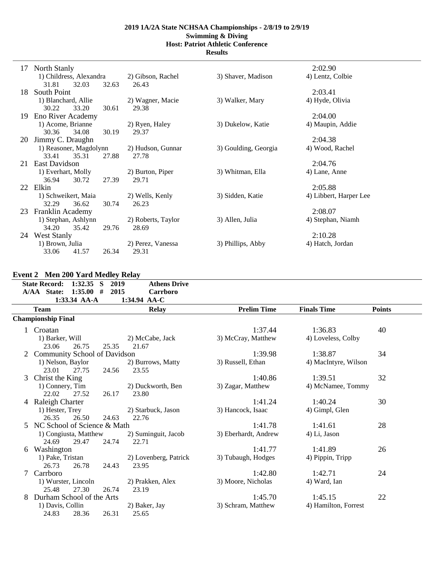**Results**

| 17  | North Stanly            |       |                    |                      | 2:02.90                |
|-----|-------------------------|-------|--------------------|----------------------|------------------------|
|     | 1) Childress, Alexandra |       | 2) Gibson, Rachel  | 3) Shaver, Madison   | 4) Lentz, Colbie       |
|     | 31.81<br>32.03          | 32.63 | 26.43              |                      |                        |
| 18  | South Point             |       |                    |                      | 2:03.41                |
|     | 1) Blanchard, Allie     |       | 2) Wagner, Macie   | 3) Walker, Mary      | 4) Hyde, Olivia        |
|     | 30.22<br>33.20          | 30.61 | 29.38              |                      |                        |
| 19. | Eno River Academy       |       |                    |                      | 2:04.00                |
|     | 1) Acome, Brianne       |       | 2) Ryen, Haley     | 3) Dukelow, Katie    | 4) Maupin, Addie       |
|     | 34.08<br>30.36          | 30.19 | 29.37              |                      |                        |
| 20  | Jimmy C. Draughn        |       |                    |                      | 2:04.38                |
|     | 1) Reasoner, Magdolynn  |       | 2) Hudson, Gunnar  | 3) Goulding, Georgia | 4) Wood, Rachel        |
|     | 33.41<br>35.31          | 27.88 | 27.78              |                      |                        |
| 21  | East Davidson           |       |                    |                      | 2:04.76                |
|     | 1) Everhart, Molly      |       | 2) Burton, Piper   | 3) Whitman, Ella     | 4) Lane, Anne          |
|     | 36.94<br>30.72          | 27.39 | 29.71              |                      |                        |
|     | 22 Elkin                |       |                    |                      | 2:05.88                |
|     | 1) Schweikert, Maia     |       | 2) Wells, Kenly    | 3) Sidden, Katie     | 4) Libbert, Harper Lee |
|     | 32.29<br>36.62          | 30.74 | 26.23              |                      |                        |
| 23  | <b>Franklin Academy</b> |       |                    |                      | 2:08.07                |
|     | 1) Stephan, Ashlynn     |       | 2) Roberts, Taylor | 3) Allen, Julia      | 4) Stephan, Niamh      |
|     | 34.20<br>35.42          | 29.76 | 28.69              |                      |                        |
| 24  | <b>West Stanly</b>      |       |                    |                      | 2:10.28                |
|     | 1) Brown, Julia         |       | 2) Perez, Vanessa  | 3) Phillips, Abby    | 4) Hatch, Jordan       |
|     | 33.06<br>41.57          | 26.34 | 29.31              |                      |                        |

## **Event 2 Men 200 Yard Medley Relay**

|   | <b>State Record:</b>         | $1:32.35$ S              | 2019  | <b>Athens Drive</b>      |                      |                      |               |
|---|------------------------------|--------------------------|-------|--------------------------|----------------------|----------------------|---------------|
|   | A/AA State:                  | 1:35.00#<br>1:33.34 AA-A | 2015  | Carrboro<br>1:34.94 AA-C |                      |                      |               |
|   | <b>Team</b>                  |                          |       | <b>Relay</b>             | <b>Prelim Time</b>   | <b>Finals Time</b>   | <b>Points</b> |
|   | <b>Championship Final</b>    |                          |       |                          |                      |                      |               |
|   | Croatan                      |                          |       |                          | 1:37.44              | 1:36.83              | 40            |
|   | 1) Barker, Will              |                          |       | 2) McCabe, Jack          | 3) McCray, Matthew   | 4) Loveless, Colby   |               |
|   | 23.06                        | 26.75                    | 25.35 | 21.67                    |                      |                      |               |
|   | Community School of Davidson |                          |       |                          | 1:39.98              | 1:38.87              | 34            |
|   | 1) Nelson, Baylor            |                          |       | 2) Burrows, Matty        | 3) Russell, Ethan    | 4) MacIntyre, Wilson |               |
|   | 23.01                        | 27.75                    | 24.56 | 23.55                    |                      |                      |               |
| 3 | Christ the King              |                          |       |                          | 1:40.86              | 1:39.51              | 32            |
|   | 1) Connery, Tim              |                          |       | 2) Duckworth, Ben        | 3) Zagar, Matthew    | 4) McNamee, Tommy    |               |
|   | 22.02                        | 27.52                    | 26.17 | 23.80                    |                      |                      |               |
|   | 4 Raleigh Charter            |                          |       |                          | 1:41.24              | 1:40.24              | 30            |
|   | 1) Hester, Trey              |                          |       | 2) Starbuck, Jason       | 3) Hancock, Isaac    | 4) Gimpl, Glen       |               |
|   | 26.35                        | 26.50                    | 24.63 | 22.76                    |                      |                      |               |
|   | NC School of Science & Math  |                          |       |                          | 1:41.78              | 1:41.61              | 28            |
|   |                              | 1) Congiusta, Matthew    |       | 2) Suminguit, Jacob      | 3) Eberhardt, Andrew | 4) Li, Jason         |               |
|   | 24.69                        | 29.47                    | 24.74 | 22.71                    |                      |                      |               |
| 6 | Washington                   |                          |       |                          | 1:41.77              | 1:41.89              | 26            |
|   | 1) Pake, Tristan             |                          |       | 2) Lovenberg, Patrick    | 3) Tubaugh, Hodges   | 4) Pippin, Tripp     |               |
|   | 26.73                        | 26.78                    | 24.43 | 23.95                    |                      |                      |               |
| 7 | Carrboro                     |                          |       |                          | 1:42.80              | 1:42.71              | 24            |
|   |                              | 1) Wurster, Lincoln      |       | 2) Prakken, Alex         | 3) Moore, Nicholas   | 4) Ward, Ian         |               |
|   | 25.48                        | 27.30                    | 26.74 | 23.19                    |                      |                      |               |
| 8 | Durham School of the Arts    |                          |       |                          | 1:45.70              | 1:45.15              | 22            |
|   | 1) Davis, Collin             |                          |       | 2) Baker, Jay            | 3) Schram, Matthew   | 4) Hamilton, Forrest |               |
|   | 24.83                        | 28.36                    | 26.31 | 25.65                    |                      |                      |               |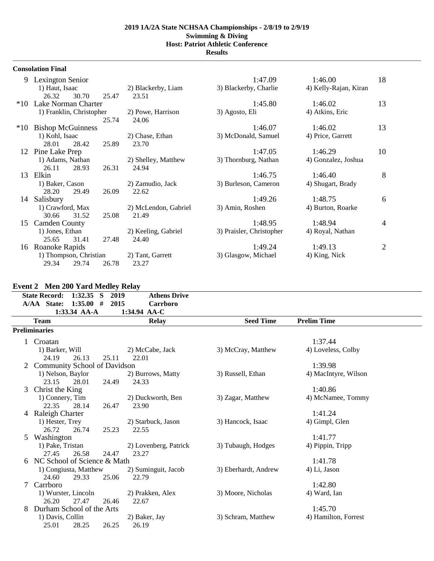**Results**

|           | <b>Consolation Final</b> |       |                      |                          |                       |                |
|-----------|--------------------------|-------|----------------------|--------------------------|-----------------------|----------------|
|           | 9 Lexington Senior       |       |                      | 1:47.09                  | 1:46.00               | 18             |
|           | 1) Haut, Isaac           |       | 2) Blackerby, Liam   | 3) Blackerby, Charlie    | 4) Kelly-Rajan, Kiran |                |
|           | 26.32<br>30.70           | 25.47 | 23.51                |                          |                       |                |
| $*10^{-}$ | Lake Norman Charter      |       |                      | 1:45.80                  | 1:46.02               | 13             |
|           | 1) Franklin, Christopher |       | 2) Powe, Harrison    | 3) Agosto, Eli           | 4) Atkins, Eric       |                |
|           |                          | 25.74 | 24.06                |                          |                       |                |
| $*10$     | <b>Bishop McGuinness</b> |       |                      | 1:46.07                  | 1:46.02               | 13             |
|           | 1) Kohl, Isaac           |       | 2) Chase, Ethan      | 3) McDonald, Samuel      | 4) Price, Garrett     |                |
|           | 28.01<br>28.42           | 25.89 | 23.70                |                          |                       |                |
| 12        | Pine Lake Prep           |       |                      | 1:47.05                  | 1:46.29               | 10             |
|           | 1) Adams, Nathan         |       | 2) Shelley, Matthew  | 3) Thornburg, Nathan     | 4) Gonzalez, Joshua   |                |
|           | 28.93<br>26.11           | 26.31 | 24.94                |                          |                       |                |
| 13        | Elkin                    |       |                      | 1:46.75                  | 1:46.40               | 8              |
|           | 1) Baker, Cason          |       | 2) Zamudio, Jack     | 3) Burleson, Cameron     | 4) Shugart, Brady     |                |
|           | 28.20<br>29.49           | 26.09 | 22.62                |                          |                       |                |
| 14        | Salisbury                |       |                      | 1:49.26                  | 1:48.75               | 6              |
|           | 1) Crawford, Max         |       | 2) McLendon, Gabriel | 3) Amin, Roshen          | 4) Burton, Roarke     |                |
|           | 31.52<br>30.66           | 25.08 | 21.49                |                          |                       |                |
| 15        | <b>Camden County</b>     |       |                      | 1:48.95                  | 1:48.94               | 4              |
|           | 1) Jones, Ethan          |       | 2) Keeling, Gabriel  | 3) Praisler, Christopher | 4) Royal, Nathan      |                |
|           | 31.41<br>25.65           | 27.48 | 24.40                |                          |                       |                |
| 16        | Roanoke Rapids           |       |                      | 1:49.24                  | 1:49.13               | $\overline{2}$ |
|           | 1) Thompson, Christian   |       | 2) Tant, Garrett     | 3) Glasgow, Michael      | 4) King, Nick         |                |
|           | 29.34<br>29.74           | 26.78 | 23.27                |                          |                       |                |

# **Event 2 Men 200 Yard Medley Relay**

|   | <b>State Record:</b><br>A/AA State: | 1:32.35<br><b>S</b><br>1:35.00#<br>1:33.34 AA-A | $\bullet$<br>2019<br>2015 | <b>Athens Drive</b><br>Carrboro<br>1:34.94 AA-C |                      |                      |
|---|-------------------------------------|-------------------------------------------------|---------------------------|-------------------------------------------------|----------------------|----------------------|
|   | <b>Team</b>                         |                                                 |                           | <b>Relay</b>                                    | <b>Seed Time</b>     | <b>Prelim Time</b>   |
|   | <b>Preliminaries</b>                |                                                 |                           |                                                 |                      |                      |
|   | Croatan                             |                                                 |                           |                                                 |                      | 1:37.44              |
|   | 1) Barker, Will                     |                                                 |                           | 2) McCabe, Jack                                 | 3) McCray, Matthew   | 4) Loveless, Colby   |
|   | 24.19                               | 26.13                                           | 25.11                     | 22.01                                           |                      |                      |
|   | <b>Community School of Davidson</b> |                                                 |                           |                                                 |                      | 1:39.98              |
|   | 1) Nelson, Baylor                   |                                                 |                           | 2) Burrows, Matty                               | 3) Russell, Ethan    | 4) MacIntyre, Wilson |
|   | 23.15                               | 28.01                                           | 24.49                     | 24.33                                           |                      |                      |
| 3 | Christ the King                     |                                                 |                           |                                                 |                      | 1:40.86              |
|   | 1) Connery, Tim                     |                                                 |                           | 2) Duckworth, Ben                               | 3) Zagar, Matthew    | 4) McNamee, Tommy    |
|   | 22.35                               | 28.14                                           | 26.47                     | 23.90                                           |                      |                      |
|   | 4 Raleigh Charter                   |                                                 |                           |                                                 |                      | 1:41.24              |
|   | 1) Hester, Trey                     |                                                 |                           | 2) Starbuck, Jason                              | 3) Hancock, Isaac    | 4) Gimpl, Glen       |
|   | 26.72                               | 26.74                                           | 25.23                     | 22.55                                           |                      |                      |
| 5 | Washington                          |                                                 |                           |                                                 |                      | 1:41.77              |
|   | 1) Pake, Tristan                    |                                                 |                           | 2) Lovenberg, Patrick                           | 3) Tubaugh, Hodges   | 4) Pippin, Tripp     |
|   | 27.45                               | 26.58                                           | 24.47                     | 23.27                                           |                      |                      |
| 6 | NC School of Science & Math         |                                                 |                           |                                                 |                      | 1:41.78              |
|   |                                     | 1) Congiusta, Matthew                           |                           | 2) Suminguit, Jacob                             | 3) Eberhardt, Andrew | 4) Li, Jason         |
|   | 24.60                               | 29.33                                           | 25.06                     | 22.79                                           |                      |                      |
|   | Carrboro                            |                                                 |                           |                                                 |                      | 1:42.80              |
|   | 1) Wurster, Lincoln                 |                                                 |                           | 2) Prakken, Alex                                | 3) Moore, Nicholas   | 4) Ward, Ian         |
|   | 26.20                               | 27.47                                           | 26.46                     | 22.67                                           |                      |                      |
| 8 | Durham School of the Arts           |                                                 |                           |                                                 |                      | 1:45.70              |
|   | 1) Davis, Collin                    |                                                 |                           | 2) Baker, Jay                                   | 3) Schram, Matthew   | 4) Hamilton, Forrest |
|   | 25.01                               | 28.25                                           | 26.25                     | 26.19                                           |                      |                      |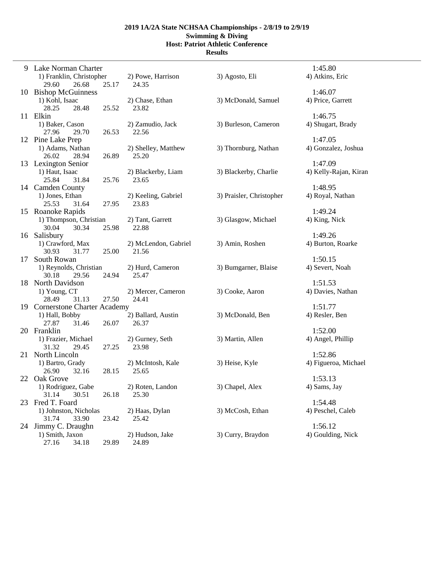|    | 9 Lake Norman Charter<br>1) Franklin, Christopher | 2) Powe, Harrison         | 3) Agosto, Eli           | 1:45.80<br>4) Atkins, Eric |
|----|---------------------------------------------------|---------------------------|--------------------------|----------------------------|
|    | 25.17<br>29.60<br>26.68                           | 24.35                     |                          |                            |
|    | 10 Bishop McGuinness                              |                           |                          | 1:46.07                    |
|    | 1) Kohl, Isaac<br>25.52<br>28.25<br>28.48         | 2) Chase, Ethan<br>23.82  | 3) McDonald, Samuel      | 4) Price, Garrett          |
|    | 11 Elkin                                          |                           |                          | 1:46.75                    |
|    | 1) Baker, Cason<br>26.53<br>27.96<br>29.70        | 2) Zamudio, Jack<br>22.56 | 3) Burleson, Cameron     | 4) Shugart, Brady          |
|    | 12 Pine Lake Prep                                 |                           |                          | 1:47.05                    |
|    | 1) Adams, Nathan                                  | 2) Shelley, Matthew       | 3) Thornburg, Nathan     | 4) Gonzalez, Joshua        |
|    | 26.89<br>26.02<br>28.94                           | 25.20                     |                          |                            |
|    | 13 Lexington Senior                               |                           |                          | 1:47.09                    |
|    | 1) Haut, Isaac                                    | 2) Blackerby, Liam        | 3) Blackerby, Charlie    | 4) Kelly-Rajan, Kiran      |
|    | 31.84<br>25.76<br>25.84                           | 23.65                     |                          |                            |
|    | 14 Camden County                                  |                           |                          | 1:48.95                    |
|    | 1) Jones, Ethan                                   | 2) Keeling, Gabriel       | 3) Praisler, Christopher | 4) Royal, Nathan           |
|    | 25.53<br>31.64<br>27.95                           | 23.83                     |                          |                            |
|    | 15 Roanoke Rapids                                 |                           |                          | 1:49.24                    |
|    | 1) Thompson, Christian                            | 2) Tant, Garrett          | 3) Glasgow, Michael      | 4) King, Nick              |
|    | 30.04<br>30.34<br>25.98                           | 22.88                     |                          |                            |
|    | 16 Salisbury                                      |                           |                          | 1:49.26                    |
|    | 1) Crawford, Max                                  | 2) McLendon, Gabriel      | 3) Amin, Roshen          | 4) Burton, Roarke          |
|    | 30.93<br>25.00<br>31.77                           | 21.56                     |                          |                            |
| 17 | South Rowan                                       |                           |                          | 1:50.15                    |
|    | 1) Reynolds, Christian                            | 2) Hurd, Cameron          | 3) Bumgarner, Blaise     | 4) Severt, Noah            |
|    | 24.94<br>30.18<br>29.56                           | 25.47                     |                          |                            |
|    | 18 North Davidson                                 |                           |                          | 1:51.53                    |
|    | 1) Young, CT                                      | 2) Mercer, Cameron        | 3) Cooke, Aaron          | 4) Davies, Nathan          |
|    | 27.50<br>28.49<br>31.13                           | 24.41                     |                          |                            |
|    | 19 Cornerstone Charter Academy                    |                           |                          | 1:51.77                    |
|    | 1) Hall, Bobby                                    | 2) Ballard, Austin        | 3) McDonald, Ben         | 4) Resler, Ben             |
|    | 27.87<br>26.07<br>31.46                           | 26.37                     |                          |                            |
| 20 | Franklin                                          |                           |                          | 1:52.00                    |
|    | 1) Frazier, Michael                               | 2) Gurney, Seth           | 3) Martin, Allen         | 4) Angel, Phillip          |
|    | 31.32<br>29.45<br>27.25                           | 23.98                     |                          |                            |
|    | 21 North Lincoln                                  |                           |                          | 1:52.86                    |
|    | 1) Bartro, Grady                                  | 2) McIntosh, Kale         | 3) Heise, Kyle           | 4) Figueroa, Michael       |
|    | 26.90<br>32.16<br>28.15                           | 25.65                     |                          |                            |
|    | 22 Oak Grove                                      |                           |                          | 1:53.13                    |
|    | 1) Rodriguez, Gabe                                | 2) Roten, Landon          | 3) Chapel, Alex          | 4) Sams, Jay               |
|    | 31.14<br>30.51<br>26.18                           | 25.30                     |                          |                            |
| 23 | Fred T. Foard                                     |                           |                          | 1:54.48                    |
|    | 1) Johnston, Nicholas                             | 2) Haas, Dylan            | 3) McCosh, Ethan         | 4) Peschel, Caleb          |
|    | 31.74<br>33.90<br>23.42                           | 25.42                     |                          |                            |
|    | 24 Jimmy C. Draughn                               |                           |                          | 1:56.12                    |
|    | 1) Smith, Jaxon                                   | 2) Hudson, Jake           | 3) Curry, Braydon        | 4) Goulding, Nick          |
|    | 27.16<br>34.18<br>29.89                           | 24.89                     |                          |                            |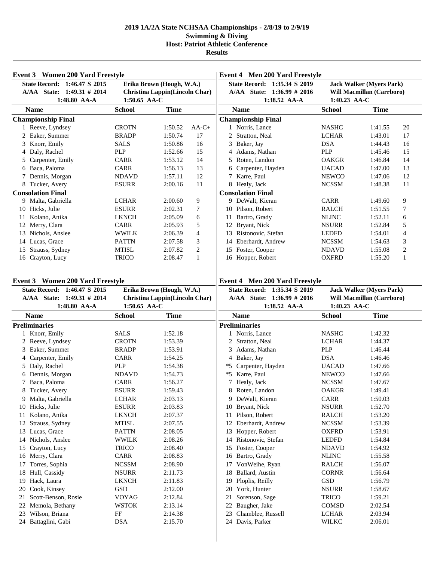| Event 3 Women 200 Yard Freestyle                           |                                                             |             |                | <b>Event 4 Men 200 Yard Freestyle</b>                      |                               |                                                              |              |
|------------------------------------------------------------|-------------------------------------------------------------|-------------|----------------|------------------------------------------------------------|-------------------------------|--------------------------------------------------------------|--------------|
| State Record: 1:46.47 S 2015<br>A/AA State: 1:49.31 # 2014 | Erika Brown (Hough, W.A.)<br>Christina Lappin(Lincoln Char) |             |                | State Record: 1:35.34 S 2019<br>A/AA State: 1:36.99 # 2016 |                               | <b>Jack Walker (Myers Park)</b><br>Will Macmillan (Carrboro) |              |
| 1:48.80 AA-A<br><b>Name</b>                                | 1:50.65 AA-C<br><b>School</b>                               | <b>Time</b> |                | 1:38.52 AA-A<br><b>Name</b>                                | 1:40.23 AA-C<br><b>School</b> | <b>Time</b>                                                  |              |
| <b>Championship Final</b>                                  |                                                             |             |                | <b>Championship Final</b>                                  |                               |                                                              |              |
| 1 Reeve, Lyndsey                                           | <b>CROTN</b>                                                | 1:50.52     | $AA-C+$        | 1 Norris, Lance                                            | <b>NASHC</b>                  | 1:41.55                                                      | 20           |
| 2 Eaker, Summer                                            | <b>BRADP</b>                                                | 1:50.74     | 17             | 2 Stratton, Neal                                           | <b>LCHAR</b>                  | 1:43.01                                                      | 17           |
| 3 Knorr, Emily                                             | <b>SALS</b>                                                 | 1:50.86     | 16             | Baker, Jay<br>3                                            | <b>DSA</b>                    | 1:44.43                                                      | 16           |
| 4 Daly, Rachel                                             | PLP                                                         | 1:52.66     | 15             | Adams, Nathan                                              | <b>PLP</b>                    | 1:45.46                                                      | 15           |
| 5 Carpenter, Emily                                         | CARR                                                        | 1:53.12     | 14             | Roten, Landon<br>5                                         | <b>OAKGR</b>                  | 1:46.84                                                      | 14           |
| 6 Baca, Paloma                                             | <b>CARR</b>                                                 | 1:56.13     | 13             | Carpenter, Hayden<br>6                                     | <b>UACAD</b>                  | 1:47.00                                                      | 13           |
| 7 Dennis, Morgan                                           | <b>NDAVD</b>                                                | 1:57.11     | 12             | Karre, Paul                                                | <b>NEWCO</b>                  | 1:47.06                                                      | $12\,$       |
| 8 Tucker, Avery                                            | <b>ESURR</b>                                                | 2:00.16     | 11             | 8 Healy, Jack                                              | <b>NCSSM</b>                  | 1:48.38                                                      | 11           |
| <b>Consolation Final</b>                                   |                                                             |             |                | <b>Consolation Final</b>                                   |                               |                                                              |              |
| 9 Malta, Gabriella                                         | <b>LCHAR</b>                                                | 2:00.60     | 9              | 9 DeWalt, Kieran                                           | <b>CARR</b>                   | 1:49.60                                                      | 9            |
| 10 Hicks, Julie                                            | <b>ESURR</b>                                                | 2:02.31     | 7              | Pilson, Robert<br>10                                       | <b>RALCH</b>                  | 1:51.55                                                      | 7            |
| 11 Kolano, Anika                                           | <b>LKNCH</b>                                                | 2:05.09     | 6              | 11 Bartro, Grady                                           | <b>NLINC</b>                  | 1:52.11                                                      | 6            |
| 12 Merry, Clara                                            | <b>CARR</b>                                                 | 2:05.93     | 5              | 12 Bryant, Nick                                            | <b>NSURR</b>                  | 1:52.84                                                      | 5            |
| 13 Nichols, Anslee                                         | <b>WWILK</b>                                                | 2:06.39     | 4              | Ristonovic, Stefan<br>13                                   | LEDFD                         | 1:54.01                                                      | 4            |
| 14 Lucas, Grace                                            | <b>PATTN</b>                                                | 2:07.58     | 3              | Eberhardt, Andrew<br>14                                    | <b>NCSSM</b>                  | 1:54.63                                                      | 3            |
| 15 Strauss, Sydney                                         | <b>MTISL</b>                                                | 2:07.82     | $\overline{2}$ | Foster, Cooper<br>15                                       | <b>NDAVD</b>                  | 1:55.08                                                      | 2            |
| 16 Crayton, Lucy                                           | <b>TRICO</b>                                                | 2:08.47     | $\mathbf{1}$   | 16 Hopper, Robert                                          | <b>OXFRD</b>                  | 1:55.20                                                      | $\mathbf{1}$ |
|                                                            |                                                             |             |                |                                                            |                               |                                                              |              |
| <b>Event 3</b> Women 200 Yard Freestyle                    |                                                             |             |                | <b>Event 4 Men 200 Yard Freestyle</b>                      |                               |                                                              |              |
| State Record: 1:46.47 S 2015                               | Erika Brown (Hough, W.A.)                                   |             |                | State Record: 1:35.34 S 2019                               |                               | <b>Jack Walker (Myers Park)</b>                              |              |
| A/AA State: 1:49.31 # 2014                                 | Christina Lappin(Lincoln Char)                              |             |                | A/AA State: 1:36.99 # 2016                                 |                               | <b>Will Macmillan (Carrboro)</b>                             |              |
| 1:48.80 AA-A                                               | 1:50.65 AA-C                                                |             |                | 1:38.52 AA-A                                               | 1:40.23 AA-C                  |                                                              |              |
| <b>Name</b>                                                | <b>School</b>                                               | <b>Time</b> |                | <b>Name</b>                                                | <b>School</b>                 | <b>Time</b>                                                  |              |
| <b>Preliminaries</b>                                       |                                                             |             |                | <b>Preliminaries</b>                                       |                               |                                                              |              |
| 1 Knorr, Emily                                             | <b>SALS</b>                                                 | 1:52.18     |                | 1 Norris, Lance                                            | <b>NASHC</b>                  | 1:42.32                                                      |              |
| 2 Reeve, Lyndsey                                           | <b>CROTN</b>                                                | 1:53.39     |                | 2 Stratton, Neal                                           | <b>LCHAR</b>                  | 1:44.37                                                      |              |
| 3 Eaker, Summer                                            | <b>BRADP</b>                                                | 1:53.91     |                | Adams, Nathan<br>3                                         | PLP                           | 1:46.44                                                      |              |
| 4 Carpenter, Emily                                         | <b>CARR</b>                                                 | 1:54.25     |                | 4 Baker, Jay                                               | <b>DSA</b>                    | 1:46.46                                                      |              |
| 5 Daly, Rachel                                             | <b>PLP</b>                                                  | 1:54.38     |                | Carpenter, Hayden<br>*5                                    | <b>UACAD</b>                  | 1:47.66                                                      |              |
| 6 Dennis, Morgan                                           | <b>NDAVD</b>                                                | 1:54.73     |                | Karre, Paul<br>*5                                          | <b>NEWCO</b>                  | 1:47.66                                                      |              |
| 7 Baca, Paloma                                             | <b>CARR</b>                                                 | 1:56.27     |                | Healy, Jack                                                | <b>NCSSM</b>                  | 1:47.67                                                      |              |
| 8<br>Tucker, Avery                                         | <b>ESURR</b>                                                | 1:59.43     |                | 8 Roten, Landon                                            | OAKGR                         | 1:49.41                                                      |              |
| 9 Malta, Gabriella                                         | <b>LCHAR</b>                                                | 2:03.13     |                | DeWalt, Kieran<br>9                                        | CARR                          | 1:50.03                                                      |              |
| 10 Hicks, Julie                                            | <b>ESURR</b>                                                | 2:03.83     |                | Bryant, Nick<br>10                                         | <b>NSURR</b>                  | 1:52.70                                                      |              |
| 11 Kolano, Anika                                           | <b>LKNCH</b>                                                | 2:07.37     |                | Pilson, Robert<br>11                                       | <b>RALCH</b>                  | 1:53.20                                                      |              |
| 12 Strauss, Sydney                                         | <b>MTISL</b>                                                | 2:07.55     |                | Eberhardt, Andrew<br>12                                    | <b>NCSSM</b>                  | 1:53.39                                                      |              |
| 13 Lucas, Grace                                            | <b>PATTN</b>                                                | 2:08.05     |                | Hopper, Robert<br>13                                       | <b>OXFRD</b>                  | 1:53.91                                                      |              |
| 14 Nichols, Anslee                                         | <b>WWILK</b>                                                | 2:08.26     |                | Ristonovic, Stefan<br>14                                   | LEDFD                         | 1:54.84                                                      |              |
| Crayton, Lucy<br>15                                        | <b>TRICO</b>                                                | 2:08.40     |                | Foster, Cooper<br>15                                       | <b>NDAVD</b>                  | 1:54.92                                                      |              |
| 16 Merry, Clara                                            | CARR                                                        | 2:08.83     |                | Bartro, Grady<br>16                                        | <b>NLINC</b>                  | 1:55.58                                                      |              |
| Torres, Sophia<br>17                                       | <b>NCSSM</b>                                                | 2:08.90     |                | VonWeihe, Ryan<br>17                                       | <b>RALCH</b>                  | 1:56.07                                                      |              |
| 18 Hull, Cassidy                                           | <b>NSURR</b>                                                | 2:11.73     |                | Ballard, Austin<br>18                                      | <b>CORNR</b>                  | 1:56.64                                                      |              |
| Hack, Laura<br>19                                          | <b>LKNCH</b>                                                | 2:11.83     |                | Ploplis, Reilly<br>19                                      | <b>GSD</b>                    | 1:56.79                                                      |              |
| Cook, Kinsey<br>20                                         | GSD                                                         | 2:12.00     |                | York, Hunter<br>20                                         | <b>NSURR</b>                  | 1:58.67                                                      |              |
| Scott-Benson, Rosie<br>21                                  | <b>VOYAG</b>                                                | 2:12.84     |                | Sorenson, Sage<br>21                                       | TRICO                         | 1:59.21                                                      |              |
| Memola, Bethany<br>22                                      | <b>WSTOK</b>                                                | 2:13.14     |                | Baugher, Jake<br>22                                        | <b>COMSD</b>                  | 2:02.54                                                      |              |
| Wilson, Briana<br>23                                       | FF                                                          | 2:14.38     |                | Chamblee, Russell<br>23                                    | LCHAR                         | 2:03.94                                                      |              |
| 24 Battaglini, Gabi                                        | <b>DSA</b>                                                  | 2:15.70     |                | Davis, Parker<br>24                                        | WILKC                         | 2:06.01                                                      |              |
|                                                            |                                                             |             |                |                                                            |                               |                                                              |              |

 $\overline{\phantom{a}}$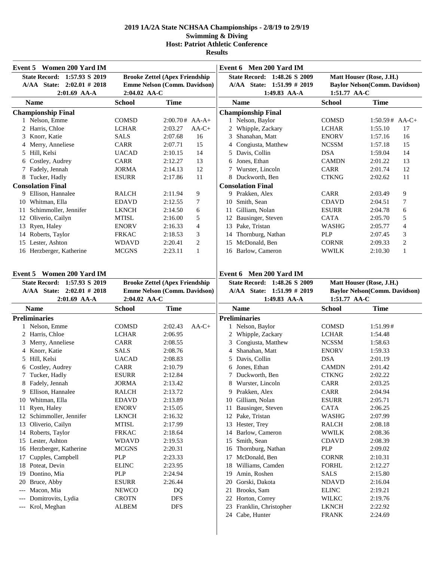| State Record: 1:57.93 S 2019<br><b>Brooke Zettel (Apex Friendship</b><br>State Record: 1:48.26 S 2009<br>Matt Houser (Rose, J.H.)<br>Emme Nelson (Comm. Davidson)<br>A/AA State: 2:02.01 # 2018<br>A/AA State: 1:51.99 # 2019<br><b>Baylor Nelson(Comm. Davidson)</b><br>2:01.69 AA-A<br>2:04.02 AA-C<br>1:49.83 AA-A<br>1:51.77 AA-C<br><b>School</b><br><b>Time</b><br><b>Name</b><br><b>School</b><br><b>Time</b><br><b>Name</b><br><b>Championship Final</b><br><b>Championship Final</b><br>1 Nelson, Emme<br>1 Nelson, Baylor<br><b>COMSD</b><br>$2:00.70#$ AA-A+<br><b>COMSD</b><br>$1:50.59#$ AA-C+<br>2 Harris, Chloe<br><b>LCHAR</b><br>2 Whipple, Zackary<br><b>LCHAR</b><br>2:03.27<br>$AA-C+$<br>1:55.10<br>17<br>3 Knorr, Katie<br>2:07.68<br>16<br>Shanahan, Matt<br>16<br><b>SALS</b><br>3<br><b>ENORV</b><br>1:57.16<br>4 Merry, Anneliese<br>CARR<br>15<br>Congiusta, Matthew<br><b>NCSSM</b><br>15<br>2:07.71<br>1:57.18<br>4<br><b>DSA</b><br>5 Hill, Kelsi<br><b>UACAD</b><br>2:10.15<br>14<br>5<br>Davis, Collin<br>14<br>1:59.04<br>6 Costley, Audrey<br>CARR<br>13<br>Jones, Ethan<br>13<br>2:12.27<br><b>CAMDN</b><br>2:01.22<br>6<br>2:14.13<br>12<br>Wurster, Lincoln<br>12<br>7 Fadely, Jennah<br>JORMA<br><b>CARR</b><br>2:01.74<br>7<br>8 Tucker, Hadly<br><b>ESURR</b><br>2:17.86<br>11<br>8 Duckworth, Ben<br><b>CTKNG</b><br>11<br>2:02.62<br><b>Consolation Final</b><br><b>Consolation Final</b><br>9 Ellison, Hannalee<br><b>RALCH</b><br>2:11.94<br>9<br>9 Prakken, Alex<br><b>CARR</b><br>2:03.49<br>9<br>10 Whitman, Ella<br><b>EDAVD</b><br>Smith, Sean<br><b>CDAVD</b><br>2:12.55<br>7<br>2:04.51<br>7<br>10<br>11 Schimmoller, Jennifer<br>6<br>Gilliam, Nolan<br><b>ESURR</b><br><b>LKNCH</b><br>2:14.50<br>2:04.78<br>6<br>11<br>5<br>12 Oliverio, Cailyn<br>5<br>12 Bausinger, Steven<br><b>MTISL</b><br>2:16.00<br><b>CATA</b><br>2:05.70<br>13 Ryen, Haley<br>4<br>Pake, Tristan<br>4<br><b>ENORV</b><br>2:16.33<br>13<br>WASHG<br>2:05.77<br>14 Roberts, Taylor<br>3<br>Thornburg, Nathan<br><b>PLP</b><br>3<br><b>FRKAC</b><br>2:18.53<br>2:07.45<br>14<br>McDonald, Ben<br>15 Lester, Ashton<br>2<br><b>CORNR</b><br>2<br><b>WDAVD</b><br>2:20.41<br>15<br>2:09.33<br>16 Herzberger, Katherine<br>2:23.11<br>$\mathbf{1}$<br>16 Barlow, Cameron<br><b>WWILK</b><br>$\mathbf{1}$<br><b>MCGNS</b><br>2:10.30<br>Event 5 Women 200 Yard IM<br>Event 6 Men 200 Yard IM<br>State Record: 1:57.93 S 2019<br><b>Brooke Zettel (Apex Friendship</b><br>State Record: 1:48.26 S 2009<br>Matt Houser (Rose, J.H.)<br>A/AA State: 2:02.01 # 2018<br>Emme Nelson (Comm. Davidson)<br>A/AA State: 1:51.99 # 2019<br><b>Baylor Nelson(Comm. Davidson)</b><br>2:04.02 AA-C<br>1:49.83 AA-A<br>1:51.77 AA-C<br>$2:01.69$ AA-A<br><b>School</b><br><b>Time</b><br><b>Name</b><br><b>School</b><br><b>Time</b><br><b>Name</b><br><b>Preliminaries</b><br><b>Preliminaries</b><br>1 Nelson, Emme<br><b>COMSD</b><br><b>COMSD</b><br>2:02.43<br>$AA-C+$<br>1 Nelson, Baylor<br>1:51.99#<br>2 Harris, Chloe<br>2 Whipple, Zackary<br><b>LCHAR</b><br><b>LCHAR</b><br>2:06.95<br>1:54.48<br>3 Merry, Anneliese<br>Congiusta, Matthew<br><b>NCSSM</b><br><b>CARR</b><br>2:08.55<br>3<br>1:58.63<br>4 Knorr, Katie<br><b>SALS</b><br>Shanahan, Matt<br><b>ENORV</b><br>2:08.76<br>1:59.33<br>4<br>5 Hill, Kelsi<br>Davis, Collin<br><b>DSA</b><br><b>UACAD</b><br>2:08.83<br>2:01.19<br>5<br>Jones, Ethan<br>6 Costley, Audrey<br><b>CARR</b><br>2:10.79<br><b>CAMDN</b><br>2:01.42<br>6<br>7 Tucker, Hadly<br><b>ESURR</b><br>2:12.84<br>7 Duckworth, Ben<br><b>CTKNG</b><br>2:02.22<br>8 Fadely, Jennah<br><b>JORMA</b><br>2:13.42<br>2:03.25<br>8 Wurster, Lincoln<br>CARR<br>9 Ellison, Hannalee<br><b>RALCH</b><br>2:13.72<br>9 Prakken, Alex<br>CARR<br>2:04.94<br>10 Whitman, Ella<br>2:13.89<br>Gilliam, Nolan<br><b>ESURR</b><br><b>EDAVD</b><br>2:05.71<br>10<br>11 Ryen, Haley<br>Bausinger, Steven<br><b>CATA</b><br><b>ENORV</b><br>2:15.05<br>2:06.25<br>11<br>12 Schimmoller, Jennifer<br>Pake, Tristan<br><b>LKNCH</b><br>2:16.32<br>12<br>WASHG<br>2:07.99<br>13 Oliverio, Cailyn<br>13<br>Hester, Trey<br><b>MTISL</b><br>2:17.99<br>RALCH<br>2:08.18<br>Barlow, Cameron<br>14 Roberts, Taylor<br>FRKAC<br>2:18.64<br>14<br>WWILK<br>2:08.36<br>15 Lester, Ashton<br>Smith, Sean<br><b>WDAVD</b><br>2:19.53<br>15<br>CDAVD<br>2:08.39<br>16 Herzberger, Katherine<br>Thornburg, Nathan<br>PLP<br><b>MCGNS</b><br>2:20.31<br>2:09.02<br>16<br>Cupples, Campbell<br><b>PLP</b><br>2:23.33<br>McDonald, Ben<br>17<br><b>CORNR</b><br>2:10.31<br>17<br>18 Poteat, Devin<br>Williams, Camden<br><b>ELINC</b><br>2:23.95<br>FORHL<br>2:12.27<br>18<br>19 Dontino, Mia<br>Amin, Roshen<br><b>PLP</b><br>2:24.94<br>SALS<br>2:15.80<br>19<br>Bruce, Abby<br>Gorski, Dakota<br><b>ESURR</b><br>2:26.44<br>20<br><b>NDAVD</b><br>2:16.04<br>20<br>Macon, Mia<br>Brooks, Sam<br><b>NEWCO</b><br>DQ<br><b>ELINC</b><br>2:19.21<br>21<br>Domitrovits, Lydia<br><b>DFS</b><br>Horton, Correy<br><b>CROTN</b><br>22<br>WILKC<br>2:19.76<br>Krol, Meghan<br><b>DFS</b><br>Franklin, Christopher<br>2:22.92<br><b>ALBEM</b><br>23<br><b>LKNCH</b><br>$---$<br>24 Cabe, Hunter<br>2:24.69<br><b>FRANK</b> | Event 5 Women 200 Yard IM |  | Event 6 Men 200 Yard IM |  |
|-------------------------------------------------------------------------------------------------------------------------------------------------------------------------------------------------------------------------------------------------------------------------------------------------------------------------------------------------------------------------------------------------------------------------------------------------------------------------------------------------------------------------------------------------------------------------------------------------------------------------------------------------------------------------------------------------------------------------------------------------------------------------------------------------------------------------------------------------------------------------------------------------------------------------------------------------------------------------------------------------------------------------------------------------------------------------------------------------------------------------------------------------------------------------------------------------------------------------------------------------------------------------------------------------------------------------------------------------------------------------------------------------------------------------------------------------------------------------------------------------------------------------------------------------------------------------------------------------------------------------------------------------------------------------------------------------------------------------------------------------------------------------------------------------------------------------------------------------------------------------------------------------------------------------------------------------------------------------------------------------------------------------------------------------------------------------------------------------------------------------------------------------------------------------------------------------------------------------------------------------------------------------------------------------------------------------------------------------------------------------------------------------------------------------------------------------------------------------------------------------------------------------------------------------------------------------------------------------------------------------------------------------------------------------------------------------------------------------------------------------------------------------------------------------------------------------------------------------------------------------------------------------------------------------------------------------------------------------------------------------------------------------------------------------------------------------------------------------------------------------------------------------------------------------------------------------------------------------------------------------------------------------------------------------------------------------------------------------------------------------------------------------------------------------------------------------------------------------------------------------------------------------------------------------------------------------------------------------------------------------------------------------------------------------------------------------------------------------------------------------------------------------------------------------------------------------------------------------------------------------------------------------------------------------------------------------------------------------------------------------------------------------------------------------------------------------------------------------------------------------------------------------------------------------------------------------------------------------------------------------------------------------------------------------------------------------------------------------------------------------------------------------------------------------------------------------------------------------------------------------------------------------------------------------------------------------------------------------------------------------------------------------------------------------------------------------------------------------------------------------------------------------------------------------------------------------------------------------------------------------------------------------------------------------------------------------------------------------------------------------------------------------------------------------------------------------------------------------------------------------------------------------------------------------------------------------------------------------------------|---------------------------|--|-------------------------|--|
|                                                                                                                                                                                                                                                                                                                                                                                                                                                                                                                                                                                                                                                                                                                                                                                                                                                                                                                                                                                                                                                                                                                                                                                                                                                                                                                                                                                                                                                                                                                                                                                                                                                                                                                                                                                                                                                                                                                                                                                                                                                                                                                                                                                                                                                                                                                                                                                                                                                                                                                                                                                                                                                                                                                                                                                                                                                                                                                                                                                                                                                                                                                                                                                                                                                                                                                                                                                                                                                                                                                                                                                                                                                                                                                                                                                                                                                                                                                                                                                                                                                                                                                                                                                                                                                                                                                                                                                                                                                                                                                                                                                                                                                                                                                                                                                                                                                                                                                                                                                                                                                                                                                                                                                                                                     |                           |  |                         |  |
|                                                                                                                                                                                                                                                                                                                                                                                                                                                                                                                                                                                                                                                                                                                                                                                                                                                                                                                                                                                                                                                                                                                                                                                                                                                                                                                                                                                                                                                                                                                                                                                                                                                                                                                                                                                                                                                                                                                                                                                                                                                                                                                                                                                                                                                                                                                                                                                                                                                                                                                                                                                                                                                                                                                                                                                                                                                                                                                                                                                                                                                                                                                                                                                                                                                                                                                                                                                                                                                                                                                                                                                                                                                                                                                                                                                                                                                                                                                                                                                                                                                                                                                                                                                                                                                                                                                                                                                                                                                                                                                                                                                                                                                                                                                                                                                                                                                                                                                                                                                                                                                                                                                                                                                                                                     |                           |  |                         |  |
|                                                                                                                                                                                                                                                                                                                                                                                                                                                                                                                                                                                                                                                                                                                                                                                                                                                                                                                                                                                                                                                                                                                                                                                                                                                                                                                                                                                                                                                                                                                                                                                                                                                                                                                                                                                                                                                                                                                                                                                                                                                                                                                                                                                                                                                                                                                                                                                                                                                                                                                                                                                                                                                                                                                                                                                                                                                                                                                                                                                                                                                                                                                                                                                                                                                                                                                                                                                                                                                                                                                                                                                                                                                                                                                                                                                                                                                                                                                                                                                                                                                                                                                                                                                                                                                                                                                                                                                                                                                                                                                                                                                                                                                                                                                                                                                                                                                                                                                                                                                                                                                                                                                                                                                                                                     |                           |  |                         |  |
|                                                                                                                                                                                                                                                                                                                                                                                                                                                                                                                                                                                                                                                                                                                                                                                                                                                                                                                                                                                                                                                                                                                                                                                                                                                                                                                                                                                                                                                                                                                                                                                                                                                                                                                                                                                                                                                                                                                                                                                                                                                                                                                                                                                                                                                                                                                                                                                                                                                                                                                                                                                                                                                                                                                                                                                                                                                                                                                                                                                                                                                                                                                                                                                                                                                                                                                                                                                                                                                                                                                                                                                                                                                                                                                                                                                                                                                                                                                                                                                                                                                                                                                                                                                                                                                                                                                                                                                                                                                                                                                                                                                                                                                                                                                                                                                                                                                                                                                                                                                                                                                                                                                                                                                                                                     |                           |  |                         |  |
|                                                                                                                                                                                                                                                                                                                                                                                                                                                                                                                                                                                                                                                                                                                                                                                                                                                                                                                                                                                                                                                                                                                                                                                                                                                                                                                                                                                                                                                                                                                                                                                                                                                                                                                                                                                                                                                                                                                                                                                                                                                                                                                                                                                                                                                                                                                                                                                                                                                                                                                                                                                                                                                                                                                                                                                                                                                                                                                                                                                                                                                                                                                                                                                                                                                                                                                                                                                                                                                                                                                                                                                                                                                                                                                                                                                                                                                                                                                                                                                                                                                                                                                                                                                                                                                                                                                                                                                                                                                                                                                                                                                                                                                                                                                                                                                                                                                                                                                                                                                                                                                                                                                                                                                                                                     |                           |  |                         |  |
|                                                                                                                                                                                                                                                                                                                                                                                                                                                                                                                                                                                                                                                                                                                                                                                                                                                                                                                                                                                                                                                                                                                                                                                                                                                                                                                                                                                                                                                                                                                                                                                                                                                                                                                                                                                                                                                                                                                                                                                                                                                                                                                                                                                                                                                                                                                                                                                                                                                                                                                                                                                                                                                                                                                                                                                                                                                                                                                                                                                                                                                                                                                                                                                                                                                                                                                                                                                                                                                                                                                                                                                                                                                                                                                                                                                                                                                                                                                                                                                                                                                                                                                                                                                                                                                                                                                                                                                                                                                                                                                                                                                                                                                                                                                                                                                                                                                                                                                                                                                                                                                                                                                                                                                                                                     |                           |  |                         |  |
|                                                                                                                                                                                                                                                                                                                                                                                                                                                                                                                                                                                                                                                                                                                                                                                                                                                                                                                                                                                                                                                                                                                                                                                                                                                                                                                                                                                                                                                                                                                                                                                                                                                                                                                                                                                                                                                                                                                                                                                                                                                                                                                                                                                                                                                                                                                                                                                                                                                                                                                                                                                                                                                                                                                                                                                                                                                                                                                                                                                                                                                                                                                                                                                                                                                                                                                                                                                                                                                                                                                                                                                                                                                                                                                                                                                                                                                                                                                                                                                                                                                                                                                                                                                                                                                                                                                                                                                                                                                                                                                                                                                                                                                                                                                                                                                                                                                                                                                                                                                                                                                                                                                                                                                                                                     |                           |  |                         |  |
|                                                                                                                                                                                                                                                                                                                                                                                                                                                                                                                                                                                                                                                                                                                                                                                                                                                                                                                                                                                                                                                                                                                                                                                                                                                                                                                                                                                                                                                                                                                                                                                                                                                                                                                                                                                                                                                                                                                                                                                                                                                                                                                                                                                                                                                                                                                                                                                                                                                                                                                                                                                                                                                                                                                                                                                                                                                                                                                                                                                                                                                                                                                                                                                                                                                                                                                                                                                                                                                                                                                                                                                                                                                                                                                                                                                                                                                                                                                                                                                                                                                                                                                                                                                                                                                                                                                                                                                                                                                                                                                                                                                                                                                                                                                                                                                                                                                                                                                                                                                                                                                                                                                                                                                                                                     |                           |  |                         |  |
|                                                                                                                                                                                                                                                                                                                                                                                                                                                                                                                                                                                                                                                                                                                                                                                                                                                                                                                                                                                                                                                                                                                                                                                                                                                                                                                                                                                                                                                                                                                                                                                                                                                                                                                                                                                                                                                                                                                                                                                                                                                                                                                                                                                                                                                                                                                                                                                                                                                                                                                                                                                                                                                                                                                                                                                                                                                                                                                                                                                                                                                                                                                                                                                                                                                                                                                                                                                                                                                                                                                                                                                                                                                                                                                                                                                                                                                                                                                                                                                                                                                                                                                                                                                                                                                                                                                                                                                                                                                                                                                                                                                                                                                                                                                                                                                                                                                                                                                                                                                                                                                                                                                                                                                                                                     |                           |  |                         |  |
|                                                                                                                                                                                                                                                                                                                                                                                                                                                                                                                                                                                                                                                                                                                                                                                                                                                                                                                                                                                                                                                                                                                                                                                                                                                                                                                                                                                                                                                                                                                                                                                                                                                                                                                                                                                                                                                                                                                                                                                                                                                                                                                                                                                                                                                                                                                                                                                                                                                                                                                                                                                                                                                                                                                                                                                                                                                                                                                                                                                                                                                                                                                                                                                                                                                                                                                                                                                                                                                                                                                                                                                                                                                                                                                                                                                                                                                                                                                                                                                                                                                                                                                                                                                                                                                                                                                                                                                                                                                                                                                                                                                                                                                                                                                                                                                                                                                                                                                                                                                                                                                                                                                                                                                                                                     |                           |  |                         |  |
|                                                                                                                                                                                                                                                                                                                                                                                                                                                                                                                                                                                                                                                                                                                                                                                                                                                                                                                                                                                                                                                                                                                                                                                                                                                                                                                                                                                                                                                                                                                                                                                                                                                                                                                                                                                                                                                                                                                                                                                                                                                                                                                                                                                                                                                                                                                                                                                                                                                                                                                                                                                                                                                                                                                                                                                                                                                                                                                                                                                                                                                                                                                                                                                                                                                                                                                                                                                                                                                                                                                                                                                                                                                                                                                                                                                                                                                                                                                                                                                                                                                                                                                                                                                                                                                                                                                                                                                                                                                                                                                                                                                                                                                                                                                                                                                                                                                                                                                                                                                                                                                                                                                                                                                                                                     |                           |  |                         |  |
|                                                                                                                                                                                                                                                                                                                                                                                                                                                                                                                                                                                                                                                                                                                                                                                                                                                                                                                                                                                                                                                                                                                                                                                                                                                                                                                                                                                                                                                                                                                                                                                                                                                                                                                                                                                                                                                                                                                                                                                                                                                                                                                                                                                                                                                                                                                                                                                                                                                                                                                                                                                                                                                                                                                                                                                                                                                                                                                                                                                                                                                                                                                                                                                                                                                                                                                                                                                                                                                                                                                                                                                                                                                                                                                                                                                                                                                                                                                                                                                                                                                                                                                                                                                                                                                                                                                                                                                                                                                                                                                                                                                                                                                                                                                                                                                                                                                                                                                                                                                                                                                                                                                                                                                                                                     |                           |  |                         |  |
|                                                                                                                                                                                                                                                                                                                                                                                                                                                                                                                                                                                                                                                                                                                                                                                                                                                                                                                                                                                                                                                                                                                                                                                                                                                                                                                                                                                                                                                                                                                                                                                                                                                                                                                                                                                                                                                                                                                                                                                                                                                                                                                                                                                                                                                                                                                                                                                                                                                                                                                                                                                                                                                                                                                                                                                                                                                                                                                                                                                                                                                                                                                                                                                                                                                                                                                                                                                                                                                                                                                                                                                                                                                                                                                                                                                                                                                                                                                                                                                                                                                                                                                                                                                                                                                                                                                                                                                                                                                                                                                                                                                                                                                                                                                                                                                                                                                                                                                                                                                                                                                                                                                                                                                                                                     |                           |  |                         |  |
|                                                                                                                                                                                                                                                                                                                                                                                                                                                                                                                                                                                                                                                                                                                                                                                                                                                                                                                                                                                                                                                                                                                                                                                                                                                                                                                                                                                                                                                                                                                                                                                                                                                                                                                                                                                                                                                                                                                                                                                                                                                                                                                                                                                                                                                                                                                                                                                                                                                                                                                                                                                                                                                                                                                                                                                                                                                                                                                                                                                                                                                                                                                                                                                                                                                                                                                                                                                                                                                                                                                                                                                                                                                                                                                                                                                                                                                                                                                                                                                                                                                                                                                                                                                                                                                                                                                                                                                                                                                                                                                                                                                                                                                                                                                                                                                                                                                                                                                                                                                                                                                                                                                                                                                                                                     |                           |  |                         |  |
|                                                                                                                                                                                                                                                                                                                                                                                                                                                                                                                                                                                                                                                                                                                                                                                                                                                                                                                                                                                                                                                                                                                                                                                                                                                                                                                                                                                                                                                                                                                                                                                                                                                                                                                                                                                                                                                                                                                                                                                                                                                                                                                                                                                                                                                                                                                                                                                                                                                                                                                                                                                                                                                                                                                                                                                                                                                                                                                                                                                                                                                                                                                                                                                                                                                                                                                                                                                                                                                                                                                                                                                                                                                                                                                                                                                                                                                                                                                                                                                                                                                                                                                                                                                                                                                                                                                                                                                                                                                                                                                                                                                                                                                                                                                                                                                                                                                                                                                                                                                                                                                                                                                                                                                                                                     |                           |  |                         |  |
|                                                                                                                                                                                                                                                                                                                                                                                                                                                                                                                                                                                                                                                                                                                                                                                                                                                                                                                                                                                                                                                                                                                                                                                                                                                                                                                                                                                                                                                                                                                                                                                                                                                                                                                                                                                                                                                                                                                                                                                                                                                                                                                                                                                                                                                                                                                                                                                                                                                                                                                                                                                                                                                                                                                                                                                                                                                                                                                                                                                                                                                                                                                                                                                                                                                                                                                                                                                                                                                                                                                                                                                                                                                                                                                                                                                                                                                                                                                                                                                                                                                                                                                                                                                                                                                                                                                                                                                                                                                                                                                                                                                                                                                                                                                                                                                                                                                                                                                                                                                                                                                                                                                                                                                                                                     |                           |  |                         |  |
|                                                                                                                                                                                                                                                                                                                                                                                                                                                                                                                                                                                                                                                                                                                                                                                                                                                                                                                                                                                                                                                                                                                                                                                                                                                                                                                                                                                                                                                                                                                                                                                                                                                                                                                                                                                                                                                                                                                                                                                                                                                                                                                                                                                                                                                                                                                                                                                                                                                                                                                                                                                                                                                                                                                                                                                                                                                                                                                                                                                                                                                                                                                                                                                                                                                                                                                                                                                                                                                                                                                                                                                                                                                                                                                                                                                                                                                                                                                                                                                                                                                                                                                                                                                                                                                                                                                                                                                                                                                                                                                                                                                                                                                                                                                                                                                                                                                                                                                                                                                                                                                                                                                                                                                                                                     |                           |  |                         |  |
|                                                                                                                                                                                                                                                                                                                                                                                                                                                                                                                                                                                                                                                                                                                                                                                                                                                                                                                                                                                                                                                                                                                                                                                                                                                                                                                                                                                                                                                                                                                                                                                                                                                                                                                                                                                                                                                                                                                                                                                                                                                                                                                                                                                                                                                                                                                                                                                                                                                                                                                                                                                                                                                                                                                                                                                                                                                                                                                                                                                                                                                                                                                                                                                                                                                                                                                                                                                                                                                                                                                                                                                                                                                                                                                                                                                                                                                                                                                                                                                                                                                                                                                                                                                                                                                                                                                                                                                                                                                                                                                                                                                                                                                                                                                                                                                                                                                                                                                                                                                                                                                                                                                                                                                                                                     |                           |  |                         |  |
|                                                                                                                                                                                                                                                                                                                                                                                                                                                                                                                                                                                                                                                                                                                                                                                                                                                                                                                                                                                                                                                                                                                                                                                                                                                                                                                                                                                                                                                                                                                                                                                                                                                                                                                                                                                                                                                                                                                                                                                                                                                                                                                                                                                                                                                                                                                                                                                                                                                                                                                                                                                                                                                                                                                                                                                                                                                                                                                                                                                                                                                                                                                                                                                                                                                                                                                                                                                                                                                                                                                                                                                                                                                                                                                                                                                                                                                                                                                                                                                                                                                                                                                                                                                                                                                                                                                                                                                                                                                                                                                                                                                                                                                                                                                                                                                                                                                                                                                                                                                                                                                                                                                                                                                                                                     |                           |  |                         |  |
|                                                                                                                                                                                                                                                                                                                                                                                                                                                                                                                                                                                                                                                                                                                                                                                                                                                                                                                                                                                                                                                                                                                                                                                                                                                                                                                                                                                                                                                                                                                                                                                                                                                                                                                                                                                                                                                                                                                                                                                                                                                                                                                                                                                                                                                                                                                                                                                                                                                                                                                                                                                                                                                                                                                                                                                                                                                                                                                                                                                                                                                                                                                                                                                                                                                                                                                                                                                                                                                                                                                                                                                                                                                                                                                                                                                                                                                                                                                                                                                                                                                                                                                                                                                                                                                                                                                                                                                                                                                                                                                                                                                                                                                                                                                                                                                                                                                                                                                                                                                                                                                                                                                                                                                                                                     |                           |  |                         |  |
|                                                                                                                                                                                                                                                                                                                                                                                                                                                                                                                                                                                                                                                                                                                                                                                                                                                                                                                                                                                                                                                                                                                                                                                                                                                                                                                                                                                                                                                                                                                                                                                                                                                                                                                                                                                                                                                                                                                                                                                                                                                                                                                                                                                                                                                                                                                                                                                                                                                                                                                                                                                                                                                                                                                                                                                                                                                                                                                                                                                                                                                                                                                                                                                                                                                                                                                                                                                                                                                                                                                                                                                                                                                                                                                                                                                                                                                                                                                                                                                                                                                                                                                                                                                                                                                                                                                                                                                                                                                                                                                                                                                                                                                                                                                                                                                                                                                                                                                                                                                                                                                                                                                                                                                                                                     |                           |  |                         |  |
|                                                                                                                                                                                                                                                                                                                                                                                                                                                                                                                                                                                                                                                                                                                                                                                                                                                                                                                                                                                                                                                                                                                                                                                                                                                                                                                                                                                                                                                                                                                                                                                                                                                                                                                                                                                                                                                                                                                                                                                                                                                                                                                                                                                                                                                                                                                                                                                                                                                                                                                                                                                                                                                                                                                                                                                                                                                                                                                                                                                                                                                                                                                                                                                                                                                                                                                                                                                                                                                                                                                                                                                                                                                                                                                                                                                                                                                                                                                                                                                                                                                                                                                                                                                                                                                                                                                                                                                                                                                                                                                                                                                                                                                                                                                                                                                                                                                                                                                                                                                                                                                                                                                                                                                                                                     |                           |  |                         |  |
|                                                                                                                                                                                                                                                                                                                                                                                                                                                                                                                                                                                                                                                                                                                                                                                                                                                                                                                                                                                                                                                                                                                                                                                                                                                                                                                                                                                                                                                                                                                                                                                                                                                                                                                                                                                                                                                                                                                                                                                                                                                                                                                                                                                                                                                                                                                                                                                                                                                                                                                                                                                                                                                                                                                                                                                                                                                                                                                                                                                                                                                                                                                                                                                                                                                                                                                                                                                                                                                                                                                                                                                                                                                                                                                                                                                                                                                                                                                                                                                                                                                                                                                                                                                                                                                                                                                                                                                                                                                                                                                                                                                                                                                                                                                                                                                                                                                                                                                                                                                                                                                                                                                                                                                                                                     |                           |  |                         |  |
|                                                                                                                                                                                                                                                                                                                                                                                                                                                                                                                                                                                                                                                                                                                                                                                                                                                                                                                                                                                                                                                                                                                                                                                                                                                                                                                                                                                                                                                                                                                                                                                                                                                                                                                                                                                                                                                                                                                                                                                                                                                                                                                                                                                                                                                                                                                                                                                                                                                                                                                                                                                                                                                                                                                                                                                                                                                                                                                                                                                                                                                                                                                                                                                                                                                                                                                                                                                                                                                                                                                                                                                                                                                                                                                                                                                                                                                                                                                                                                                                                                                                                                                                                                                                                                                                                                                                                                                                                                                                                                                                                                                                                                                                                                                                                                                                                                                                                                                                                                                                                                                                                                                                                                                                                                     |                           |  |                         |  |
|                                                                                                                                                                                                                                                                                                                                                                                                                                                                                                                                                                                                                                                                                                                                                                                                                                                                                                                                                                                                                                                                                                                                                                                                                                                                                                                                                                                                                                                                                                                                                                                                                                                                                                                                                                                                                                                                                                                                                                                                                                                                                                                                                                                                                                                                                                                                                                                                                                                                                                                                                                                                                                                                                                                                                                                                                                                                                                                                                                                                                                                                                                                                                                                                                                                                                                                                                                                                                                                                                                                                                                                                                                                                                                                                                                                                                                                                                                                                                                                                                                                                                                                                                                                                                                                                                                                                                                                                                                                                                                                                                                                                                                                                                                                                                                                                                                                                                                                                                                                                                                                                                                                                                                                                                                     |                           |  |                         |  |
|                                                                                                                                                                                                                                                                                                                                                                                                                                                                                                                                                                                                                                                                                                                                                                                                                                                                                                                                                                                                                                                                                                                                                                                                                                                                                                                                                                                                                                                                                                                                                                                                                                                                                                                                                                                                                                                                                                                                                                                                                                                                                                                                                                                                                                                                                                                                                                                                                                                                                                                                                                                                                                                                                                                                                                                                                                                                                                                                                                                                                                                                                                                                                                                                                                                                                                                                                                                                                                                                                                                                                                                                                                                                                                                                                                                                                                                                                                                                                                                                                                                                                                                                                                                                                                                                                                                                                                                                                                                                                                                                                                                                                                                                                                                                                                                                                                                                                                                                                                                                                                                                                                                                                                                                                                     |                           |  |                         |  |
|                                                                                                                                                                                                                                                                                                                                                                                                                                                                                                                                                                                                                                                                                                                                                                                                                                                                                                                                                                                                                                                                                                                                                                                                                                                                                                                                                                                                                                                                                                                                                                                                                                                                                                                                                                                                                                                                                                                                                                                                                                                                                                                                                                                                                                                                                                                                                                                                                                                                                                                                                                                                                                                                                                                                                                                                                                                                                                                                                                                                                                                                                                                                                                                                                                                                                                                                                                                                                                                                                                                                                                                                                                                                                                                                                                                                                                                                                                                                                                                                                                                                                                                                                                                                                                                                                                                                                                                                                                                                                                                                                                                                                                                                                                                                                                                                                                                                                                                                                                                                                                                                                                                                                                                                                                     |                           |  |                         |  |
|                                                                                                                                                                                                                                                                                                                                                                                                                                                                                                                                                                                                                                                                                                                                                                                                                                                                                                                                                                                                                                                                                                                                                                                                                                                                                                                                                                                                                                                                                                                                                                                                                                                                                                                                                                                                                                                                                                                                                                                                                                                                                                                                                                                                                                                                                                                                                                                                                                                                                                                                                                                                                                                                                                                                                                                                                                                                                                                                                                                                                                                                                                                                                                                                                                                                                                                                                                                                                                                                                                                                                                                                                                                                                                                                                                                                                                                                                                                                                                                                                                                                                                                                                                                                                                                                                                                                                                                                                                                                                                                                                                                                                                                                                                                                                                                                                                                                                                                                                                                                                                                                                                                                                                                                                                     |                           |  |                         |  |
|                                                                                                                                                                                                                                                                                                                                                                                                                                                                                                                                                                                                                                                                                                                                                                                                                                                                                                                                                                                                                                                                                                                                                                                                                                                                                                                                                                                                                                                                                                                                                                                                                                                                                                                                                                                                                                                                                                                                                                                                                                                                                                                                                                                                                                                                                                                                                                                                                                                                                                                                                                                                                                                                                                                                                                                                                                                                                                                                                                                                                                                                                                                                                                                                                                                                                                                                                                                                                                                                                                                                                                                                                                                                                                                                                                                                                                                                                                                                                                                                                                                                                                                                                                                                                                                                                                                                                                                                                                                                                                                                                                                                                                                                                                                                                                                                                                                                                                                                                                                                                                                                                                                                                                                                                                     |                           |  |                         |  |
|                                                                                                                                                                                                                                                                                                                                                                                                                                                                                                                                                                                                                                                                                                                                                                                                                                                                                                                                                                                                                                                                                                                                                                                                                                                                                                                                                                                                                                                                                                                                                                                                                                                                                                                                                                                                                                                                                                                                                                                                                                                                                                                                                                                                                                                                                                                                                                                                                                                                                                                                                                                                                                                                                                                                                                                                                                                                                                                                                                                                                                                                                                                                                                                                                                                                                                                                                                                                                                                                                                                                                                                                                                                                                                                                                                                                                                                                                                                                                                                                                                                                                                                                                                                                                                                                                                                                                                                                                                                                                                                                                                                                                                                                                                                                                                                                                                                                                                                                                                                                                                                                                                                                                                                                                                     |                           |  |                         |  |
|                                                                                                                                                                                                                                                                                                                                                                                                                                                                                                                                                                                                                                                                                                                                                                                                                                                                                                                                                                                                                                                                                                                                                                                                                                                                                                                                                                                                                                                                                                                                                                                                                                                                                                                                                                                                                                                                                                                                                                                                                                                                                                                                                                                                                                                                                                                                                                                                                                                                                                                                                                                                                                                                                                                                                                                                                                                                                                                                                                                                                                                                                                                                                                                                                                                                                                                                                                                                                                                                                                                                                                                                                                                                                                                                                                                                                                                                                                                                                                                                                                                                                                                                                                                                                                                                                                                                                                                                                                                                                                                                                                                                                                                                                                                                                                                                                                                                                                                                                                                                                                                                                                                                                                                                                                     |                           |  |                         |  |
|                                                                                                                                                                                                                                                                                                                                                                                                                                                                                                                                                                                                                                                                                                                                                                                                                                                                                                                                                                                                                                                                                                                                                                                                                                                                                                                                                                                                                                                                                                                                                                                                                                                                                                                                                                                                                                                                                                                                                                                                                                                                                                                                                                                                                                                                                                                                                                                                                                                                                                                                                                                                                                                                                                                                                                                                                                                                                                                                                                                                                                                                                                                                                                                                                                                                                                                                                                                                                                                                                                                                                                                                                                                                                                                                                                                                                                                                                                                                                                                                                                                                                                                                                                                                                                                                                                                                                                                                                                                                                                                                                                                                                                                                                                                                                                                                                                                                                                                                                                                                                                                                                                                                                                                                                                     |                           |  |                         |  |
|                                                                                                                                                                                                                                                                                                                                                                                                                                                                                                                                                                                                                                                                                                                                                                                                                                                                                                                                                                                                                                                                                                                                                                                                                                                                                                                                                                                                                                                                                                                                                                                                                                                                                                                                                                                                                                                                                                                                                                                                                                                                                                                                                                                                                                                                                                                                                                                                                                                                                                                                                                                                                                                                                                                                                                                                                                                                                                                                                                                                                                                                                                                                                                                                                                                                                                                                                                                                                                                                                                                                                                                                                                                                                                                                                                                                                                                                                                                                                                                                                                                                                                                                                                                                                                                                                                                                                                                                                                                                                                                                                                                                                                                                                                                                                                                                                                                                                                                                                                                                                                                                                                                                                                                                                                     |                           |  |                         |  |
|                                                                                                                                                                                                                                                                                                                                                                                                                                                                                                                                                                                                                                                                                                                                                                                                                                                                                                                                                                                                                                                                                                                                                                                                                                                                                                                                                                                                                                                                                                                                                                                                                                                                                                                                                                                                                                                                                                                                                                                                                                                                                                                                                                                                                                                                                                                                                                                                                                                                                                                                                                                                                                                                                                                                                                                                                                                                                                                                                                                                                                                                                                                                                                                                                                                                                                                                                                                                                                                                                                                                                                                                                                                                                                                                                                                                                                                                                                                                                                                                                                                                                                                                                                                                                                                                                                                                                                                                                                                                                                                                                                                                                                                                                                                                                                                                                                                                                                                                                                                                                                                                                                                                                                                                                                     |                           |  |                         |  |
|                                                                                                                                                                                                                                                                                                                                                                                                                                                                                                                                                                                                                                                                                                                                                                                                                                                                                                                                                                                                                                                                                                                                                                                                                                                                                                                                                                                                                                                                                                                                                                                                                                                                                                                                                                                                                                                                                                                                                                                                                                                                                                                                                                                                                                                                                                                                                                                                                                                                                                                                                                                                                                                                                                                                                                                                                                                                                                                                                                                                                                                                                                                                                                                                                                                                                                                                                                                                                                                                                                                                                                                                                                                                                                                                                                                                                                                                                                                                                                                                                                                                                                                                                                                                                                                                                                                                                                                                                                                                                                                                                                                                                                                                                                                                                                                                                                                                                                                                                                                                                                                                                                                                                                                                                                     |                           |  |                         |  |
|                                                                                                                                                                                                                                                                                                                                                                                                                                                                                                                                                                                                                                                                                                                                                                                                                                                                                                                                                                                                                                                                                                                                                                                                                                                                                                                                                                                                                                                                                                                                                                                                                                                                                                                                                                                                                                                                                                                                                                                                                                                                                                                                                                                                                                                                                                                                                                                                                                                                                                                                                                                                                                                                                                                                                                                                                                                                                                                                                                                                                                                                                                                                                                                                                                                                                                                                                                                                                                                                                                                                                                                                                                                                                                                                                                                                                                                                                                                                                                                                                                                                                                                                                                                                                                                                                                                                                                                                                                                                                                                                                                                                                                                                                                                                                                                                                                                                                                                                                                                                                                                                                                                                                                                                                                     |                           |  |                         |  |
|                                                                                                                                                                                                                                                                                                                                                                                                                                                                                                                                                                                                                                                                                                                                                                                                                                                                                                                                                                                                                                                                                                                                                                                                                                                                                                                                                                                                                                                                                                                                                                                                                                                                                                                                                                                                                                                                                                                                                                                                                                                                                                                                                                                                                                                                                                                                                                                                                                                                                                                                                                                                                                                                                                                                                                                                                                                                                                                                                                                                                                                                                                                                                                                                                                                                                                                                                                                                                                                                                                                                                                                                                                                                                                                                                                                                                                                                                                                                                                                                                                                                                                                                                                                                                                                                                                                                                                                                                                                                                                                                                                                                                                                                                                                                                                                                                                                                                                                                                                                                                                                                                                                                                                                                                                     |                           |  |                         |  |
|                                                                                                                                                                                                                                                                                                                                                                                                                                                                                                                                                                                                                                                                                                                                                                                                                                                                                                                                                                                                                                                                                                                                                                                                                                                                                                                                                                                                                                                                                                                                                                                                                                                                                                                                                                                                                                                                                                                                                                                                                                                                                                                                                                                                                                                                                                                                                                                                                                                                                                                                                                                                                                                                                                                                                                                                                                                                                                                                                                                                                                                                                                                                                                                                                                                                                                                                                                                                                                                                                                                                                                                                                                                                                                                                                                                                                                                                                                                                                                                                                                                                                                                                                                                                                                                                                                                                                                                                                                                                                                                                                                                                                                                                                                                                                                                                                                                                                                                                                                                                                                                                                                                                                                                                                                     |                           |  |                         |  |
|                                                                                                                                                                                                                                                                                                                                                                                                                                                                                                                                                                                                                                                                                                                                                                                                                                                                                                                                                                                                                                                                                                                                                                                                                                                                                                                                                                                                                                                                                                                                                                                                                                                                                                                                                                                                                                                                                                                                                                                                                                                                                                                                                                                                                                                                                                                                                                                                                                                                                                                                                                                                                                                                                                                                                                                                                                                                                                                                                                                                                                                                                                                                                                                                                                                                                                                                                                                                                                                                                                                                                                                                                                                                                                                                                                                                                                                                                                                                                                                                                                                                                                                                                                                                                                                                                                                                                                                                                                                                                                                                                                                                                                                                                                                                                                                                                                                                                                                                                                                                                                                                                                                                                                                                                                     |                           |  |                         |  |
|                                                                                                                                                                                                                                                                                                                                                                                                                                                                                                                                                                                                                                                                                                                                                                                                                                                                                                                                                                                                                                                                                                                                                                                                                                                                                                                                                                                                                                                                                                                                                                                                                                                                                                                                                                                                                                                                                                                                                                                                                                                                                                                                                                                                                                                                                                                                                                                                                                                                                                                                                                                                                                                                                                                                                                                                                                                                                                                                                                                                                                                                                                                                                                                                                                                                                                                                                                                                                                                                                                                                                                                                                                                                                                                                                                                                                                                                                                                                                                                                                                                                                                                                                                                                                                                                                                                                                                                                                                                                                                                                                                                                                                                                                                                                                                                                                                                                                                                                                                                                                                                                                                                                                                                                                                     |                           |  |                         |  |
|                                                                                                                                                                                                                                                                                                                                                                                                                                                                                                                                                                                                                                                                                                                                                                                                                                                                                                                                                                                                                                                                                                                                                                                                                                                                                                                                                                                                                                                                                                                                                                                                                                                                                                                                                                                                                                                                                                                                                                                                                                                                                                                                                                                                                                                                                                                                                                                                                                                                                                                                                                                                                                                                                                                                                                                                                                                                                                                                                                                                                                                                                                                                                                                                                                                                                                                                                                                                                                                                                                                                                                                                                                                                                                                                                                                                                                                                                                                                                                                                                                                                                                                                                                                                                                                                                                                                                                                                                                                                                                                                                                                                                                                                                                                                                                                                                                                                                                                                                                                                                                                                                                                                                                                                                                     |                           |  |                         |  |
|                                                                                                                                                                                                                                                                                                                                                                                                                                                                                                                                                                                                                                                                                                                                                                                                                                                                                                                                                                                                                                                                                                                                                                                                                                                                                                                                                                                                                                                                                                                                                                                                                                                                                                                                                                                                                                                                                                                                                                                                                                                                                                                                                                                                                                                                                                                                                                                                                                                                                                                                                                                                                                                                                                                                                                                                                                                                                                                                                                                                                                                                                                                                                                                                                                                                                                                                                                                                                                                                                                                                                                                                                                                                                                                                                                                                                                                                                                                                                                                                                                                                                                                                                                                                                                                                                                                                                                                                                                                                                                                                                                                                                                                                                                                                                                                                                                                                                                                                                                                                                                                                                                                                                                                                                                     |                           |  |                         |  |
|                                                                                                                                                                                                                                                                                                                                                                                                                                                                                                                                                                                                                                                                                                                                                                                                                                                                                                                                                                                                                                                                                                                                                                                                                                                                                                                                                                                                                                                                                                                                                                                                                                                                                                                                                                                                                                                                                                                                                                                                                                                                                                                                                                                                                                                                                                                                                                                                                                                                                                                                                                                                                                                                                                                                                                                                                                                                                                                                                                                                                                                                                                                                                                                                                                                                                                                                                                                                                                                                                                                                                                                                                                                                                                                                                                                                                                                                                                                                                                                                                                                                                                                                                                                                                                                                                                                                                                                                                                                                                                                                                                                                                                                                                                                                                                                                                                                                                                                                                                                                                                                                                                                                                                                                                                     |                           |  |                         |  |
|                                                                                                                                                                                                                                                                                                                                                                                                                                                                                                                                                                                                                                                                                                                                                                                                                                                                                                                                                                                                                                                                                                                                                                                                                                                                                                                                                                                                                                                                                                                                                                                                                                                                                                                                                                                                                                                                                                                                                                                                                                                                                                                                                                                                                                                                                                                                                                                                                                                                                                                                                                                                                                                                                                                                                                                                                                                                                                                                                                                                                                                                                                                                                                                                                                                                                                                                                                                                                                                                                                                                                                                                                                                                                                                                                                                                                                                                                                                                                                                                                                                                                                                                                                                                                                                                                                                                                                                                                                                                                                                                                                                                                                                                                                                                                                                                                                                                                                                                                                                                                                                                                                                                                                                                                                     |                           |  |                         |  |
|                                                                                                                                                                                                                                                                                                                                                                                                                                                                                                                                                                                                                                                                                                                                                                                                                                                                                                                                                                                                                                                                                                                                                                                                                                                                                                                                                                                                                                                                                                                                                                                                                                                                                                                                                                                                                                                                                                                                                                                                                                                                                                                                                                                                                                                                                                                                                                                                                                                                                                                                                                                                                                                                                                                                                                                                                                                                                                                                                                                                                                                                                                                                                                                                                                                                                                                                                                                                                                                                                                                                                                                                                                                                                                                                                                                                                                                                                                                                                                                                                                                                                                                                                                                                                                                                                                                                                                                                                                                                                                                                                                                                                                                                                                                                                                                                                                                                                                                                                                                                                                                                                                                                                                                                                                     |                           |  |                         |  |
|                                                                                                                                                                                                                                                                                                                                                                                                                                                                                                                                                                                                                                                                                                                                                                                                                                                                                                                                                                                                                                                                                                                                                                                                                                                                                                                                                                                                                                                                                                                                                                                                                                                                                                                                                                                                                                                                                                                                                                                                                                                                                                                                                                                                                                                                                                                                                                                                                                                                                                                                                                                                                                                                                                                                                                                                                                                                                                                                                                                                                                                                                                                                                                                                                                                                                                                                                                                                                                                                                                                                                                                                                                                                                                                                                                                                                                                                                                                                                                                                                                                                                                                                                                                                                                                                                                                                                                                                                                                                                                                                                                                                                                                                                                                                                                                                                                                                                                                                                                                                                                                                                                                                                                                                                                     |                           |  |                         |  |
|                                                                                                                                                                                                                                                                                                                                                                                                                                                                                                                                                                                                                                                                                                                                                                                                                                                                                                                                                                                                                                                                                                                                                                                                                                                                                                                                                                                                                                                                                                                                                                                                                                                                                                                                                                                                                                                                                                                                                                                                                                                                                                                                                                                                                                                                                                                                                                                                                                                                                                                                                                                                                                                                                                                                                                                                                                                                                                                                                                                                                                                                                                                                                                                                                                                                                                                                                                                                                                                                                                                                                                                                                                                                                                                                                                                                                                                                                                                                                                                                                                                                                                                                                                                                                                                                                                                                                                                                                                                                                                                                                                                                                                                                                                                                                                                                                                                                                                                                                                                                                                                                                                                                                                                                                                     |                           |  |                         |  |
|                                                                                                                                                                                                                                                                                                                                                                                                                                                                                                                                                                                                                                                                                                                                                                                                                                                                                                                                                                                                                                                                                                                                                                                                                                                                                                                                                                                                                                                                                                                                                                                                                                                                                                                                                                                                                                                                                                                                                                                                                                                                                                                                                                                                                                                                                                                                                                                                                                                                                                                                                                                                                                                                                                                                                                                                                                                                                                                                                                                                                                                                                                                                                                                                                                                                                                                                                                                                                                                                                                                                                                                                                                                                                                                                                                                                                                                                                                                                                                                                                                                                                                                                                                                                                                                                                                                                                                                                                                                                                                                                                                                                                                                                                                                                                                                                                                                                                                                                                                                                                                                                                                                                                                                                                                     |                           |  |                         |  |
|                                                                                                                                                                                                                                                                                                                                                                                                                                                                                                                                                                                                                                                                                                                                                                                                                                                                                                                                                                                                                                                                                                                                                                                                                                                                                                                                                                                                                                                                                                                                                                                                                                                                                                                                                                                                                                                                                                                                                                                                                                                                                                                                                                                                                                                                                                                                                                                                                                                                                                                                                                                                                                                                                                                                                                                                                                                                                                                                                                                                                                                                                                                                                                                                                                                                                                                                                                                                                                                                                                                                                                                                                                                                                                                                                                                                                                                                                                                                                                                                                                                                                                                                                                                                                                                                                                                                                                                                                                                                                                                                                                                                                                                                                                                                                                                                                                                                                                                                                                                                                                                                                                                                                                                                                                     |                           |  |                         |  |
|                                                                                                                                                                                                                                                                                                                                                                                                                                                                                                                                                                                                                                                                                                                                                                                                                                                                                                                                                                                                                                                                                                                                                                                                                                                                                                                                                                                                                                                                                                                                                                                                                                                                                                                                                                                                                                                                                                                                                                                                                                                                                                                                                                                                                                                                                                                                                                                                                                                                                                                                                                                                                                                                                                                                                                                                                                                                                                                                                                                                                                                                                                                                                                                                                                                                                                                                                                                                                                                                                                                                                                                                                                                                                                                                                                                                                                                                                                                                                                                                                                                                                                                                                                                                                                                                                                                                                                                                                                                                                                                                                                                                                                                                                                                                                                                                                                                                                                                                                                                                                                                                                                                                                                                                                                     |                           |  |                         |  |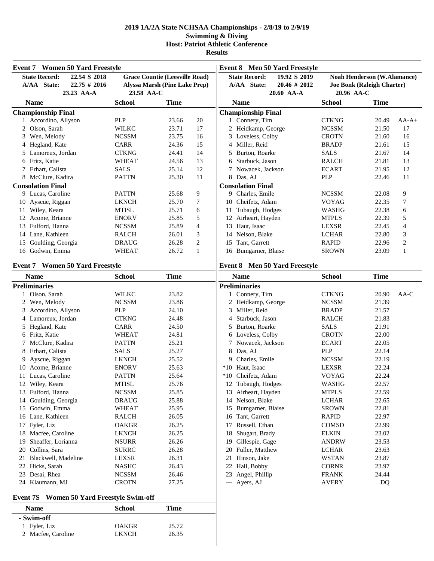**Results**

| <b>Event 7 Women 50 Yard Freestyle</b>                                 |                             |                                                                               |                | <b>Event 8 Men 50 Yard Freestyle</b>                                   |                             |                                                                         |                |
|------------------------------------------------------------------------|-----------------------------|-------------------------------------------------------------------------------|----------------|------------------------------------------------------------------------|-----------------------------|-------------------------------------------------------------------------|----------------|
| <b>State Record:</b><br>22.54 S 2018<br>$22.75 \# 2016$<br>A/AA State: |                             | <b>Grace Countie (Leesville Road)</b><br><b>Alyssa Marsh (Pine Lake Prep)</b> |                | <b>State Record:</b><br>19.92 S 2019<br>A/AA State:<br>$20.46 \# 2012$ |                             | <b>Noah Henderson (W.Alamance)</b><br><b>Joe Bonk (Raleigh Charter)</b> |                |
| 23.23 AA-A<br><b>Name</b>                                              | 23.58 AA-C<br><b>School</b> | <b>Time</b>                                                                   |                | 20.60 AA-A<br><b>Name</b>                                              | 20.96 AA-C<br><b>School</b> | <b>Time</b>                                                             |                |
| <b>Championship Final</b>                                              |                             |                                                                               |                | <b>Championship Final</b>                                              |                             |                                                                         |                |
| 1 Accordino, Allyson                                                   | <b>PLP</b>                  | 23.66                                                                         | 20             | 1 Connery, Tim                                                         | <b>CTKNG</b>                | 20.49                                                                   | $AA-A+$        |
| 2 Olson, Sarah                                                         | <b>WILKC</b>                | 23.71                                                                         | 17             | 2 Heidkamp, George                                                     | <b>NCSSM</b>                | 21.50                                                                   | 17             |
| 3 Wen, Melody                                                          | <b>NCSSM</b>                | 23.75                                                                         | 16             | 3 Loveless, Colby                                                      | <b>CROTN</b>                | 21.60                                                                   | 16             |
| 4 Hegland, Kate                                                        | CARR                        | 24.36                                                                         | 15             | 4 Miller, Reid                                                         | <b>BRADP</b>                | 21.61                                                                   | 15             |
| 5 Lamoreux, Jordan                                                     | <b>CTKNG</b>                | 24.41                                                                         | 14             | Burton, Roarke<br>5                                                    | <b>SALS</b>                 | 21.67                                                                   | 14             |
| 6 Fritz, Katie                                                         | <b>WHEAT</b>                | 24.56                                                                         | 13             | Starbuck, Jason<br>6                                                   | <b>RALCH</b>                | 21.81                                                                   | 13             |
| 7 Erhart, Calista                                                      | <b>SALS</b>                 | 25.14                                                                         | 12             | Nowacek, Jackson                                                       | <b>ECART</b>                | 21.95                                                                   | 12             |
| 8 McClure, Kadira                                                      | <b>PATTN</b>                | 25.30                                                                         | 11             | 8 Das, AJ                                                              | <b>PLP</b>                  | 22.46                                                                   | 11             |
| <b>Consolation Final</b>                                               |                             |                                                                               |                | <b>Consolation Final</b>                                               |                             |                                                                         |                |
| 9 Lucas, Caroline                                                      | <b>PATTN</b>                | 25.68                                                                         | 9              | 9 Charles, Emile                                                       | <b>NCSSM</b>                | 22.08                                                                   | 9              |
| 10 Ayscue, Riggan                                                      | <b>LKNCH</b>                | 25.70                                                                         | 7              | Cheifetz, Adam<br>10                                                   | <b>VOYAG</b>                | 22.35                                                                   | 7              |
| 11 Wiley, Keara                                                        | <b>MTISL</b>                | 25.71                                                                         | 6              | 11 Tubaugh, Hodges                                                     | <b>WASHG</b>                | 22.38                                                                   | 6              |
| 12 Acome, Brianne                                                      | <b>ENORV</b>                | 25.85                                                                         | 5              | 12 Airheart, Hayden                                                    | <b>MTPLS</b>                | 22.39                                                                   | 5              |
| 13 Fulford, Hanna                                                      | <b>NCSSM</b>                | 25.89                                                                         | $\overline{4}$ | Haut, Isaac<br>13                                                      | <b>LEXSR</b>                | 22.45                                                                   | 4              |
| 14 Lane, Kathleen                                                      | <b>RALCH</b>                | 26.01                                                                         | 3              | Nelson, Blake<br>14                                                    | <b>LCHAR</b>                | 22.80                                                                   | 3              |
| 15 Goulding, Georgia                                                   | <b>DRAUG</b>                | 26.28                                                                         | $\sqrt{2}$     | Tant, Garrett<br>15                                                    | <b>RAPID</b>                | 22.96                                                                   | $\mathfrak{2}$ |
| 16 Godwin, Emma                                                        | <b>WHEAT</b>                | 26.72                                                                         | 1              | 16 Bumgarner, Blaise                                                   | <b>SROWN</b>                | 23.09                                                                   | $\mathbf{1}$   |
| <b>Event 7 Women 50 Yard Freestyle</b>                                 |                             |                                                                               |                | Event 8 Men 50 Yard Freestyle                                          |                             |                                                                         |                |
| <b>Name</b>                                                            | <b>School</b>               | <b>Time</b>                                                                   |                | <b>Name</b>                                                            | <b>School</b>               | <b>Time</b>                                                             |                |
| <b>Preliminaries</b>                                                   |                             |                                                                               |                | <b>Preliminaries</b>                                                   |                             |                                                                         |                |
| 1 Olson, Sarah                                                         | <b>WILKC</b>                | 23.82                                                                         |                | 1 Connery, Tim                                                         | <b>CTKNG</b>                | 20.90                                                                   | AA-C           |
| 2 Wen, Melody                                                          | <b>NCSSM</b>                | 23.86                                                                         |                | 2 Heidkamp, George                                                     | <b>NCSSM</b>                | 21.39                                                                   |                |
| 3 Accordino, Allyson                                                   | PLP                         | 24.10                                                                         |                | Miller, Reid<br>3                                                      | <b>BRADP</b>                | 21.57                                                                   |                |
| 4 Lamoreux, Jordan                                                     | <b>CTKNG</b>                | 24.48                                                                         |                | Starbuck, Jason<br>4                                                   | <b>RALCH</b>                | 21.83                                                                   |                |
| 5 Hegland, Kate                                                        | CARR                        | 24.50                                                                         |                | Burton, Roarke<br>5                                                    | <b>SALS</b>                 | 21.91                                                                   |                |
| 6 Fritz, Katie                                                         | <b>WHEAT</b>                | 24.81                                                                         |                | 6 Loveless, Colby                                                      | <b>CROTN</b>                | 22.00                                                                   |                |
| McClure, Kadira<br>7                                                   | <b>PATTN</b>                | 25.21                                                                         |                | Nowacek, Jackson<br>7                                                  | <b>ECART</b>                | 22.05                                                                   |                |
| Erhart, Calista<br>8                                                   | <b>SALS</b>                 | 25.27                                                                         |                | 8<br>Das, AJ                                                           | PLP                         | 22.14                                                                   |                |
| Ayscue, Riggan<br>9                                                    | <b>LKNCH</b>                | 25.52                                                                         |                | Charles, Emile<br>9                                                    | <b>NCSSM</b>                | 22.19                                                                   |                |
| 10 Acome, Brianne                                                      | <b>ENORV</b>                | 25.63                                                                         |                | Haut, Isaac<br>$*10$                                                   | LEXSR                       | 22.24                                                                   |                |
| 11 Lucas, Caroline                                                     | <b>PATTN</b>                | 25.64                                                                         |                | $*10$<br>Cheifetz, Adam                                                | <b>VOYAG</b>                | 22.24                                                                   |                |
| 12 Wiley, Keara                                                        | <b>MTISL</b>                | 25.76                                                                         |                | 12 Tubaugh, Hodges                                                     | <b>WASHG</b>                | 22.57                                                                   |                |
| 13 Fulford, Hanna                                                      | <b>NCSSM</b>                | 25.85                                                                         |                | Airheart, Hayden<br>13                                                 | <b>MTPLS</b>                | 22.59                                                                   |                |
| 14 Goulding, Georgia                                                   | <b>DRAUG</b>                | 25.88                                                                         |                | Nelson, Blake<br>14                                                    | <b>LCHAR</b>                | 22.65                                                                   |                |
| 15 Godwin, Emma                                                        | <b>WHEAT</b>                | 25.95                                                                         |                | Bumgarner, Blaise<br>15                                                | <b>SROWN</b>                | 22.81                                                                   |                |
| 16 Lane, Kathleen                                                      | RALCH                       | 26.05                                                                         |                | Tant, Garrett<br>16                                                    | <b>RAPID</b>                | 22.97                                                                   |                |
| 17 Fyler, Liz                                                          | <b>OAKGR</b>                | 26.25                                                                         |                | Russell, Ethan<br>17                                                   | <b>COMSD</b>                | 22.99                                                                   |                |
| 18 Macfee, Caroline                                                    | <b>LKNCH</b>                | 26.25                                                                         |                | Shugart, Brady<br>18                                                   | <b>ELKIN</b>                | 23.02                                                                   |                |
| 19 Sheaffer, Lorianna                                                  | <b>NSURR</b>                | 26.26                                                                         |                | Gillespie, Gage<br>19                                                  | <b>ANDRW</b>                | 23.53                                                                   |                |
| 20 Collins, Sara                                                       | <b>SURRC</b>                | 26.28                                                                         |                | Fuller, Matthew<br>20                                                  | <b>LCHAR</b>                | 23.63                                                                   |                |
| 21 Blackwell, Madeline                                                 | LEXSR                       | 26.31                                                                         |                | Hinson, Jake<br>21                                                     | <b>WSTAN</b>                | 23.87                                                                   |                |
| 22 Hicks, Sarah                                                        | <b>NASHC</b>                | 26.43                                                                         |                | Hall, Bobby<br>22                                                      | <b>CORNR</b>                | 23.97                                                                   |                |
| 23 Desai, Rhea                                                         | <b>NCSSM</b>                | 26.46                                                                         |                | Angel, Phillip<br>23                                                   | <b>FRANK</b>                | 24.44                                                                   |                |
| 24 Klaumann, MJ                                                        | <b>CROTN</b>                | 27.25                                                                         |                | --- Ayers, AJ                                                          | AVERY                       | DQ                                                                      |                |
| <b>Women 50 Yard Freestyle Swim-off</b><br>Event 7S                    |                             |                                                                               |                |                                                                        |                             |                                                                         |                |
| <b>Name</b>                                                            | <b>School</b>               | <b>Time</b>                                                                   |                |                                                                        |                             |                                                                         |                |
| - Swim-off                                                             |                             |                                                                               |                |                                                                        |                             |                                                                         |                |

Fyler, Liz OAKGR 25.72

2 Macfee, Caroline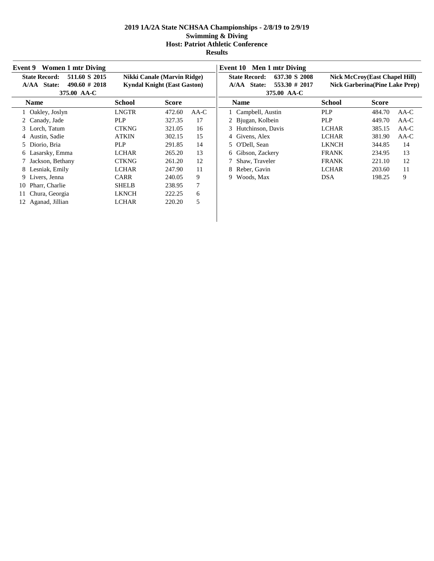| <b>Women 1 mtr Diving</b><br>Event 9                                                    |                                                                   |              |        | Event 10 Men 1 mtr Diving                                                            |               |                                                                                |
|-----------------------------------------------------------------------------------------|-------------------------------------------------------------------|--------------|--------|--------------------------------------------------------------------------------------|---------------|--------------------------------------------------------------------------------|
| <b>State Record:</b><br>511.60 S 2015<br>A/AA State:<br>$490.60 \# 2018$<br>375.00 AA-C | Nikki Canale (Marvin Ridge)<br><b>Kyndal Knight (East Gaston)</b> |              |        | <b>State Record:</b><br>637.30 S 2008<br>553.30 # 2017<br>A/AA State:<br>375.00 AA-C |               | <b>Nick McCroy(East Chapel Hill)</b><br><b>Nick Garberina (Pine Lake Prep)</b> |
| <b>Name</b>                                                                             | <b>School</b>                                                     | <b>Score</b> |        | <b>Name</b>                                                                          | <b>School</b> | <b>Score</b>                                                                   |
| Oakley, Joslyn                                                                          | LNGTR                                                             | 472.60       | $AA-C$ | 1 Campbell, Austin                                                                   | <b>PLP</b>    | 484.70<br>AA-C                                                                 |
| Canady, Jade                                                                            | <b>PLP</b>                                                        | 327.35       | 17     | 2 Bjugan, Kolbein                                                                    | <b>PLP</b>    | 449.70<br>AA-C                                                                 |
| 3 Lorch, Tatum                                                                          | <b>CTKNG</b>                                                      | 321.05       | 16     | 3 Hutchinson, Davis                                                                  | <b>LCHAR</b>  | 385.15<br>$AA-C$                                                               |
| Austin, Sadie                                                                           | <b>ATKIN</b>                                                      | 302.15       | 15     | 4 Givens, Alex                                                                       | <b>LCHAR</b>  | 381.90<br>$AA-C$                                                               |
| Diorio, Bria<br>5.                                                                      | <b>PLP</b>                                                        | 291.85       | 14     | 5 O'Dell, Sean                                                                       | <b>LKNCH</b>  | 14<br>344.85                                                                   |
| 6 Lasarsky, Emma                                                                        | <b>LCHAR</b>                                                      | 265.20       | 13     | 6 Gibson, Zackery                                                                    | <b>FRANK</b>  | 13<br>234.95                                                                   |
| 7 Jackson, Bethany                                                                      | <b>CTKNG</b>                                                      | 261.20       | 12     | 7 Shaw, Traveler                                                                     | <b>FRANK</b>  | 221.10<br>12                                                                   |
| 8 Lesniak, Emily                                                                        | <b>LCHAR</b>                                                      | 247.90       | 11     | 8 Reber, Gavin                                                                       | <b>LCHAR</b>  | 203.60<br>11                                                                   |
| Livers, Jenna<br>9                                                                      | <b>CARR</b>                                                       | 240.05       | 9      | Woods, Max<br>9.                                                                     | <b>DSA</b>    | 9<br>198.25                                                                    |
| Pharr, Charlie<br>10                                                                    | <b>SHELB</b>                                                      | 238.95       | 7      |                                                                                      |               |                                                                                |
| Chura, Georgia                                                                          | <b>LKNCH</b>                                                      | 222.25       | 6      |                                                                                      |               |                                                                                |
| 12 Aganad, Jillian                                                                      | <b>LCHAR</b>                                                      | 220.20       | 5      |                                                                                      |               |                                                                                |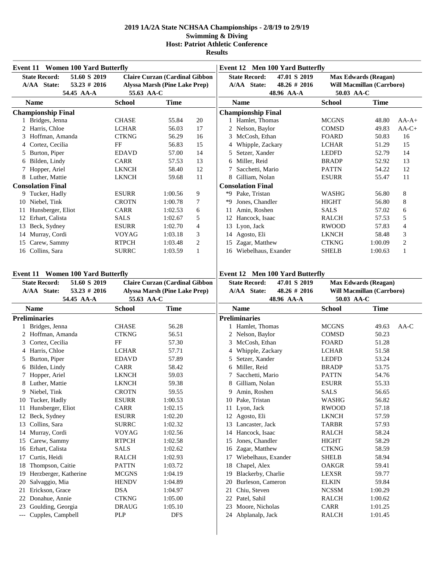| <b>Event 11 Women 100 Yard Butterfly</b>                               |                             |                                                                        |              | <b>Event 12 Men 100 Yard Butterfly</b>                                 |                              |                                                                 |                |  |
|------------------------------------------------------------------------|-----------------------------|------------------------------------------------------------------------|--------------|------------------------------------------------------------------------|------------------------------|-----------------------------------------------------------------|----------------|--|
| <b>State Record:</b><br>51.60 S 2019<br>A/AA State:<br>$53.23 \# 2016$ |                             | <b>Claire Curzan (Cardinal Gibbon</b><br>Alyssa Marsh (Pine Lake Prep) |              | <b>State Record:</b><br>47.01 S 2019<br>A/AA State:<br>$48.26 \# 2016$ |                              | <b>Max Edwards (Reagan)</b><br><b>Will Macmillan (Carrboro)</b> |                |  |
| 54.45 AA-A                                                             | 55.63 AA-C                  |                                                                        |              | 48.96 AA-A                                                             | 50.03 AA-C                   |                                                                 |                |  |
| <b>Name</b>                                                            | <b>School</b>               | <b>Time</b>                                                            |              | <b>Name</b>                                                            | <b>School</b>                | <b>Time</b>                                                     |                |  |
| <b>Championship Final</b>                                              |                             |                                                                        |              | <b>Championship Final</b>                                              |                              |                                                                 |                |  |
| 1 Bridges, Jenna                                                       | <b>CHASE</b>                | 55.84                                                                  | 20           | 1 Hamlet, Thomas                                                       | <b>MCGNS</b>                 | 48.80                                                           | $AA-A+$        |  |
| 2 Harris, Chloe                                                        | <b>LCHAR</b>                | 56.03                                                                  | 17           | 2 Nelson, Baylor                                                       | <b>COMSD</b>                 | 49.83                                                           | $AA-C+$        |  |
| Hoffman, Amanda<br>3                                                   | <b>CTKNG</b>                | 56.29                                                                  | 16           | 3 McCosh, Ethan                                                        | <b>FOARD</b>                 | 50.83                                                           | 16             |  |
| 4 Cortez, Cecilia                                                      | FF                          | 56.83                                                                  | 15           | 4 Whipple, Zackary                                                     | <b>LCHAR</b>                 | 51.29                                                           | 15             |  |
| Burton, Piper<br>5                                                     | <b>EDAVD</b><br><b>CARR</b> | 57.00<br>57.53                                                         | 14<br>13     | Setzer, Xander<br>5<br>6 Miller, Reid                                  | <b>LEDFD</b><br><b>BRADP</b> | 52.79<br>52.92                                                  | 14             |  |
| 6 Bilden, Lindy                                                        | <b>LKNCH</b>                | 58.40                                                                  | 12           |                                                                        |                              | 54.22                                                           | 13<br>12       |  |
| 7 Hopper, Ariel<br>8 Luther, Mattie                                    | <b>LKNCH</b>                | 59.68                                                                  | 11           | Sacchetti, Mario<br>8 Gilliam, Nolan                                   | <b>PATTN</b><br><b>ESURR</b> | 55.47                                                           | 11             |  |
| <b>Consolation Final</b>                                               |                             |                                                                        |              | <b>Consolation Final</b>                                               |                              |                                                                 |                |  |
| 9 Tucker, Hadly                                                        | <b>ESURR</b>                | 1:00.56                                                                | 9            | Pake, Tristan<br>*9                                                    | <b>WASHG</b>                 | 56.80                                                           | 8              |  |
| 10 Niebel, Tink                                                        | <b>CROTN</b>                | 1:00.78                                                                | 7            | Jones, Chandler<br>*9                                                  | <b>HIGHT</b>                 | 56.80                                                           | 8              |  |
| 11 Hunsberger, Eliot                                                   | <b>CARR</b>                 | 1:02.53                                                                | 6            | Amin, Roshen<br>11                                                     | <b>SALS</b>                  | 57.02                                                           | 6              |  |
| 12 Erhart, Calista                                                     | <b>SALS</b>                 | 1:02.67                                                                | 5            | 12 Hancock, Isaac                                                      | <b>RALCH</b>                 | 57.53                                                           | 5              |  |
| 13 Beck, Sydney                                                        | <b>ESURR</b>                | 1:02.70                                                                | 4            | 13 Lyon, Jack                                                          | <b>RWOOD</b>                 | 57.83                                                           | 4              |  |
| 14 Murray, Cordi                                                       | <b>VOYAG</b>                | 1:03.18                                                                | 3            | Agosto, Eli<br>14                                                      | <b>LKNCH</b>                 | 58.48                                                           | 3              |  |
| 15 Carew, Sammy                                                        | <b>RTPCH</b>                | 1:03.48                                                                | $\mathbf{2}$ | Zagar, Matthew<br>15                                                   | <b>CTKNG</b>                 | 1:00.09                                                         | $\overline{c}$ |  |
| 16 Collins, Sara                                                       | <b>SURRC</b>                | 1:03.59                                                                | $\mathbf{1}$ | Wiebelhaus, Exander<br>16                                              | <b>SHELB</b>                 | 1:00.63                                                         | 1              |  |
|                                                                        |                             |                                                                        |              |                                                                        |                              |                                                                 |                |  |
| <b>Event 11 Women 100 Yard Butterfly</b>                               |                             |                                                                        |              | <b>Event 12 Men 100 Yard Butterfly</b>                                 |                              |                                                                 |                |  |
| <b>State Record:</b><br>51.60 S 2019                                   |                             | <b>Claire Curzan (Cardinal Gibbon</b>                                  |              | <b>State Record:</b><br>47.01 S 2019                                   |                              | <b>Max Edwards (Reagan)</b>                                     |                |  |
| A/AA State:<br>$53.23 \# 2016$                                         |                             | Alyssa Marsh (Pine Lake Prep)                                          |              | A/AA State:<br>$48.26 \# 2016$                                         |                              | Will Macmillan (Carrboro)                                       |                |  |
|                                                                        |                             |                                                                        |              |                                                                        |                              |                                                                 |                |  |
| 54.45 AA-A                                                             | 55.63 AA-C                  |                                                                        |              | 48.96 AA-A                                                             | 50.03 AA-C                   |                                                                 |                |  |
| <b>Name</b>                                                            | <b>School</b>               | <b>Time</b>                                                            |              | <b>Name</b>                                                            | <b>School</b>                | <b>Time</b>                                                     |                |  |
| <b>Preliminaries</b>                                                   |                             |                                                                        |              | <b>Preliminaries</b>                                                   |                              |                                                                 |                |  |
| 1 Bridges, Jenna                                                       | <b>CHASE</b>                | 56.28                                                                  |              | 1 Hamlet, Thomas                                                       | <b>MCGNS</b>                 | 49.63                                                           | AA-C           |  |
| 2 Hoffman, Amanda                                                      | <b>CTKNG</b>                | 56.51                                                                  |              | 2 Nelson, Baylor                                                       | <b>COMSD</b>                 | 50.23                                                           |                |  |
| Cortez, Cecilia<br>3                                                   | FF                          | 57.30                                                                  |              | McCosh, Ethan<br>3                                                     | <b>FOARD</b>                 | 51.28                                                           |                |  |
| Harris, Chloe<br>4                                                     | <b>LCHAR</b>                | 57.71                                                                  |              | Whipple, Zackary<br>4                                                  | <b>LCHAR</b>                 | 51.58                                                           |                |  |
| Burton, Piper<br>5                                                     | <b>EDAVD</b>                | 57.89                                                                  |              | Setzer, Xander<br>5                                                    | <b>LEDFD</b>                 | 53.24                                                           |                |  |
| 6 Bilden, Lindy                                                        | CARR                        | 58.42                                                                  |              | Miller, Reid<br>6                                                      | <b>BRADP</b>                 | 53.75                                                           |                |  |
| 7 Hopper, Ariel                                                        | <b>LKNCH</b>                | 59.03                                                                  |              | Sacchetti, Mario                                                       | <b>PATTN</b>                 | 54.76                                                           |                |  |
| 8 Luther, Mattie                                                       | <b>LKNCH</b>                | 59.38                                                                  |              | 8 Gilliam, Nolan                                                       | <b>ESURR</b>                 | 55.33                                                           |                |  |
| 9 Niebel, Tink                                                         | <b>CROTN</b>                | 59.55                                                                  |              | Amin, Roshen<br>9                                                      | <b>SALS</b>                  | 56.65                                                           |                |  |
| 10 Tucker, Hadly                                                       | <b>ESURR</b>                | 1:00.53                                                                |              | Pake, Tristan<br>10                                                    | <b>WASHG</b>                 | 56.82                                                           |                |  |
| Hunsberger, Eliot<br>11                                                | CARR                        | 1:02.15                                                                |              | Lyon, Jack<br>11                                                       | <b>RWOOD</b>                 | 57.18                                                           |                |  |
| 12 Beck, Sydney                                                        | <b>ESURR</b>                | 1:02.20                                                                |              | 12<br>Agosto, Eli                                                      | <b>LKNCH</b>                 | 57.59                                                           |                |  |
| 13 Collins, Sara                                                       | <b>SURRC</b>                | 1:02.32                                                                |              | Lancaster, Jack<br>13                                                  | TARBR                        | 57.93                                                           |                |  |
| 14 Murray, Cordi                                                       | <b>VOYAG</b>                | 1:02.56                                                                |              | Hancock, Isaac<br>14                                                   | RALCH                        | 58.24                                                           |                |  |
| 15 Carew, Sammy                                                        | <b>RTPCH</b>                | 1:02.58                                                                |              | Jones, Chandler<br>15                                                  | <b>HIGHT</b>                 | 58.29                                                           |                |  |
| 16 Erhart, Calista                                                     | <b>SALS</b>                 | 1:02.62                                                                |              | Zagar, Matthew<br>16                                                   | <b>CTKNG</b>                 | 58.59                                                           |                |  |
| Curtis, Heidi<br>17                                                    | RALCH                       | 1:02.93                                                                |              | Wiebelhaus, Exander<br>17                                              | <b>SHELB</b>                 | 58.94                                                           |                |  |
| Thompson, Caitie<br>18                                                 | <b>PATTN</b>                | 1:03.72                                                                |              | Chapel, Alex<br>18                                                     | <b>OAKGR</b>                 | 59.41                                                           |                |  |
| Herzberger, Katherine<br>19<br>20                                      | <b>MCGNS</b>                | 1:04.19                                                                |              | Blackerby, Charlie<br>19<br>20                                         | LEXSR                        | 59.77                                                           |                |  |
| Salvaggio, Mia<br>Erickson, Grace<br>21                                | <b>HENDV</b><br><b>DSA</b>  | 1:04.89                                                                |              | Burleson, Cameron                                                      | <b>ELKIN</b><br><b>NCSSM</b> | 59.84                                                           |                |  |
| 22 Donahue, Annie                                                      | <b>CTKNG</b>                | 1:04.97<br>1:05.00                                                     |              | Chiu, Steven<br>21<br>Patel, Sahil<br>22                               | RALCH                        | 1:00.29<br>1:00.62                                              |                |  |
| Goulding, Georgia<br>23                                                | <b>DRAUG</b>                | 1:05.10                                                                |              | Moore, Nicholas<br>23                                                  | CARR                         | 1:01.25                                                         |                |  |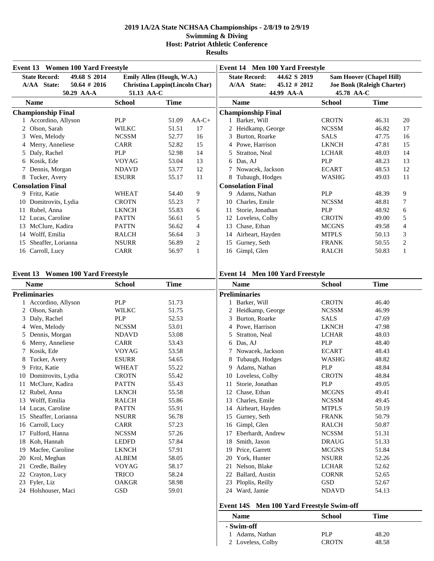|    | Event 13 Women 100 Yard Freestyle                                                    |              |                                                             |         | <b>Event 14 Men 100 Yard Freestyle</b> |                                     |                                               |               |                                                                      |    |
|----|--------------------------------------------------------------------------------------|--------------|-------------------------------------------------------------|---------|----------------------------------------|-------------------------------------|-----------------------------------------------|---------------|----------------------------------------------------------------------|----|
|    | <b>State Record:</b><br>49.68 S 2014<br>A/AA State:<br>$50.64 \# 2016$<br>50.29 AA-A | 51.13 AA-C   | Emily Allen (Hough, W.A.)<br>Christina Lappin(Lincoln Char) |         |                                        | <b>State Record:</b><br>A/AA State: | 44.62 S 2019<br>$45.12 \# 2012$<br>44.99 AA-A | 45.78 AA-C    | <b>Sam Hoover (Chapel Hill)</b><br><b>Joe Bonk (Raleigh Charter)</b> |    |
|    | <b>Name</b>                                                                          | School       | <b>Time</b>                                                 |         |                                        | <b>Name</b>                         |                                               | <b>School</b> | Time                                                                 |    |
|    | <b>Championship Final</b>                                                            |              |                                                             |         |                                        | <b>Championship Final</b>           |                                               |               |                                                                      |    |
|    | 1 Accordino, Allyson                                                                 | <b>PLP</b>   | 51.09                                                       | $AA-C+$ |                                        | 1 Barker, Will                      |                                               | <b>CROTN</b>  | 46.31                                                                | 20 |
|    | Olson, Sarah                                                                         | <b>WILKC</b> | 51.51                                                       | 17      |                                        | 2 Heidkamp, George                  |                                               | <b>NCSSM</b>  | 46.82                                                                | 17 |
| 3  | Wen, Melody                                                                          | <b>NCSSM</b> | 52.77                                                       | 16      |                                        | 3 Burton, Roarke                    |                                               | <b>SALS</b>   | 47.75                                                                | 16 |
|    | 4 Merry, Anneliese                                                                   | <b>CARR</b>  | 52.82                                                       | 15      |                                        | 4 Powe, Harrison                    |                                               | <b>LKNCH</b>  | 47.81                                                                | 15 |
| 5. | Daly, Rachel                                                                         | <b>PLP</b>   | 52.98                                                       | 14      | 5.                                     | Stratton, Neal                      |                                               | <b>LCHAR</b>  | 48.03                                                                | 14 |
| 6  | Kosik, Ede                                                                           | <b>VOYAG</b> | 53.04                                                       | 13      |                                        | 6 Das, AJ                           |                                               | PLP           | 48.23                                                                | 13 |
|    | Dennis, Morgan                                                                       | <b>NDAVD</b> | 53.77                                                       | 12      |                                        | 7 Nowacek, Jackson                  |                                               | <b>ECART</b>  | 48.53                                                                | 12 |
| 8  | Tucker, Avery                                                                        | <b>ESURR</b> | 55.17                                                       | 11      |                                        | 8 Tubaugh, Hodges                   |                                               | WASHG         | 49.03                                                                | 11 |
|    | <b>Consolation Final</b>                                                             |              |                                                             |         |                                        | <b>Consolation Final</b>            |                                               |               |                                                                      |    |
| 9  | Fritz, Katie                                                                         | <b>WHEAT</b> | 54.40                                                       | 9       | 9.                                     | Adams, Nathan                       |                                               | <b>PLP</b>    | 48.39                                                                | 9  |
| 10 | Domitrovits, Lydia                                                                   | <b>CROTN</b> | 55.23                                                       |         | 10                                     | Charles, Emile                      |                                               | <b>NCSSM</b>  | 48.81                                                                | 7  |
|    | Rubel, Anna                                                                          | <b>LKNCH</b> | 55.83                                                       | 6       | 11                                     | Storie, Jonathan                    |                                               | <b>PLP</b>    | 48.92                                                                | 6  |
|    | 12 Lucas, Caroline                                                                   | <b>PATTN</b> | 56.61                                                       | 5       | 12                                     | Loveless, Colby                     |                                               | <b>CROTN</b>  | 49.00                                                                | 5  |
| 13 | McClure, Kadira                                                                      | <b>PATTN</b> | 56.62                                                       | 4       | 13                                     | Chase, Ethan                        |                                               | <b>MCGNS</b>  | 49.58                                                                | 4  |
| 14 | Wolff, Emilia                                                                        | <b>RALCH</b> | 56.64                                                       | 3       | 14                                     | Airheart, Hayden                    |                                               | <b>MTPLS</b>  | 50.13                                                                | 3  |
| 15 | Sheaffer, Lorianna                                                                   | <b>NSURR</b> | 56.89                                                       | 2       | 15                                     | Gurney, Seth                        |                                               | <b>FRANK</b>  | 50.55                                                                | 2  |
|    | 16 Carroll, Lucy                                                                     | <b>CARR</b>  | 56.97                                                       |         |                                        | 16 Gimpl, Glen                      |                                               | <b>RALCH</b>  | 50.83                                                                |    |

#### **Event 13 Women 100 Yard Freestyle**

**Event 14 Men 100 Yard Freestyle**

|    | <b>Name</b>          | <b>School</b> | <b>Time</b> |    | <b>Name</b>                                         | <b>School</b> | <b>Time</b> |
|----|----------------------|---------------|-------------|----|-----------------------------------------------------|---------------|-------------|
|    | <b>Preliminaries</b> |               |             |    | <b>Preliminaries</b>                                |               |             |
|    | Accordino, Allyson   | PLP           | 51.73       |    | 1 Barker, Will                                      | <b>CROTN</b>  | 46.40       |
| 2  | Olson, Sarah         | <b>WILKC</b>  | 51.75       |    | Heidkamp, George                                    | <b>NCSSM</b>  | 46.99       |
| 3  | Daly, Rachel         | <b>PLP</b>    | 52.53       | 3  | Burton, Roarke                                      | <b>SALS</b>   | 47.69       |
|    | 4 Wen, Melody        | <b>NCSSM</b>  | 53.01       | 4  | Powe, Harrison                                      | <b>LKNCH</b>  | 47.98       |
| 5  | Dennis, Morgan       | <b>NDAVD</b>  | 53.08       | 5  | Stratton, Neal                                      | <b>LCHAR</b>  | 48.03       |
|    | 6 Merry, Anneliese   | <b>CARR</b>   | 53.43       | 6  | Das, AJ                                             | <b>PLP</b>    | 48.40       |
|    | Kosik, Ede           | <b>VOYAG</b>  | 53.58       |    | Nowacek, Jackson                                    | <b>ECART</b>  | 48.43       |
| 8  | Tucker, Avery        | <b>ESURR</b>  | 54.65       | 8  | Tubaugh, Hodges                                     | <b>WASHG</b>  | 48.82       |
|    | 9 Fritz, Katie       | <b>WHEAT</b>  | 55.22       | 9  | Adams, Nathan                                       | <b>PLP</b>    | 48.84       |
| 10 | Domitrovits, Lydia   | <b>CROTN</b>  | 55.42       | 10 | Loveless, Colby                                     | <b>CROTN</b>  | 48.84       |
|    | McClure, Kadira      | <b>PATTN</b>  | 55.43       | 11 | Storie, Jonathan                                    | <b>PLP</b>    | 49.05       |
|    | Rubel, Anna          | <b>LKNCH</b>  | 55.58       | 12 | Chase, Ethan                                        | <b>MCGNS</b>  | 49.41       |
| 13 | Wolff, Emilia        | <b>RALCH</b>  | 55.86       | 13 | Charles, Emile                                      | <b>NCSSM</b>  | 49.45       |
| 14 | Lucas, Caroline      | <b>PATTN</b>  | 55.91       | 14 | Airheart, Hayden                                    | <b>MTPLS</b>  | 50.19       |
| 15 | Sheaffer, Lorianna   | <b>NSURR</b>  | 56.78       | 15 | Gurney, Seth                                        | <b>FRANK</b>  | 50.79       |
| 16 | Carroll, Lucy        | <b>CARR</b>   | 57.23       | 16 | Gimpl, Glen                                         | <b>RALCH</b>  | 50.87       |
|    | Fulford, Hanna       | <b>NCSSM</b>  | 57.26       |    | Eberhardt, Andrew                                   | <b>NCSSM</b>  | 51.31       |
| 18 | Koh, Hannah          | <b>LEDFD</b>  | 57.84       | 18 | Smith, Jaxon                                        | <b>DRAUG</b>  | 51.33       |
| 19 | Macfee, Caroline     | <b>LKNCH</b>  | 57.91       | 19 | Price, Garrett                                      | <b>MCGNS</b>  | 51.84       |
| 20 | Krol, Meghan         | <b>ALBEM</b>  | 58.05       | 20 | York, Hunter                                        | <b>NSURR</b>  | 52.26       |
| 21 | Credle, Bailey       | <b>VOYAG</b>  | 58.17       | 21 | Nelson, Blake                                       | <b>LCHAR</b>  | 52.62       |
|    | Crayton, Lucy        | TRICO         | 58.24       | 22 | Ballard, Austin                                     | <b>CORNR</b>  | 52.65       |
| 23 | Fyler, Liz           | <b>OAKGR</b>  | 58.98       | 23 | Ploplis, Reilly                                     | <b>GSD</b>    | 52.67       |
|    | 24 Holshouser, Maci  | <b>GSD</b>    | 59.01       |    | 24 Ward, Jamie                                      | <b>NDAVD</b>  | 54.13       |
|    |                      |               |             |    | <b>Men 100 Yard Freestyle Swim-off</b><br>Event 14S |               |             |

 $\overline{a}$ 

| Event 150 Then 100 Taru I restyle by the only |              |       |  |  |  |  |  |  |
|-----------------------------------------------|--------------|-------|--|--|--|--|--|--|
| <b>Name</b>                                   | School       | Time  |  |  |  |  |  |  |
| - Swim-off                                    |              |       |  |  |  |  |  |  |
| 1 Adams, Nathan                               | PL P         | 48.20 |  |  |  |  |  |  |
| 2 Loveless, Colby                             | <b>CROTN</b> | 48.58 |  |  |  |  |  |  |
|                                               |              |       |  |  |  |  |  |  |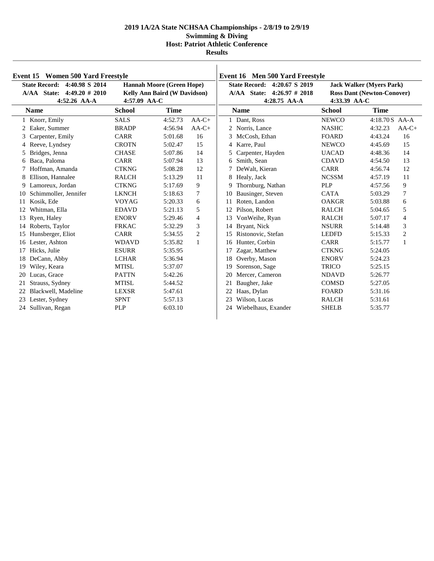|    | Event 15 Women 500 Yard Freestyle                                                                                                                                                 |               |                                                                            |                                                                                      | Event 16 Men 500 Yard Freestyle |               |                |                |
|----|-----------------------------------------------------------------------------------------------------------------------------------------------------------------------------------|---------------|----------------------------------------------------------------------------|--------------------------------------------------------------------------------------|---------------------------------|---------------|----------------|----------------|
|    | <b>State Record:</b><br>4:40.98 S 2014<br><b>Hannah Moore (Green Hope)</b><br>A/AA State: 4:49.20 # 2010<br><b>Kelly Ann Baird (W Davidson)</b><br>4:57.09 AA-C<br>$4:52.26$ AA-A |               | State Record: 4:20.67 S 2019<br>A/AA State: 4:26.97 # 2018<br>4:28.75 AA-A | <b>Jack Walker (Myers Park)</b><br><b>Ross Dant (Newton-Conover)</b><br>4:33.39 AA-C |                                 |               |                |                |
|    | <b>Name</b>                                                                                                                                                                       | <b>School</b> | <b>Time</b>                                                                |                                                                                      | <b>Name</b>                     | <b>School</b> | <b>Time</b>    |                |
|    | 1 Knorr, Emily                                                                                                                                                                    | <b>SALS</b>   | 4:52.73                                                                    | $AA-C+$                                                                              | 1 Dant. Ross                    | <b>NEWCO</b>  | 4:18.70 S AA-A |                |
| 2  | Eaker, Summer                                                                                                                                                                     | <b>BRADP</b>  | 4:56.94                                                                    | $AA-C+$                                                                              | 2 Norris, Lance                 | <b>NASHC</b>  | 4:32.23        | $AA-C+$        |
| 3  | Carpenter, Emily                                                                                                                                                                  | <b>CARR</b>   | 5:01.68                                                                    | 16                                                                                   | 3<br>McCosh, Ethan              | <b>FOARD</b>  | 4:43.24        | 16             |
| 4  | Reeve, Lyndsey                                                                                                                                                                    | <b>CROTN</b>  | 5:02.47                                                                    | 15                                                                                   | 4 Karre, Paul                   | <b>NEWCO</b>  | 4:45.69        | 15             |
| 5  | Bridges, Jenna                                                                                                                                                                    | <b>CHASE</b>  | 5:07.86                                                                    | 14                                                                                   | 5<br>Carpenter, Hayden          | <b>UACAD</b>  | 4:48.36        | 14             |
| 6  | Baca, Paloma                                                                                                                                                                      | <b>CARR</b>   | 5:07.94                                                                    | 13                                                                                   | 6 Smith, Sean                   | <b>CDAVD</b>  | 4:54.50        | 13             |
|    | Hoffman, Amanda                                                                                                                                                                   | <b>CTKNG</b>  | 5:08.28                                                                    | 12                                                                                   | 7 DeWalt, Kieran                | <b>CARR</b>   | 4:56.74        | 12             |
|    | Ellison, Hannalee                                                                                                                                                                 | <b>RALCH</b>  | 5:13.29                                                                    | 11                                                                                   | 8 Healy, Jack                   | <b>NCSSM</b>  | 4:57.19        | 11             |
| 9  | Lamoreux, Jordan                                                                                                                                                                  | <b>CTKNG</b>  | 5:17.69                                                                    | 9                                                                                    | Thornburg, Nathan<br>9          | <b>PLP</b>    | 4:57.56        | 9              |
| 10 | Schimmoller, Jennifer                                                                                                                                                             | <b>LKNCH</b>  | 5:18.63                                                                    | 7                                                                                    | 10<br>Bausinger, Steven         | <b>CATA</b>   | 5:03.29        | 7              |
| 11 | Kosik, Ede                                                                                                                                                                        | <b>VOYAG</b>  | 5:20.33                                                                    | 6                                                                                    | Roten, Landon<br>11             | <b>OAKGR</b>  | 5:03.88        | 6              |
| 12 | Whitman, Ella                                                                                                                                                                     | <b>EDAVD</b>  | 5:21.13                                                                    | 5                                                                                    | Pilson, Robert<br>12            | <b>RALCH</b>  | 5:04.65        | 5              |
| 13 | Ryen, Haley                                                                                                                                                                       | <b>ENORV</b>  | 5:29.46                                                                    | $\overline{4}$                                                                       | VonWeihe, Ryan                  | <b>RALCH</b>  | 5:07.17        | $\overline{4}$ |
|    | 14 Roberts, Taylor                                                                                                                                                                | <b>FRKAC</b>  | 5:32.29                                                                    | 3                                                                                    | Bryant, Nick<br>14              | <b>NSURR</b>  | 5:14.48        | 3              |
| 15 | Hunsberger, Eliot                                                                                                                                                                 | <b>CARR</b>   | 5:34.55                                                                    | $\overline{2}$                                                                       | Ristonovic, Stefan<br>15        | <b>LEDFD</b>  | 5:15.33        | 2              |
| 16 | Lester, Ashton                                                                                                                                                                    | <b>WDAVD</b>  | 5:35.82                                                                    | $\mathbf{1}$                                                                         | 16<br>Hunter, Corbin            | <b>CARR</b>   | 5:15.77        | $\mathbf{1}$   |
| 17 | Hicks, Julie                                                                                                                                                                      | <b>ESURR</b>  | 5:35.95                                                                    |                                                                                      | Zagar, Matthew<br>17            | <b>CTKNG</b>  | 5:24.05        |                |
| 18 | DeCann, Abby                                                                                                                                                                      | <b>LCHAR</b>  | 5:36.94                                                                    |                                                                                      | Overby, Mason<br>18             | <b>ENORV</b>  | 5:24.23        |                |
| 19 | Wiley, Keara                                                                                                                                                                      | <b>MTISL</b>  | 5:37.07                                                                    |                                                                                      | 19<br>Sorenson, Sage            | <b>TRICO</b>  | 5:25.15        |                |
| 20 | Lucas, Grace                                                                                                                                                                      | <b>PATTN</b>  | 5:42.26                                                                    |                                                                                      | Mercer, Cameron<br>20           | <b>NDAVD</b>  | 5:26.77        |                |
| 21 | Strauss, Sydney                                                                                                                                                                   | <b>MTISL</b>  | 5:44.52                                                                    |                                                                                      | 21<br>Baugher, Jake             | <b>COMSD</b>  | 5:27.05        |                |
| 22 | Blackwell, Madeline                                                                                                                                                               | <b>LEXSR</b>  | 5:47.61                                                                    |                                                                                      | 22<br>Haas, Dylan               | <b>FOARD</b>  | 5:31.16        |                |
|    | 23 Lester, Sydney                                                                                                                                                                 | <b>SPNT</b>   | 5:57.13                                                                    |                                                                                      | 23<br>Wilson, Lucas             | <b>RALCH</b>  | 5:31.61        |                |
|    | 24 Sullivan, Regan                                                                                                                                                                | <b>PLP</b>    | 6:03.10                                                                    |                                                                                      | Wiebelhaus, Exander<br>24       | <b>SHELB</b>  | 5:35.77        |                |
|    |                                                                                                                                                                                   |               |                                                                            |                                                                                      |                                 |               |                |                |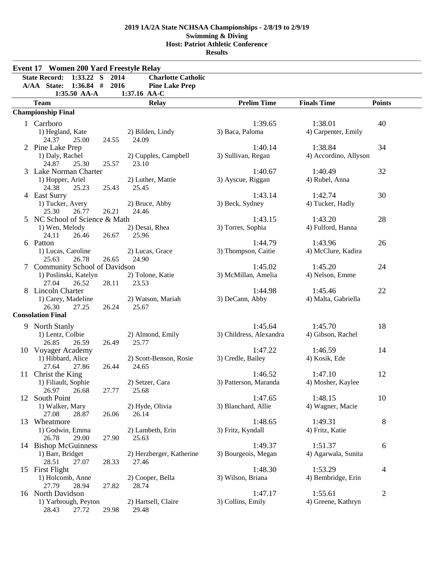|    | <b>Event 17 Women 200 Yard Freestyle Relay</b> |       |                           |                         |                       |                |
|----|------------------------------------------------|-------|---------------------------|-------------------------|-----------------------|----------------|
|    | <b>State Record:</b><br>1:33.22 S 2014         |       | <b>Charlotte Catholic</b> |                         |                       |                |
|    | A/AA State:<br>$1:36.84$ #                     | 2016  | <b>Pine Lake Prep</b>     |                         |                       |                |
|    | 1:35.50 AA-A                                   |       | 1:37.16 AA-C              |                         |                       |                |
|    | <b>Team</b>                                    |       | <b>Relay</b>              | <b>Prelim Time</b>      | <b>Finals Time</b>    | <b>Points</b>  |
|    | <b>Championship Final</b>                      |       |                           |                         |                       |                |
|    | 1 Carrboro                                     |       |                           | 1:39.65                 | 1:38.01               | 40             |
|    | 1) Hegland, Kate                               |       | 2) Bilden, Lindy          | 3) Baca, Paloma         | 4) Carpenter, Emily   |                |
|    | 24.37<br>25.00                                 | 24.55 | 24.09                     |                         |                       |                |
|    | 2 Pine Lake Prep                               |       |                           | 1:40.14                 | 1:38.84               | 34             |
|    | 1) Daly, Rachel                                |       | 2) Cupples, Campbell      | 3) Sullivan, Regan      | 4) Accordino, Allyson |                |
|    | 24.87<br>25.30                                 | 25.57 | 23.10                     |                         |                       |                |
|    | 3 Lake Norman Charter                          |       |                           | 1:40.67                 | 1:40.49               | 32             |
|    | 1) Hopper, Ariel                               |       | 2) Luther, Mattie         | 3) Ayscue, Riggan       | 4) Rubel, Anna        |                |
|    | 24.38<br>25.23                                 | 25.43 | 25.45                     |                         |                       |                |
|    | 4 East Surry                                   |       |                           | 1:43.14                 | 1:42.74               | 30             |
|    | 1) Tucker, Avery                               |       | 2) Bruce, Abby            | 3) Beck, Sydney         | 4) Tucker, Hadly      |                |
|    | 25.30<br>26.77                                 | 26.21 | 24.46                     |                         |                       |                |
|    | 5 NC School of Science & Math                  |       |                           | 1:43.15                 | 1:43.20               | 28             |
|    | 1) Wen, Melody                                 |       | 2) Desai, Rhea            | 3) Torres, Sophia       | 4) Fulford, Hanna     |                |
|    | 24.11<br>26.46                                 | 26.67 | 25.96                     |                         |                       |                |
|    | 6 Patton                                       |       |                           | 1:44.79                 | 1:43.96               | 26             |
|    | 1) Lucas, Caroline                             |       | 2) Lucas, Grace           | 3) Thompson, Caitie     | 4) McClure, Kadira    |                |
|    | 25.63<br>26.78                                 | 26.65 | 24.90                     |                         |                       |                |
|    | 7 Community School of Davidson                 |       |                           | 1:45.02                 | 1:45.20               | 24             |
|    | 1) Poslinski, Katelyn                          |       | 2) Tolone, Katie          | 3) McMillan, Amelia     | 4) Nelson, Emme       |                |
|    | 27.04<br>26.52                                 | 28.11 | 23.53                     |                         |                       |                |
|    | 8 Lincoln Charter                              |       |                           | 1:44.98                 | 1:45.46               | 22             |
|    | 1) Carey, Madeline                             |       | 2) Watson, Mariah         | 3) DeCann, Abby         | 4) Malta, Gabriella   |                |
|    | 26.30<br>27.25                                 | 26.24 | 25.67                     |                         |                       |                |
|    | <b>Consolation Final</b>                       |       |                           |                         |                       |                |
|    | 9 North Stanly                                 |       |                           | 1:45.64                 | 1:45.70               | 18             |
|    | 1) Lentz, Colbie                               |       | 2) Almond, Emily          | 3) Childress, Alexandra | 4) Gibson, Rachel     |                |
|    | 26.85<br>26.59                                 | 26.49 | 25.77                     |                         |                       |                |
|    | 10 Voyager Academy                             |       |                           | 1:47.22                 | 1:46.59               | 14             |
|    | 1) Hibbard, Alice                              |       | 2) Scott-Benson, Rosie    | 3) Credle, Bailey       | 4) Kosik, Ede         |                |
|    | 27.64<br>27.86                                 | 26.44 | 24.65                     |                         |                       |                |
|    | 11 Christ the King                             |       |                           | 1:46.52                 | 1:47.10               | 12             |
|    | 1) Filiault, Sophie                            |       | 2) Setzer, Cara           | 3) Patterson, Maranda   | 4) Mosher, Kaylee     |                |
|    | 26.97<br>26.68                                 | 27.77 | 25.68                     |                         |                       |                |
| 12 | South Point                                    |       |                           | 1:47.65                 | 1:48.15               | 10             |
|    | 1) Walker, Mary                                |       | 2) Hyde, Olivia           | 3) Blanchard, Allie     | 4) Wagner, Macie      |                |
|    | 27.08<br>28.87                                 | 26.06 | 26.14                     |                         |                       |                |
|    | 13 Wheatmore                                   |       |                           | 1:48.65                 | 1:49.31               | 8              |
|    | 1) Godwin, Emma                                |       | 2) Lambeth, Erin          | 3) Fritz, Kyndall       | 4) Fritz, Katie       |                |
|    | 26.78<br>29.00                                 | 27.90 | 25.63                     |                         |                       |                |
|    | 14 Bishop McGuinness                           |       |                           | 1:49.37                 | 1:51.37               | 6              |
|    | 1) Barr, Bridget                               |       | 2) Herzberger, Katherine  | 3) Bourgeois, Megan     | 4) Agarwala, Sunita   |                |
|    | 28.51<br>27.07                                 | 28.33 | 27.46                     |                         |                       |                |
|    | 15 First Flight                                |       |                           | 1:48.30                 | 1:53.29               | 4              |
|    | 1) Holcomb, Anne                               |       | 2) Cooper, Bella          | 3) Wilson, Briana       | 4) Bembridge, Erin    |                |
|    | 27.79<br>28.94                                 | 27.82 | 28.74                     |                         |                       |                |
|    | 16 North Davidson                              |       |                           | 1:47.17                 | 1:55.61               | $\overline{c}$ |
|    | 1) Yarbrough, Peyton                           |       | 2) Hartsell, Claire       | 3) Collins, Emily       | 4) Greene, Kathryn    |                |
|    | 28.43<br>27.72                                 | 29.98 | 29.48                     |                         |                       |                |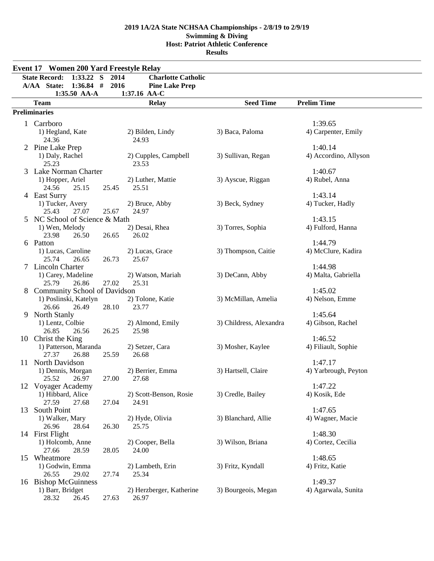|    | Event 17 Women 200 Yard Freestyle Relay                      |       |                           |                         |                       |  |
|----|--------------------------------------------------------------|-------|---------------------------|-------------------------|-----------------------|--|
|    | $1:33.22$ S<br><b>State Record:</b>                          | 2014  | <b>Charlotte Catholic</b> |                         |                       |  |
|    | $1:36.84$ # 2016<br>A/AA State:                              |       | <b>Pine Lake Prep</b>     |                         |                       |  |
|    | 1:35.50 AA-A                                                 |       | 1:37.16 AA-C              |                         |                       |  |
|    | <b>Team</b>                                                  |       | <b>Relay</b>              | <b>Seed Time</b>        | <b>Prelim Time</b>    |  |
|    | <b>Preliminaries</b>                                         |       |                           |                         |                       |  |
|    | 1 Carrboro                                                   |       |                           |                         | 1:39.65               |  |
|    |                                                              |       |                           |                         |                       |  |
|    | 1) Hegland, Kate<br>24.36                                    |       | 2) Bilden, Lindy<br>24.93 | 3) Baca, Paloma         | 4) Carpenter, Emily   |  |
|    | 2 Pine Lake Prep                                             |       |                           |                         | 1:40.14               |  |
|    | 1) Daly, Rachel                                              |       | 2) Cupples, Campbell      | 3) Sullivan, Regan      | 4) Accordino, Allyson |  |
|    | 25.23                                                        |       | 23.53                     |                         |                       |  |
| 3  | Lake Norman Charter                                          |       |                           |                         | 1:40.67               |  |
|    | 1) Hopper, Ariel                                             |       | 2) Luther, Mattie         | 3) Ayscue, Riggan       | 4) Rubel, Anna        |  |
|    | 24.56<br>25.15                                               | 25.45 | 25.51                     |                         |                       |  |
|    | 4 East Surry                                                 |       |                           |                         | 1:43.14               |  |
|    | 1) Tucker, Avery                                             |       | 2) Bruce, Abby            | 3) Beck, Sydney         | 4) Tucker, Hadly      |  |
|    | 25.43<br>27.07                                               | 25.67 | 24.97                     |                         |                       |  |
| 5  | NC School of Science & Math                                  |       |                           |                         | 1:43.15               |  |
|    | 1) Wen, Melody                                               |       | 2) Desai, Rhea            | 3) Torres, Sophia       | 4) Fulford, Hanna     |  |
|    | 23.98<br>26.50                                               | 26.65 | 26.02                     |                         |                       |  |
|    | 6 Patton                                                     |       |                           |                         | 1:44.79               |  |
|    | 1) Lucas, Caroline                                           |       | 2) Lucas, Grace           | 3) Thompson, Caitie     | 4) McClure, Kadira    |  |
|    | 25.74<br>26.65                                               | 26.73 | 25.67                     |                         |                       |  |
| 7  | <b>Lincoln Charter</b>                                       |       |                           |                         | 1:44.98               |  |
|    | 1) Carey, Madeline                                           |       | 2) Watson, Mariah         | 3) DeCann, Abby         | 4) Malta, Gabriella   |  |
|    | 25.79<br>26.86                                               | 27.02 | 25.31                     |                         | 1:45.02               |  |
| 8  | <b>Community School of Davidson</b><br>1) Poslinski, Katelyn |       | 2) Tolone, Katie          | 3) McMillan, Amelia     | 4) Nelson, Emme       |  |
|    | 26.66<br>26.49                                               | 28.10 | 23.77                     |                         |                       |  |
| 9  | <b>North Stanly</b>                                          |       |                           |                         | 1:45.64               |  |
|    | 1) Lentz, Colbie                                             |       | 2) Almond, Emily          | 3) Childress, Alexandra | 4) Gibson, Rachel     |  |
|    | 26.85<br>26.56                                               | 26.25 | 25.98                     |                         |                       |  |
|    | 10 Christ the King                                           |       |                           |                         | 1:46.52               |  |
|    | 1) Patterson, Maranda                                        |       | 2) Setzer, Cara           | 3) Mosher, Kaylee       | 4) Filiault, Sophie   |  |
|    | 27.37<br>26.88                                               | 25.59 | 26.68                     |                         |                       |  |
| 11 | North Davidson                                               |       |                           |                         | 1:47.17               |  |
|    | 1) Dennis, Morgan                                            |       | 2) Berrier, Emma          | 3) Hartsell, Claire     | 4) Yarbrough, Peyton  |  |
|    | 25.52 26.97                                                  | 27.00 | 27.68                     |                         |                       |  |
|    | 12 Voyager Academy                                           |       |                           |                         | 1:47.22               |  |
|    | 1) Hibbard, Alice                                            |       | 2) Scott-Benson, Rosie    | 3) Credle, Bailey       | 4) Kosik, Ede         |  |
|    | 27.59<br>27.68                                               | 27.04 | 24.91                     |                         |                       |  |
| 13 | South Point                                                  |       |                           |                         | 1:47.65               |  |
|    | 1) Walker, Mary                                              |       | 2) Hyde, Olivia           | 3) Blanchard, Allie     | 4) Wagner, Macie      |  |
|    | 26.96<br>28.64<br>14 First Flight                            | 26.30 | 25.75                     |                         | 1:48.30               |  |
|    | 1) Holcomb, Anne                                             |       | 2) Cooper, Bella          | 3) Wilson, Briana       | 4) Cortez, Cecilia    |  |
|    | 27.66<br>28.59                                               | 28.05 | 24.00                     |                         |                       |  |
|    | 15 Wheatmore                                                 |       |                           |                         | 1:48.65               |  |
|    | 1) Godwin, Emma                                              |       | 2) Lambeth, Erin          | 3) Fritz, Kyndall       | 4) Fritz, Katie       |  |
|    | 26.55<br>29.02                                               | 27.74 | 25.34                     |                         |                       |  |
|    | 16 Bishop McGuinness                                         |       |                           |                         | 1:49.37               |  |
|    | 1) Barr, Bridget                                             |       | 2) Herzberger, Katherine  | 3) Bourgeois, Megan     | 4) Agarwala, Sunita   |  |
|    | 28.32<br>26.45                                               | 27.63 | 26.97                     |                         |                       |  |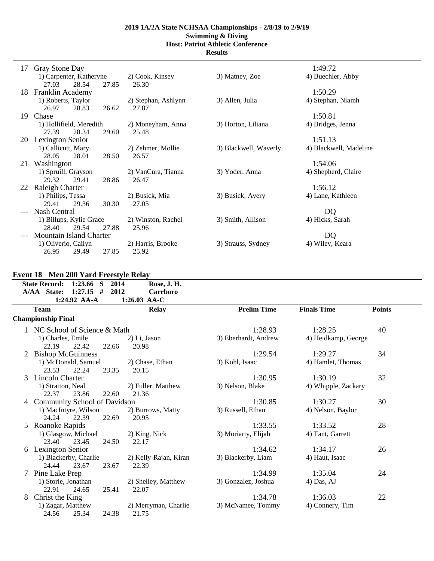**Results**

| 17  | Gray Stone Day          |                |                     |                       | 1:49.72                |
|-----|-------------------------|----------------|---------------------|-----------------------|------------------------|
|     | 1) Carpenter, Katheryne |                | 2) Cook, Kinsey     | 3) Matney, Zoe        | 4) Buechler, Abby      |
|     | 27.03                   | 28.54<br>27.85 | 26.30               |                       |                        |
| 18. | Franklin Academy        |                |                     |                       | 1:50.29                |
|     | 1) Roberts, Taylor      |                | 2) Stephan, Ashlynn | 3) Allen, Julia       | 4) Stephan, Niamh      |
|     | 26.97                   | 28.83<br>26.62 | 27.87               |                       |                        |
| 19. | Chase                   |                |                     |                       | 1:50.81                |
|     | 1) Hollifield, Meredith |                | 2) Moneyham, Anna   | 3) Horton, Liliana    | 4) Bridges, Jenna      |
|     | 27.39                   | 28.34<br>29.60 | 25.48               |                       |                        |
| 20  | <b>Lexington Senior</b> |                |                     |                       | 1:51.13                |
|     | 1) Callicutt, Mary      |                | 2) Zehmer, Mollie   | 3) Blackwell, Waverly | 4) Blackwell, Madeline |
|     | 28.05                   | 28.01<br>28.50 | 26.57               |                       |                        |
| 21  | Washington              |                |                     |                       | 1:54.06                |
|     | 1) Spruill, Grayson     |                | 2) VanCura, Tianna  | 3) Yoder, Anna        | 4) Shepherd, Claire    |
|     | 29.32                   | 29.41<br>28.86 | 26.47               |                       |                        |
| 22  | <b>Raleigh Charter</b>  |                |                     |                       | 1:56.12                |
|     | 1) Philips, Tessa       |                | 2) Busick, Mia      | 3) Busick, Avery      | 4) Lane, Kathleen      |
|     | 29.41                   | 29.36<br>30.30 | 27.05               |                       |                        |
|     | Nash Central            |                |                     |                       | DQ                     |
|     | 1) Billups, Kylie Grace |                | 2) Winston, Rachel  | 3) Smith, Allison     | 4) Hicks, Sarah        |
|     | 28.40                   | 29.54<br>27.88 | 25.96               |                       |                        |
|     | Mountain Island Charter |                |                     |                       | D <sub>Q</sub>         |
|     | 1) Oliverio, Cailyn     |                | 2) Harris, Brooke   | 3) Strauss, Sydney    | 4) Wiley, Keara        |
|     | 26.95                   | 29.49<br>27.85 | 25.92               |                       |                        |
|     |                         |                |                     |                       |                        |

## **Event 18 Men 200 Yard Freestyle Relay**

| State Record: 1:23.66 S 2014             |       | Rose, J. H.                   |                      |                     |               |
|------------------------------------------|-------|-------------------------------|----------------------|---------------------|---------------|
| A/AA State: 1:27.15 #                    | 2012  | <b>Carrboro</b>               |                      |                     |               |
| 1:24.92 AA-A                             |       | 1:26.03 AA-C                  |                      |                     |               |
| <b>Team</b>                              |       | <b>Relay</b>                  | <b>Prelim Time</b>   | <b>Finals Time</b>  | <b>Points</b> |
| <b>Championship Final</b>                |       |                               |                      |                     |               |
| 1 NC School of Science & Math            |       |                               | 1:28.93              | 1:28.25             | 40            |
| 1) Charles, Emile                        |       | 2) Li, Jason                  | 3) Eberhardt, Andrew | 4) Heidkamp, George |               |
| 22.19<br>22.42                           | 22.66 | 20.98                         |                      |                     |               |
| <b>Bishop McGuinness</b>                 |       |                               | 1:29.54              | 1:29.27             | 34            |
| 1) McDonald, Samuel                      |       | 2) Chase, Ethan               | 3) Kohl, Isaac       | 4) Hamlet, Thomas   |               |
| 23.53<br>22.24                           | 23.35 | 20.15                         |                      |                     |               |
| Lincoln Charter<br>3                     |       |                               | 1:30.95              | 1:30.19             | 32            |
| 1) Stratton, Neal                        |       | 2) Fuller, Matthew            | 3) Nelson, Blake     | 4) Whipple, Zackary |               |
| 22.37<br>23.86                           | 22.60 | 21.36                         |                      |                     |               |
| <b>Community School of Davidson</b><br>4 |       |                               | 1:30.85              | 1:30.27             | 30            |
| 1) MacIntyre, Wilson                     |       | 2) Burrows, Matty             | 3) Russell, Ethan    | 4) Nelson, Baylor   |               |
| 22.39<br>24.24                           | 22.69 | 20.95                         |                      |                     |               |
| Roanoke Rapids                           |       |                               | 1:33.55              | 1:33.52             | 28            |
| 1) Glasgow, Michael                      |       | 2) King, Nick                 | 3) Moriarty, Elijah  | 4) Tant, Garrett    |               |
| 23.40<br>23.45                           | 24.50 | 22.17                         |                      |                     |               |
| 6 Lexington Senior                       |       |                               | 1:34.62              | 1:34.17             | 26            |
| 1) Blackerby, Charlie                    |       | 2) Kelly-Rajan, Kiran         | 3) Blackerby, Liam   | 4) Haut, Isaac      |               |
| 24.44 23.67                              | 23.67 | 22.39                         |                      |                     |               |
| Pine Lake Prep<br>7                      |       |                               | 1:34.99              | 1:35.04             | 24            |
| 1) Storie, Jonathan                      |       | 2) Shelley, Matthew           | 3) Gonzalez, Joshua  | $4)$ Das, AJ        |               |
| 24.65<br>22.91                           | 25.41 | 22.07                         | 1:34.78              |                     |               |
| Christ the King<br>8                     |       |                               |                      | 1:36.03             | 22            |
| 1) Zagar, Matthew                        |       | 2) Merryman, Charlie<br>21.75 | 3) McNamee, Tommy    | 4) Connery, Tim     |               |
| 25.34<br>24.56                           | 24.38 |                               |                      |                     |               |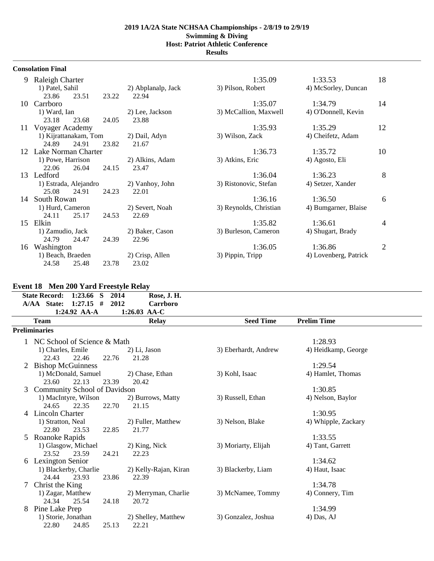**Results**

|    | <b>Consolation Final</b> |       |       |                    |                        |                       |    |
|----|--------------------------|-------|-------|--------------------|------------------------|-----------------------|----|
| 9  | Raleigh Charter          |       |       |                    | 1:35.09                | 1:33.53               | 18 |
|    | 1) Patel, Sahil          |       |       | 2) Abplanalp, Jack | 3) Pilson, Robert      | 4) McSorley, Duncan   |    |
|    | 23.86                    | 23.51 | 23.22 | 22.94              |                        |                       |    |
| 10 | Carrboro                 |       |       |                    | 1:35.07                | 1:34.79               | 14 |
|    | 1) Ward, Ian             |       |       | 2) Lee, Jackson    | 3) McCallion, Maxwell  | 4) O'Donnell, Kevin   |    |
|    | 23.18                    | 23.68 | 24.05 | 23.88              |                        |                       |    |
| 11 | Voyager Academy          |       |       |                    | 1:35.93                | 1:35.29               | 12 |
|    | 1) Kijrattanakam, Tom    |       |       | 2) Dail, Adyn      | 3) Wilson, Zack        | 4) Cheifetz, Adam     |    |
|    | 24.89                    | 24.91 | 23.82 | 21.67              |                        |                       |    |
| 12 | Lake Norman Charter      |       |       |                    | 1:36.73                | 1:35.72               | 10 |
|    | 1) Powe, Harrison        |       |       | 2) Alkins, Adam    | 3) Atkins, Eric        | 4) Agosto, Eli        |    |
|    | 22.06                    | 26.04 | 24.15 | 23.47              |                        |                       |    |
| 13 | Ledford                  |       |       |                    | 1:36.04                | 1:36.23               | 8  |
|    | 1) Estrada, Alejandro    |       |       | 2) Vanhoy, John    | 3) Ristonovic, Stefan  | 4) Setzer, Xander     |    |
|    | 25.08                    | 24.91 | 24.23 | 22.01              |                        |                       |    |
| 14 | South Rowan              |       |       |                    | 1:36.16                | 1:36.50               | 6  |
|    | 1) Hurd, Cameron         |       |       | 2) Severt, Noah    | 3) Reynolds, Christian | 4) Bumgarner, Blaise  |    |
|    | 24.11                    | 25.17 | 24.53 | 22.69              |                        |                       |    |
| 15 | Elkin                    |       |       |                    | 1:35.82                | 1:36.61               | 4  |
|    | 1) Zamudio, Jack         |       |       | 2) Baker, Cason    | 3) Burleson, Cameron   | 4) Shugart, Brady     |    |
|    | 24.79                    | 24.47 | 24.39 | 22.96              |                        |                       |    |
| 16 | Washington               |       |       |                    | 1:36.05                | 1:36.86               | 2  |
|    | 1) Beach, Braeden        |       |       | 2) Crisp, Allen    | 3) Pippin, Tripp       | 4) Lovenberg, Patrick |    |
|    | 24.58                    | 25.48 | 23.78 | 23.02              |                        |                       |    |

# **Event 18 Men 200 Yard Freestyle Relay**

|                | <b>State Record:</b><br>1:23.66<br>2014<br>-S<br>A/AA State:<br>#<br>2012<br>1:27.15 | Rose, J. H.<br><b>Carrboro</b> |                      |                     |  |
|----------------|--------------------------------------------------------------------------------------|--------------------------------|----------------------|---------------------|--|
|                | 1:24.92 AA-A                                                                         | 1:26.03 AA-C                   |                      |                     |  |
|                | <b>Team</b>                                                                          | <b>Relay</b>                   | <b>Seed Time</b>     | <b>Prelim Time</b>  |  |
|                | <b>Preliminaries</b>                                                                 |                                |                      |                     |  |
|                | NC School of Science & Math                                                          |                                |                      | 1:28.93             |  |
|                | 1) Charles, Emile                                                                    | 2) Li, Jason                   | 3) Eberhardt, Andrew | 4) Heidkamp, George |  |
|                | 22.43<br>22.46<br>22.76                                                              | 21.28                          |                      |                     |  |
| 2              | <b>Bishop McGuinness</b>                                                             |                                |                      | 1:29.54             |  |
|                | 1) McDonald, Samuel                                                                  | 2) Chase, Ethan                | 3) Kohl, Isaac       | 4) Hamlet, Thomas   |  |
|                | 23.60<br>22.13<br>23.39                                                              | 20.42                          |                      |                     |  |
| 3              | <b>Community School of Davidson</b>                                                  |                                |                      | 1:30.85             |  |
|                | 1) MacIntyre, Wilson                                                                 | 2) Burrows, Matty              | 3) Russell, Ethan    | 4) Nelson, Baylor   |  |
|                | 24.65<br>22.35<br>22.70                                                              | 21.15                          |                      |                     |  |
| $\overline{4}$ | <b>Lincoln Charter</b>                                                               |                                |                      | 1:30.95             |  |
|                | 1) Stratton, Neal                                                                    | 2) Fuller, Matthew             | 3) Nelson, Blake     | 4) Whipple, Zackary |  |
|                | 22.80<br>23.53<br>22.85                                                              | 21.77                          |                      |                     |  |
|                | 5 Roanoke Rapids                                                                     |                                |                      | 1:33.55             |  |
|                | 1) Glasgow, Michael                                                                  | 2) King, Nick                  | 3) Moriarty, Elijah  | 4) Tant, Garrett    |  |
|                | 23.52<br>23.59<br>24.21                                                              | 22.23                          |                      |                     |  |
| 6              | <b>Lexington Senior</b>                                                              |                                |                      | 1:34.62             |  |
|                | 1) Blackerby, Charlie                                                                | 2) Kelly-Rajan, Kiran          | 3) Blackerby, Liam   | 4) Haut, Isaac      |  |
| 7              | 23.93<br>23.86<br>24.44                                                              | 22.39                          |                      | 1:34.78             |  |
|                | Christ the King                                                                      |                                | 3) McNamee, Tommy    |                     |  |
|                | 1) Zagar, Matthew<br>24.34<br>25.54<br>24.18                                         | 2) Merryman, Charlie<br>20.72  |                      | 4) Connery, Tim     |  |
| 8              | Pine Lake Prep                                                                       |                                |                      | 1:34.99             |  |
|                | 1) Storie, Jonathan                                                                  | 2) Shelley, Matthew            | 3) Gonzalez, Joshua  | 4) Das, AJ          |  |
|                | 24.85<br>22.80<br>25.13                                                              | 22.21                          |                      |                     |  |
|                |                                                                                      |                                |                      |                     |  |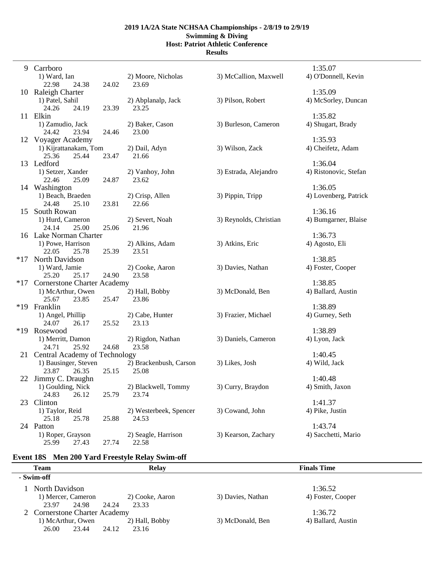## **2019 1A/2A State NCHSAA Championships - 2/8/19 to 2/9/19 Swimming & Diving**

**Host: Patriot Athletic Conference Results**

|       | 9 Carrboro<br>1) Ward, Ian                              | 2) Moore, Nicholas          | 3) McCallion, Maxwell  | 1:35.07<br>4) O'Donnell, Kevin |
|-------|---------------------------------------------------------|-----------------------------|------------------------|--------------------------------|
|       | 22.98<br>24.38<br>24.02<br>10 Raleigh Charter           | 23.69                       |                        | 1:35.09                        |
|       | 1) Patel, Sahil<br>24.26<br>24.19<br>23.39              | 2) Abplanalp, Jack<br>23.25 | 3) Pilson, Robert      | 4) McSorley, Duncan            |
|       | 11 Elkin                                                |                             |                        | 1:35.82                        |
|       | 1) Zamudio, Jack<br>24.42<br>23.94<br>24.46             | 2) Baker, Cason<br>23.00    | 3) Burleson, Cameron   | 4) Shugart, Brady              |
|       | 12 Voyager Academy                                      |                             |                        | 1:35.93                        |
|       | 1) Kijrattanakam, Tom<br>23.47<br>25.36<br>25.44        | 2) Dail, Adyn<br>21.66      | 3) Wilson, Zack        | 4) Cheifetz, Adam              |
|       | 13 Ledford                                              |                             |                        | 1:36.04                        |
|       | 1) Setzer, Xander<br>24.87<br>22.46<br>25.09            | 2) Vanhoy, John<br>23.62    | 3) Estrada, Alejandro  | 4) Ristonovic, Stefan          |
|       | 14 Washington                                           |                             |                        | 1:36.05                        |
|       | 1) Beach, Braeden<br>23.81<br>24.48<br>25.10            | 2) Crisp, Allen<br>22.66    | 3) Pippin, Tripp       | 4) Lovenberg, Patrick          |
| 15    | South Rowan                                             |                             |                        | 1:36.16                        |
|       | 1) Hurd, Cameron<br>25.00<br>25.06<br>24.14             | 2) Severt, Noah<br>21.96    | 3) Reynolds, Christian | 4) Bumgarner, Blaise           |
|       | 16 Lake Norman Charter                                  |                             |                        | 1:36.73                        |
|       | 1) Powe, Harrison                                       | 2) Alkins, Adam             | 3) Atkins, Eric        | 4) Agosto, Eli                 |
|       | 25.39<br>22.05<br>25.78                                 | 23.51                       |                        |                                |
|       | *17 North Davidson                                      |                             |                        | 1:38.85                        |
|       | 1) Ward, Jamie                                          | 2) Cooke, Aaron             | 3) Davies, Nathan      | 4) Foster, Cooper              |
|       | 24.90<br>25.17<br>25.20                                 | 23.58                       |                        |                                |
| $*17$ | <b>Cornerstone Charter Academy</b><br>1) McArthur, Owen | 2) Hall, Bobby              | 3) McDonald, Ben       | 1:38.85<br>4) Ballard, Austin  |
|       | 25.67<br>23.85<br>25.47                                 | 23.86                       |                        |                                |
|       | *19 Franklin                                            |                             |                        | 1:38.89                        |
|       | 1) Angel, Phillip                                       | 2) Cabe, Hunter             | 3) Frazier, Michael    | 4) Gurney, Seth                |
|       | 24.07<br>25.52<br>26.17                                 | 23.13                       |                        |                                |
|       | *19 Rosewood                                            |                             |                        | 1:38.89                        |
|       | 1) Merritt, Damon                                       | 2) Rigdon, Nathan           | 3) Daniels, Cameron    | 4) Lyon, Jack                  |
|       | 24.68<br>24.71<br>25.92                                 | 23.58                       |                        |                                |
|       | 21 Central Academy of Technology                        |                             |                        | 1:40.45                        |
|       | 1) Bausinger, Steven                                    | 2) Brackenbush, Carson      | 3) Likes, Josh         | 4) Wild, Jack                  |
|       | 23.87<br>25.15<br>26.35<br>22 Jimmy C. Draughn          | 25.08                       |                        | 1:40.48                        |
|       | 1) Goulding, Nick                                       | 2) Blackwell, Tommy         | 3) Curry, Braydon      | 4) Smith, Jaxon                |
|       | 24.83<br>26.12<br>25.79                                 | 23.74                       |                        |                                |
| 23    | Clinton                                                 |                             |                        | 1:41.37                        |
|       | 1) Taylor, Reid                                         | 2) Westerbeek, Spencer      | 3) Cowand, John        | 4) Pike, Justin                |
|       | 25.18<br>25.78<br>25.88                                 | 24.53                       |                        |                                |
|       | 24 Patton                                               |                             |                        | 1:43.74                        |
|       | 1) Roper, Grayson                                       | 2) Seagle, Harrison         | 3) Kearson, Zachary    | 4) Sacchetti, Mario            |
|       | 27.74<br>25.99<br>27.43                                 | 22.58                       |                        |                                |

# **Event 18S Men 200 Yard Freestyle Relay Swim-off**

 $\overline{a}$ 

| <b>Team</b>                   | <b>Relay</b>    | <b>Finals Time</b> |                    |  |  |
|-------------------------------|-----------------|--------------------|--------------------|--|--|
| - Swim-off                    |                 |                    |                    |  |  |
| North Davidson                |                 |                    | 1:36.52            |  |  |
| 1) Mercer, Cameron            | 2) Cooke, Aaron | 3) Davies, Nathan  | 4) Foster, Cooper  |  |  |
| 23.97<br>24.98<br>24.24       | 23.33           |                    |                    |  |  |
| 2 Cornerstone Charter Academy |                 |                    | 1:36.72            |  |  |
| 1) McArthur, Owen             | 2) Hall, Bobby  | 3) McDonald, Ben   | 4) Ballard, Austin |  |  |
| 26.00<br>23.44<br>24.12       | 23.16           |                    |                    |  |  |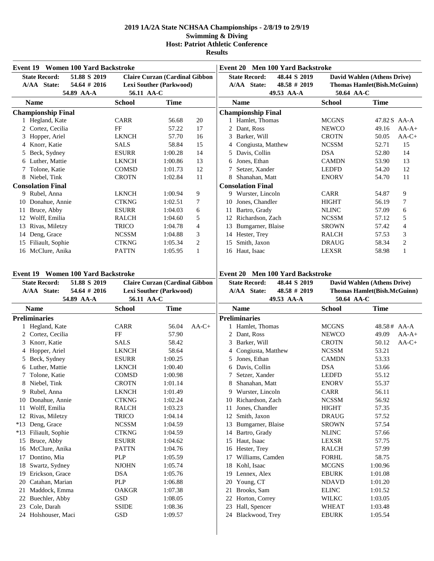| Event 19 Women 100 Yard Backstroke        |                     |                                       |                                           | Event 20 Men 100 Yard Backstroke            |                                    |                                    |         |  |  |
|-------------------------------------------|---------------------|---------------------------------------|-------------------------------------------|---------------------------------------------|------------------------------------|------------------------------------|---------|--|--|
| <b>State Record:</b><br>51.88 S 2019      |                     | <b>Claire Curzan (Cardinal Gibbon</b> | <b>State Record:</b>                      | 48.44 S 2019                                | David Wahlen (Athens Drive)        |                                    |         |  |  |
| 54.64 # 2016<br>A/AA State:               |                     | <b>Lexi Souther (Parkwood)</b>        | A/AA State:                               | $48.58 \# 2019$                             |                                    | <b>Thomas Hamlet(Bish.McGuinn)</b> |         |  |  |
| 54.89 AA-A                                | 56.11 AA-C          |                                       |                                           | 49.53 AA-A                                  | 50.64 AA-C                         |                                    |         |  |  |
| <b>Name</b>                               | <b>School</b>       | <b>Time</b>                           | <b>Name</b>                               |                                             | <b>School</b>                      | <b>Time</b>                        |         |  |  |
| <b>Championship Final</b>                 |                     |                                       | <b>Championship Final</b>                 |                                             |                                    |                                    |         |  |  |
| 1 Hegland, Kate                           | <b>CARR</b>         | 20<br>56.68                           | 1 Hamlet, Thomas                          |                                             | <b>MCGNS</b>                       | 47.82 S AA-A                       |         |  |  |
| 2 Cortez, Cecilia                         | FF                  | 57.22<br>17                           | 2 Dant, Ross                              |                                             | <b>NEWCO</b>                       | 49.16                              | $AA-A+$ |  |  |
| 3 Hopper, Ariel                           | <b>LKNCH</b>        | 57.70<br>16                           | 3 Barker, Will                            |                                             | <b>CROTN</b>                       | 50.05                              | $AA-C+$ |  |  |
| 4 Knorr, Katie                            | <b>SALS</b>         | 58.84<br>15                           | 4 Congiusta, Matthew                      |                                             | <b>NCSSM</b>                       | 52.71                              | 15      |  |  |
| 5 Beck, Sydney                            | <b>ESURR</b>        | 1:00.28<br>14                         | Davis, Collin<br>5                        |                                             | <b>DSA</b>                         | 52.80                              | 14      |  |  |
| 6 Luther, Mattie                          | <b>LKNCH</b>        | 1:00.86<br>13                         | 6 Jones, Ethan                            |                                             | <b>CAMDN</b>                       | 53.90                              | 13      |  |  |
| 7 Tolone, Katie                           | COMSD               | 1:01.73<br>12                         | 7 Setzer, Xander                          |                                             | <b>LEDFD</b>                       | 54.20                              | 12      |  |  |
| 8 Niebel, Tink                            | <b>CROTN</b>        | 1:02.84<br>11                         | 8 Shanahan, Matt                          |                                             | <b>ENORV</b>                       | 54.70                              | 11      |  |  |
| <b>Consolation Final</b>                  |                     |                                       | <b>Consolation Final</b>                  |                                             |                                    |                                    |         |  |  |
| 9 Rubel, Anna                             | <b>LKNCH</b>        | 1:00.94<br>9                          | 9 Wurster, Lincoln                        |                                             | <b>CARR</b>                        | 54.87                              | 9       |  |  |
| 10 Donahue, Annie                         | <b>CTKNG</b>        | 1:02.51<br>7                          | 10 Jones, Chandler                        |                                             | <b>HIGHT</b>                       | 56.19                              | 7       |  |  |
| Bruce, Abby<br>11                         | <b>ESURR</b>        | 1:04.03<br>6                          | 11 Bartro, Grady                          |                                             | <b>NLINC</b>                       | 57.09                              | 6       |  |  |
| 12 Wolff, Emilia                          | <b>RALCH</b>        | 5<br>1:04.60                          | 12 Richardson, Zach                       |                                             | <b>NCSSM</b>                       | 57.12                              | 5       |  |  |
| 13 Rivas, Miletzy                         | TRICO               | 1:04.78<br>4                          | Bumgarner, Blaise<br>13                   |                                             | <b>SROWN</b>                       | 57.42                              | 4       |  |  |
| 14 Deng, Grace                            | <b>NCSSM</b>        | 3<br>1:04.88                          | 14 Hester, Trey                           |                                             | RALCH                              | 57.53                              | 3       |  |  |
| 15 Filiault, Sophie                       | <b>CTKNG</b>        | $\boldsymbol{2}$<br>1:05.34           | Smith, Jaxon<br>15                        |                                             | <b>DRAUG</b>                       | 58.34                              | 2       |  |  |
| 16 McClure, Anika                         | <b>PATTN</b>        | 1:05.95<br>$\mathbf{1}$               | 16 Haut, Isaac                            |                                             | <b>LEXSR</b>                       | 58.98                              | 1       |  |  |
|                                           |                     |                                       |                                           |                                             |                                    |                                    |         |  |  |
| <b>Event 19 Women 100 Yard Backstroke</b> |                     |                                       | Event 20 Men 100 Yard Backstroke          |                                             |                                    |                                    |         |  |  |
| <b>State Record:</b><br>51.88 S 2019      |                     | <b>Claire Curzan (Cardinal Gibbon</b> | <b>State Record:</b>                      | 48.44 S 2019<br>David Wahlen (Athens Drive) |                                    |                                    |         |  |  |
| A/AA State:<br>54.64 # 2016               |                     | Lexi Souther (Parkwood)               | A/AA State:                               | $48.58 \# 2019$                             | <b>Thomas Hamlet(Bish.McGuinn)</b> |                                    |         |  |  |
|                                           |                     |                                       |                                           |                                             |                                    |                                    |         |  |  |
| 54.89 AA-A                                | 56.11 AA-C          |                                       |                                           | 49.53 AA-A                                  | 50.64 AA-C                         |                                    |         |  |  |
| <b>Name</b>                               | <b>School</b>       | <b>Time</b>                           | <b>Name</b>                               |                                             | <b>School</b>                      | <b>Time</b>                        |         |  |  |
| <b>Preliminaries</b>                      |                     |                                       | <b>Preliminaries</b>                      |                                             |                                    |                                    |         |  |  |
| 1 Hegland, Kate                           | <b>CARR</b>         | 56.04<br>$AA-C+$                      | 1 Hamlet, Thomas                          |                                             | <b>MCGNS</b>                       | $48.58#$ AA-A                      |         |  |  |
| 2 Cortez, Cecilia                         | FF                  | 57.90                                 | 2 Dant, Ross                              |                                             | <b>NEWCO</b>                       | 49.09                              | $AA-A+$ |  |  |
| Knorr, Katie<br>3                         | <b>SALS</b>         | 58.42                                 | 3<br>Barker, Will                         |                                             | <b>CROTN</b>                       | 50.12                              | $AA-C+$ |  |  |
| Hopper, Ariel<br>4                        | <b>LKNCH</b>        | 58.64                                 | Congiusta, Matthew<br>4                   |                                             | <b>NCSSM</b>                       | 53.21                              |         |  |  |
| 5 Beck, Sydney                            | <b>ESURR</b>        | 1:00.25                               | Jones, Ethan<br>5                         |                                             | <b>CAMDN</b>                       | 53.33                              |         |  |  |
| 6 Luther, Mattie                          | <b>LKNCH</b>        | 1:00.40                               | Davis, Collin<br>6                        |                                             | <b>DSA</b>                         | 53.66                              |         |  |  |
| 7 Tolone, Katie                           | <b>COMSD</b>        | 1:00.98                               | 7 Setzer, Xander                          |                                             | <b>LEDFD</b>                       | 55.12                              |         |  |  |
| 8 Niebel, Tink                            | <b>CROTN</b>        | 1:01.14                               | 8 Shanahan, Matt                          |                                             | <b>ENORV</b>                       | 55.37                              |         |  |  |
| 9 Rubel, Anna                             | <b>LKNCH</b>        | 1:01.49                               | Wurster, Lincoln<br>9                     |                                             | CARR                               | 56.11                              |         |  |  |
| 10 Donahue, Annie                         | <b>CTKNG</b>        | 1:02.24                               | 10 Richardson, Zach                       |                                             | <b>NCSSM</b>                       | 56.92                              |         |  |  |
| 11 Wolff, Emilia                          | RALCH               | 1:03.23                               | Jones, Chandler<br>11                     |                                             | <b>HIGHT</b>                       | 57.35                              |         |  |  |
| 12 Rivas, Miletzy                         | TRICO               | 1:04.14                               | Smith, Jaxon<br>12                        |                                             | <b>DRAUG</b>                       | 57.52                              |         |  |  |
| *13 Deng, Grace                           | <b>NCSSM</b>        | 1:04.59                               | Bumgarner, Blaise<br>13                   |                                             | <b>SROWN</b>                       | 57.54                              |         |  |  |
| *13 Filiault, Sophie                      | <b>CTKNG</b>        | 1:04.59                               | Bartro, Grady<br>14                       |                                             | <b>NLINC</b>                       | 57.66                              |         |  |  |
| Bruce, Abby<br>15                         | <b>ESURR</b>        | 1:04.62                               | Haut, Isaac<br>15                         |                                             | LEXSR                              | 57.75                              |         |  |  |
| 16 McClure, Anika                         | <b>PATTN</b>        | 1:04.76                               | Hester, Trey<br>16                        |                                             | <b>RALCH</b>                       | 57.99                              |         |  |  |
| Dontino, Mia<br>17                        | PLP                 | 1:05.59                               | Williams, Camden<br>17                    |                                             | <b>FORHL</b>                       | 58.75                              |         |  |  |
| Swartz, Sydney<br>18                      | <b>NJOHN</b>        | 1:05.74                               | Kohl, Isaac<br>18                         |                                             | <b>MCGNS</b>                       | 1:00.96                            |         |  |  |
| Erickson, Grace<br>19                     | <b>DSA</b>          | 1:05.76                               | Lennex, Alex<br>19                        |                                             | <b>EBURK</b>                       | 1:01.08                            |         |  |  |
| Catahan, Marian<br>20                     | <b>PLP</b>          | 1:06.88                               | Young, CT<br>20                           |                                             | <b>NDAVD</b>                       | 1:01.20                            |         |  |  |
| Maddock, Emma<br>21                       | <b>OAKGR</b>        | 1:07.38                               | 21 Brooks, Sam                            |                                             | <b>ELINC</b>                       | 1:01.52                            |         |  |  |
| Buechler, Abby<br>22                      | GSD                 | 1:08.05                               | Horton, Correy<br>22                      |                                             | <b>WILKC</b>                       | 1:03.05                            |         |  |  |
| Cole, Darah<br>23<br>24 Holshouser, Maci  | <b>SSIDE</b><br>GSD | 1:08.36<br>1:09.57                    | Hall, Spencer<br>23<br>24 Blackwood, Trey |                                             | <b>WHEAT</b><br><b>EBURK</b>       | 1:03.48<br>1:05.54                 |         |  |  |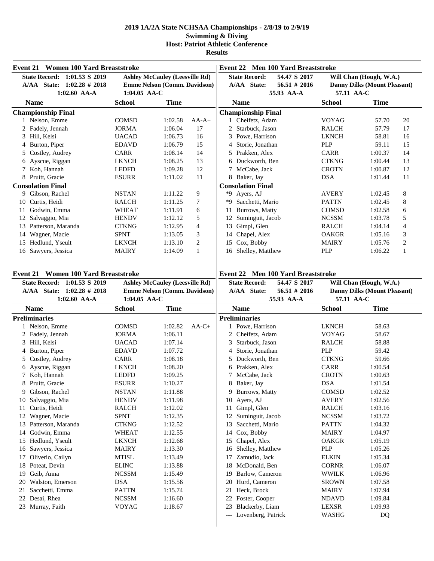| Event 21 Women 100 Yard Breaststroke                                        |                                                                       |                                       |                                                                                                              | Event 22 Men 100 Yard Breaststroke                                     |                                                                |                              |  |  |  |
|-----------------------------------------------------------------------------|-----------------------------------------------------------------------|---------------------------------------|--------------------------------------------------------------------------------------------------------------|------------------------------------------------------------------------|----------------------------------------------------------------|------------------------------|--|--|--|
| State Record: 1:01.53 S 2019<br>A/AA State: 1:02.28 # 2018                  | <b>Ashley McCauley (Leesville Rd)</b><br>Emme Nelson (Comm. Davidson) |                                       |                                                                                                              | <b>State Record:</b><br>54.47 S 2017<br>A/AA State:<br>$56.51 \# 2016$ | Will Chan (Hough, W.A.)<br><b>Danny Dilks (Mount Pleasant)</b> |                              |  |  |  |
| $1:02.60$ AA-A                                                              | 1:04.05 AA-C                                                          |                                       |                                                                                                              | 55.93 AA-A                                                             | 57.11 AA-C                                                     |                              |  |  |  |
| <b>Name</b>                                                                 | <b>School</b>                                                         | <b>Time</b>                           |                                                                                                              | <b>Name</b>                                                            | <b>School</b>                                                  | <b>Time</b>                  |  |  |  |
| <b>Championship Final</b>                                                   |                                                                       |                                       |                                                                                                              | <b>Championship Final</b>                                              |                                                                |                              |  |  |  |
| 1 Nelson, Emme                                                              | COMSD                                                                 | 1:02.58                               | $AA-A+$                                                                                                      | 1 Cheifetz, Adam                                                       | <b>VOYAG</b>                                                   | 20<br>57.70                  |  |  |  |
| 2 Fadely, Jennah                                                            | <b>JORMA</b>                                                          | 1:06.04                               | 17                                                                                                           | 2 Starbuck, Jason                                                      | <b>RALCH</b>                                                   | 57.79<br>17                  |  |  |  |
| 3 Hill, Kelsi                                                               | <b>UACAD</b>                                                          | 1:06.73                               | 16                                                                                                           | Powe, Harrison                                                         | <b>LKNCH</b>                                                   | 58.81<br>16                  |  |  |  |
| 4 Burton, Piper                                                             | <b>EDAVD</b>                                                          | 1:06.79                               | 15                                                                                                           | Storie, Jonathan                                                       | <b>PLP</b>                                                     | 59.11<br>15                  |  |  |  |
| 5 Costley, Audrey                                                           | CARR                                                                  | 1:08.14                               | 14                                                                                                           | Prakken, Alex<br>5                                                     | CARR                                                           | 1:00.37<br>14                |  |  |  |
| 6 Ayscue, Riggan                                                            | <b>LKNCH</b>                                                          | 1:08.25                               | 13                                                                                                           | Duckworth, Ben<br>6                                                    | <b>CTKNG</b>                                                   | 13<br>1:00.44                |  |  |  |
| 7 Koh, Hannah                                                               | <b>LEDFD</b>                                                          | 1:09.28                               | 12                                                                                                           | McCabe, Jack                                                           | <b>CROTN</b>                                                   | 12<br>1:00.87                |  |  |  |
| 8 Pruitt, Gracie                                                            | <b>ESURR</b>                                                          | 1:11.02                               | 11                                                                                                           | 8 Baker, Jay                                                           | <b>DSA</b>                                                     | 11<br>1:01.44                |  |  |  |
| <b>Consolation Final</b>                                                    |                                                                       |                                       |                                                                                                              | <b>Consolation Final</b>                                               |                                                                |                              |  |  |  |
| 9 Gibson, Rachel                                                            | <b>NSTAN</b>                                                          | 1:11.22                               | 9                                                                                                            | *9 Ayers, AJ                                                           | <b>AVERY</b>                                                   | 8<br>1:02.45                 |  |  |  |
| 10 Curtis, Heidi                                                            | <b>RALCH</b><br><b>WHEAT</b>                                          | 1:11.25                               | 7                                                                                                            | Sacchetti, Mario<br>*9                                                 | <b>PATTN</b><br><b>COMSD</b>                                   | 8<br>1:02.45                 |  |  |  |
| 11 Godwin, Emma<br>12 Salvaggio, Mia                                        | <b>HENDV</b>                                                          | 1:11.91<br>1:12.12                    | 6<br>5                                                                                                       | Burrows, Matty<br>11<br>Suminguit, Jacob                               | <b>NCSSM</b>                                                   | 1:02.58<br>6<br>5<br>1:03.78 |  |  |  |
| 13 Patterson, Maranda                                                       |                                                                       |                                       | 4                                                                                                            | 12                                                                     |                                                                |                              |  |  |  |
| 14 Wagner, Macie                                                            | <b>CTKNG</b><br><b>SPNT</b>                                           | 1:12.95                               | 3                                                                                                            | Gimpl, Glen<br>13<br>Chapel, Alex<br>14                                | <b>RALCH</b><br><b>OAKGR</b>                                   | 4<br>1:04.14<br>3<br>1:05.16 |  |  |  |
| 15 Hedlund, Yseult                                                          | <b>LKNCH</b>                                                          | 1:13.05<br>1:13.10                    | 2                                                                                                            | Cox, Bobby<br>15                                                       | <b>MAIRY</b>                                                   | 1:05.76                      |  |  |  |
| 16 Sawyers, Jessica                                                         | <b>MAIRY</b>                                                          | 1:14.09                               | $\mathbf{1}$                                                                                                 | Shelley, Matthew<br>16                                                 | <b>PLP</b>                                                     | 2<br>$\mathbf{1}$<br>1:06.22 |  |  |  |
| <b>Event 21 Women 100 Yard Breaststroke</b><br>State Record: 1:01.53 S 2019 |                                                                       | <b>Ashley McCauley (Leesville Rd)</b> | <b>Event 22 Men 100 Yard Breaststroke</b><br><b>State Record:</b><br>54.47 S 2017<br>Will Chan (Hough, W.A.) |                                                                        |                                                                |                              |  |  |  |
| A/AA State: 1:02.28 # 2018                                                  |                                                                       | Emme Nelson (Comm. Davidson)          |                                                                                                              | A/AA State:<br>$56.51$ # 2016                                          | <b>Danny Dilks (Mount Pleasant)</b>                            |                              |  |  |  |
| $1:02.60$ AA-A                                                              | 1:04.05 AA-C                                                          |                                       |                                                                                                              | 55.93 AA-A                                                             | 57.11 AA-C                                                     |                              |  |  |  |
| <b>Name</b>                                                                 | <b>School</b>                                                         | <b>Time</b>                           |                                                                                                              | <b>Name</b>                                                            | <b>School</b>                                                  | <b>Time</b>                  |  |  |  |
| <b>Preliminaries</b>                                                        |                                                                       |                                       |                                                                                                              | <b>Preliminaries</b>                                                   |                                                                |                              |  |  |  |
| 1 Nelson, Emme                                                              | <b>COMSD</b>                                                          | 1:02.82                               | $AA-C+$                                                                                                      | 1 Powe, Harrison                                                       | <b>LKNCH</b>                                                   | 58.63                        |  |  |  |
| 2 Fadely, Jennah                                                            | <b>JORMA</b>                                                          | 1:06.11                               |                                                                                                              | 2 Cheifetz, Adam                                                       | <b>VOYAG</b>                                                   | 58.67                        |  |  |  |
| 3 Hill, Kelsi                                                               | <b>UACAD</b>                                                          | 1:07.14                               |                                                                                                              | Starbuck, Jason<br>3                                                   | <b>RALCH</b>                                                   | 58.88                        |  |  |  |
| 4 Burton, Piper                                                             | <b>EDAVD</b>                                                          | 1:07.72                               |                                                                                                              | Storie, Jonathan<br>4                                                  | <b>PLP</b>                                                     | 59.42                        |  |  |  |
| 5 Costley, Audrey                                                           | <b>CARR</b>                                                           | 1:08.18                               |                                                                                                              | Duckworth, Ben                                                         | <b>CTKNG</b>                                                   | 59.66                        |  |  |  |
| 6 Ayscue, Riggan                                                            | <b>LKNCH</b>                                                          | 1:08.20                               |                                                                                                              | Prakken, Alex                                                          | CARR                                                           | 1:00.54                      |  |  |  |
| 7 Koh, Hannah                                                               | <b>LEDFD</b>                                                          | 1:09.25                               |                                                                                                              | 7 McCabe, Jack                                                         | <b>CROTN</b>                                                   | 1:00.63                      |  |  |  |
| 8 Pruitt, Gracie                                                            | <b>ESURR</b>                                                          | 1:10.27                               |                                                                                                              | 8 Baker, Jay                                                           | $_{\rm DSA}$                                                   | 1:01.54                      |  |  |  |
| 9 Gibson, Rachel                                                            | NSTAN                                                                 | 1:11.88                               |                                                                                                              | Burrows, Matty<br>9                                                    | <b>COMSD</b>                                                   | 1:02.52                      |  |  |  |
| 10 Salvaggio, Mia                                                           | <b>HENDV</b>                                                          | 1:11.98                               |                                                                                                              | Ayers, AJ<br>10                                                        | <b>AVERY</b>                                                   | 1:02.56                      |  |  |  |
| Curtis, Heidi<br>11                                                         | <b>RALCH</b>                                                          | 1:12.02                               |                                                                                                              | Gimpl, Glen<br>11                                                      | RALCH                                                          | 1:03.16                      |  |  |  |
| 12 Wagner, Macie                                                            | <b>SPNT</b>                                                           | 1:12.35                               |                                                                                                              | Suminguit, Jacob<br>12                                                 | <b>NCSSM</b>                                                   | 1:03.72                      |  |  |  |
| 13 Patterson, Maranda                                                       | <b>CTKNG</b>                                                          | 1:12.52                               |                                                                                                              | Sacchetti, Mario<br>13                                                 | <b>PATTN</b>                                                   | 1:04.32                      |  |  |  |
| 14 Godwin, Emma                                                             | <b>WHEAT</b>                                                          | 1:12.55                               |                                                                                                              | Cox, Bobby<br>14                                                       | <b>MAIRY</b>                                                   | 1:04.97                      |  |  |  |
| 15 Hedlund, Yseult                                                          | <b>LKNCH</b>                                                          | 1:12.68                               |                                                                                                              | Chapel, Alex<br>15                                                     | <b>OAKGR</b>                                                   | 1:05.19                      |  |  |  |
| 16 Sawyers, Jessica                                                         | MAIRY                                                                 | 1:13.30                               |                                                                                                              | Shelley, Matthew<br>16                                                 | PLP                                                            | 1:05.26                      |  |  |  |
| Oliverio, Cailyn<br>17                                                      | <b>MTISL</b>                                                          | 1:13.49                               |                                                                                                              | Zamudio, Jack<br>17                                                    | <b>ELKIN</b>                                                   | 1:05.34                      |  |  |  |
| 18 Poteat, Devin                                                            | <b>ELINC</b>                                                          | 1:13.88                               |                                                                                                              | McDonald, Ben<br>18<br>Barlow, Cameron                                 | <b>CORNR</b>                                                   | 1:06.07                      |  |  |  |
| 19 Geib, Anna                                                               | <b>NCSSM</b>                                                          | 1:15.49                               |                                                                                                              | 19                                                                     | <b>WWILK</b>                                                   | 1:06.96                      |  |  |  |
| 20 Walston, Emerson                                                         | <b>DSA</b>                                                            | 1:15.56                               |                                                                                                              | Hurd, Cameron<br>20<br>Heck, Brock                                     | <b>SROWN</b>                                                   | 1:07.58                      |  |  |  |
| Sacchetti, Emma<br>21<br>Desai, Rhea<br>22                                  | <b>PATTN</b><br><b>NCSSM</b>                                          | 1:15.74<br>1:16.60                    |                                                                                                              | 21<br>Foster, Cooper<br>22                                             | MAIRY<br><b>NDAVD</b>                                          | 1:07.94<br>1:09.84           |  |  |  |
| 23 Murray, Faith                                                            | <b>VOYAG</b>                                                          | 1:18.67                               |                                                                                                              | Blackerby, Liam<br>23                                                  | LEXSR                                                          | 1:09.93                      |  |  |  |
|                                                                             |                                                                       |                                       |                                                                                                              | Lovenberg, Patrick<br>---                                              | WASHG                                                          | DQ                           |  |  |  |
|                                                                             |                                                                       |                                       |                                                                                                              |                                                                        |                                                                |                              |  |  |  |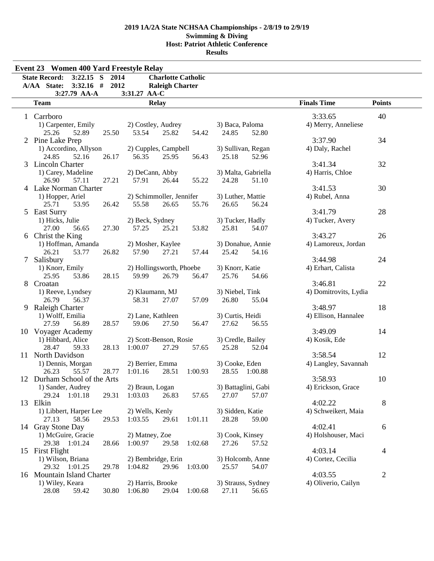| <b>Results</b> |
|----------------|
|----------------|

|   | <b>Event 23 Women 400 Yard Freestyle Relay</b> |       |                                   |                           |         |                          |                     |                       |               |  |
|---|------------------------------------------------|-------|-----------------------------------|---------------------------|---------|--------------------------|---------------------|-----------------------|---------------|--|
|   | State Record: 3:22.15 S 2014                   |       |                                   | <b>Charlotte Catholic</b> |         |                          |                     |                       |               |  |
|   | $3:32.16$ #<br>A/AA State:                     | 2012  |                                   | <b>Raleigh Charter</b>    |         |                          |                     |                       |               |  |
|   | 3:27.79 AA-A                                   |       | 3:31.27 AA-C                      |                           |         |                          |                     |                       |               |  |
|   | <b>Team</b>                                    |       | <b>Relay</b>                      |                           |         |                          |                     | <b>Finals Time</b>    | <b>Points</b> |  |
|   | 1 Carrboro                                     |       |                                   |                           |         |                          |                     | 3:33.65               | 40            |  |
|   | 1) Carpenter, Emily                            |       | 2) Costley, Audrey                |                           |         | 3) Baca, Paloma          |                     | 4) Merry, Anneliese   |               |  |
|   | 25.26<br>52.89                                 | 25.50 | 53.54                             | 25.82                     | 54.42   | 24.85                    | 52.80               |                       |               |  |
|   | 2 Pine Lake Prep                               |       |                                   |                           |         |                          |                     | 3:37.90               | 34            |  |
|   | 1) Accordino, Allyson                          |       | 2) Cupples, Campbell              |                           |         | 3) Sullivan, Regan       |                     | 4) Daly, Rachel       |               |  |
|   | 52.16<br>24.85<br>3 Lincoln Charter            | 26.17 | 56.35                             | 25.95                     | 56.43   | 25.18                    | 52.96               | 3:41.34               | 32            |  |
|   | 1) Carey, Madeline                             |       | 2) DeCann, Abby                   |                           |         |                          | 3) Malta, Gabriella | 4) Harris, Chloe      |               |  |
|   | 57.11<br>26.90                                 | 27.21 | 57.91                             | 26.44                     | 55.22   | 24.28                    | 51.10               |                       |               |  |
|   | 4 Lake Norman Charter                          |       |                                   |                           |         |                          |                     | 3:41.53               | 30            |  |
|   | 1) Hopper, Ariel                               |       | 2) Schimmoller, Jennifer          |                           |         | 3) Luther, Mattie        |                     | 4) Rubel, Anna        |               |  |
|   | 25.71<br>53.95                                 | 26.42 | 55.58                             | 26.65                     | 55.76   | 26.65                    | 56.24               |                       |               |  |
|   | 5 East Surry                                   |       |                                   |                           |         |                          |                     | 3:41.79               | 28            |  |
|   | 1) Hicks, Julie                                |       | 2) Beck, Sydney                   |                           |         | 3) Tucker, Hadly         |                     | 4) Tucker, Avery      |               |  |
|   | 27.00<br>56.65                                 | 27.30 | 57.25                             | 25.21                     | 53.82   | 25.81                    | 54.07               |                       |               |  |
|   | 6 Christ the King                              |       |                                   |                           |         |                          |                     | 3:43.27               | 26            |  |
|   | 1) Hoffman, Amanda                             |       | 2) Mosher, Kaylee                 |                           |         | 3) Donahue, Annie        |                     | 4) Lamoreux, Jordan   |               |  |
|   | 26.21<br>53.77                                 | 26.82 | 57.90                             | 27.21                     | 57.44   | 25.42                    | 54.16               |                       |               |  |
| 7 | Salisbury                                      |       |                                   |                           |         |                          |                     | 3:44.98               | 24            |  |
|   | 1) Knorr, Emily<br>25.95<br>53.86              | 28.15 | 2) Hollingsworth, Phoebe<br>59.99 | 26.79                     | 56.47   | 3) Knorr, Katie<br>25.76 | 54.66               | 4) Erhart, Calista    |               |  |
|   | 8 Croatan                                      |       |                                   |                           |         |                          |                     | 3:46.81               | 22            |  |
|   | 1) Reeve, Lyndsey                              |       | 2) Klaumann, MJ                   |                           |         | 3) Niebel, Tink          |                     | 4) Domitrovits, Lydia |               |  |
|   | 26.79<br>56.37                                 |       | 58.31                             | 27.07                     | 57.09   | 26.80                    | 55.04               |                       |               |  |
|   | 9 Raleigh Charter                              |       |                                   |                           |         |                          |                     | 3:48.97               | 18            |  |
|   | 1) Wolff, Emilia                               |       | 2) Lane, Kathleen                 |                           |         | 3) Curtis, Heidi         |                     | 4) Ellison, Hannalee  |               |  |
|   | 27.59<br>56.89                                 | 28.57 | 59.06                             | 27.50                     | 56.47   | 27.62                    | 56.55               |                       |               |  |
|   | 10 Voyager Academy                             |       |                                   |                           |         |                          |                     | 3:49.09               | 14            |  |
|   | 1) Hibbard, Alice                              |       | 2) Scott-Benson, Rosie            |                           |         | 3) Credle, Bailey        |                     | 4) Kosik, Ede         |               |  |
|   | 28.47<br>59.33                                 | 28.13 | 1:00.07                           | 27.29                     | 57.65   | 25.28                    | 52.04               |                       |               |  |
|   | 11 North Davidson                              |       |                                   |                           |         |                          |                     | 3:58.54               | 12            |  |
|   | 1) Dennis, Morgan                              |       | 2) Berrier, Emma                  |                           | 1:00.93 | 3) Cooke, Eden           |                     | 4) Langley, Savannah  |               |  |
|   | 26.23<br>55.57<br>12 Durham School of the Arts | 28.77 | 1:01.16                           | 28.51                     |         | 28.55                    | 1:00.88             | 3:58.93               | 10            |  |
|   | 1) Sander, Audrey                              |       | 2) Braun, Logan                   |                           |         | 3) Battaglini, Gabi      |                     | 4) Erickson, Grace    |               |  |
|   | 29.24 1:01.18                                  | 29.31 | 1:03.03                           | 26.83                     | 57.65   | 27.07                    | 57.07               |                       |               |  |
|   | 13 Elkin                                       |       |                                   |                           |         |                          |                     | 4:02.22               | 8             |  |
|   | 1) Libbert, Harper Lee                         |       | 2) Wells, Kenly                   |                           |         | 3) Sidden, Katie         |                     | 4) Schweikert, Maia   |               |  |
|   | 27.13<br>58.56                                 | 29.53 | 1:03.55                           | 29.61                     | 1:01.11 | 28.28                    | 59.00               |                       |               |  |
|   | 14 Gray Stone Day                              |       |                                   |                           |         |                          |                     | 4:02.41               | 6             |  |
|   | 1) McGuire, Gracie                             |       | 2) Matney, Zoe                    |                           |         | 3) Cook, Kinsey          |                     | 4) Holshouser, Maci   |               |  |
|   | 29.38 1:01.24                                  | 28.66 | 1:00.97                           | 29.58                     | 1:02.68 | 27.26                    | 57.52               |                       |               |  |
|   | 15 First Flight                                |       |                                   |                           |         |                          |                     | 4:03.14               | 4             |  |
|   | 1) Wilson, Briana                              |       | 2) Bembridge, Erin                |                           |         | 3) Holcomb, Anne         |                     | 4) Cortez, Cecilia    |               |  |
|   | 29.32 1:01.25<br>16 Mountain Island Charter    | 29.78 | 1:04.82                           | 29.96                     | 1:03.00 | 25.57                    | 54.07               | 4:03.55               | 2             |  |
|   | 1) Wiley, Keara                                |       | 2) Harris, Brooke                 |                           |         | 3) Strauss, Sydney       |                     | 4) Oliverio, Cailyn   |               |  |
|   | 28.08<br>59.42                                 | 30.80 | 1:06.80                           | 29.04                     | 1:00.68 | 27.11                    | 56.65               |                       |               |  |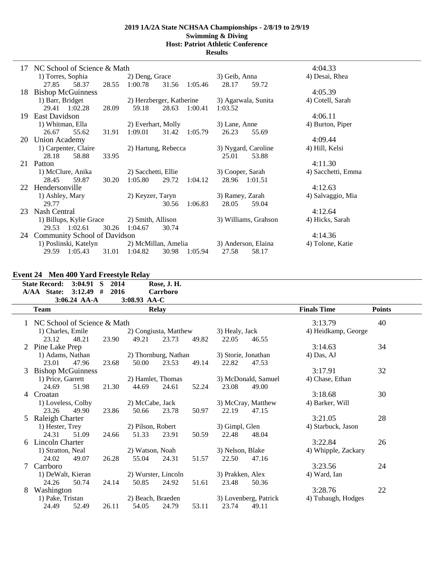| 17 | NC School of Science & Math  |                             |                      | 4:04.33            |
|----|------------------------------|-----------------------------|----------------------|--------------------|
|    | 1) Torres, Sophia            | 2) Deng, Grace              | 3) Geib, Anna        | 4) Desai, Rhea     |
|    | 27.85<br>58.37<br>28.55      | 1:00.78<br>31.56<br>1:05.46 | 28.17<br>59.72       |                    |
| 18 | <b>Bishop McGuinness</b>     |                             |                      | 4:05.39            |
|    | 1) Barr, Bridget             | 2) Herzberger, Katherine    | 3) Agarwala, Sunita  | 4) Cotell, Sarah   |
|    | 29.41 1:02.28<br>28.09       | 59.18<br>1:00.41<br>28.63   | 1:03.52              |                    |
| 19 | East Davidson                |                             |                      | 4:06.11            |
|    | 1) Whitman, Ella             | 2) Everhart, Molly          | 3) Lane, Anne        | 4) Burton, Piper   |
|    | 26.67<br>55.62<br>31.91      | 1:09.01<br>31.42<br>1:05.79 | 26.23<br>55.69       |                    |
| 20 | <b>Union Academy</b>         |                             |                      | 4:09.44            |
|    | 1) Carpenter, Claire         | 2) Hartung, Rebecca         | 3) Nygard, Caroline  | 4) Hill, Kelsi     |
|    | 28.18<br>58.88<br>33.95      |                             | 25.01<br>53.88       |                    |
| 21 | Patton                       |                             |                      | 4:11.30            |
|    | 1) McClure, Anika            | 2) Sacchetti, Ellie         | 3) Cooper, Sarah     | 4) Sacchetti, Emma |
|    | 28.45<br>59.87<br>30.20      | 1:05.80<br>29.72<br>1:04.12 | 28.96 1:01.51        |                    |
| 22 | Hendersonville               |                             |                      | 4:12.63            |
|    | 1) Ashley, Mary              | 2) Keyzer, Taryn            | 3) Ramey, Zarah      | 4) Salvaggio, Mia  |
|    | 29.77                        | 1:06.83<br>30.56            | 28.05<br>59.04       |                    |
| 23 | Nash Central                 |                             |                      | 4:12.64            |
|    | 1) Billups, Kylie Grace      | 2) Smith, Allison           | 3) Williams, Grahson | 4) Hicks, Sarah    |
|    | 29.53 1:02.61<br>30.26       | 1:04.67<br>30.74            |                      |                    |
| 24 | Community School of Davidson |                             |                      | 4:14.36            |
|    | 1) Poslinski, Katelyn        | 2) McMillan, Amelia         | 3) Anderson, Elaina  | 4) Tolone, Katie   |
|    | 29.59 1:05.43<br>31.01       | 1:04.82<br>30.98<br>1:05.94 | 27.58<br>58.17       |                    |

# **Event 24 Men 400 Yard Freestyle Relay**

|                                                                                     | <b>State Record:</b>          |       | $3:04.91$ S 2014 |                   | Rose, J. H.           |       |                     |                       |                     |    |
|-------------------------------------------------------------------------------------|-------------------------------|-------|------------------|-------------------|-----------------------|-------|---------------------|-----------------------|---------------------|----|
|                                                                                     | A/AA State: 3:12.49 #         |       | 2016             |                   | Carrboro              |       |                     |                       |                     |    |
| 3:08.93 AA-C<br>$3:06.24$ AA-A<br><b>Finals Time</b><br><b>Team</b><br><b>Relay</b> |                               |       |                  |                   |                       |       |                     |                       | <b>Points</b>       |    |
|                                                                                     | 1 NC School of Science & Math |       |                  |                   |                       |       |                     |                       | 3:13.79             | 40 |
|                                                                                     | 1) Charles, Emile             |       |                  |                   | 2) Congiusta, Matthew |       | 3) Healy, Jack      |                       | 4) Heidkamp, George |    |
|                                                                                     | 23.12                         | 48.21 | 23.90            | 49.21             | 23.73                 | 49.82 | 22.05               | 46.55                 |                     |    |
|                                                                                     | 2 Pine Lake Prep              |       |                  |                   |                       |       |                     |                       | 3:14.63             | 34 |
|                                                                                     | 1) Adams, Nathan              |       |                  |                   | 2) Thornburg, Nathan  |       | 3) Storie, Jonathan |                       | 4) Das, AJ          |    |
|                                                                                     | 23.01                         | 47.96 | 23.68            | 50.00             | 23.53                 | 49.14 | 22.82               | 47.53                 |                     |    |
| 3                                                                                   | <b>Bishop McGuinness</b>      |       |                  |                   |                       |       |                     |                       | 3:17.91             | 32 |
|                                                                                     | 1) Price, Garrett             |       |                  |                   | 2) Hamlet, Thomas     |       |                     | 3) McDonald, Samuel   | 4) Chase, Ethan     |    |
|                                                                                     | 24.69                         | 51.98 | 21.30            | 44.69             | 24.61                 | 52.24 | 23.08               | 49.00                 |                     |    |
| 4                                                                                   | Croatan                       |       |                  |                   |                       |       |                     |                       | 3:18.68             | 30 |
|                                                                                     | 1) Loveless, Colby            |       |                  | 2) McCabe, Jack   |                       |       |                     | 3) McCray, Matthew    | 4) Barker, Will     |    |
|                                                                                     | 23.26                         | 49.90 | 23.86            | 50.66             | 23.78                 | 50.97 | 22.19               | 47.15                 |                     |    |
| 5                                                                                   | <b>Raleigh Charter</b>        |       |                  |                   |                       |       |                     |                       | 3:21.05             | 28 |
|                                                                                     | 1) Hester, Trey               |       |                  | 2) Pilson, Robert |                       |       | 3) Gimpl, Glen      |                       | 4) Starbuck, Jason  |    |
|                                                                                     | 24.31                         | 51.09 | 24.66            | 51.33             | 23.91                 | 50.59 | 22.48               | 48.04                 |                     |    |
|                                                                                     | Lincoln Charter               |       |                  |                   |                       |       |                     |                       | 3:22.84             | 26 |
|                                                                                     | 1) Stratton, Neal             |       |                  |                   | 2) Watson, Noah       |       | 3) Nelson, Blake    |                       | 4) Whipple, Zackary |    |
|                                                                                     | 24.02                         | 49.07 | 26.28            | 55.04             | 24.31                 | 51.57 | 22.50               | 47.16                 |                     |    |
| 7                                                                                   | Carrboro                      |       |                  |                   |                       |       |                     |                       | 3:23.56             | 24 |
|                                                                                     | 1) DeWalt, Kieran             |       |                  |                   | 2) Wurster, Lincoln   |       | 3) Prakken, Alex    |                       | 4) Ward, Ian        |    |
|                                                                                     | 24.26                         | 50.74 | 24.14            | 50.85             | 24.92                 | 51.61 | 23.48               | 50.36                 |                     |    |
| 8                                                                                   | Washington                    |       |                  |                   |                       |       |                     |                       | 3:28.76             | 22 |
|                                                                                     | 1) Pake, Tristan              |       |                  |                   | 2) Beach, Braeden     |       |                     | 3) Lovenberg, Patrick | 4) Tubaugh, Hodges  |    |
|                                                                                     | 24.49                         | 52.49 | 26.11            | 54.05             | 24.79                 | 53.11 | 23.74               | 49.11                 |                     |    |